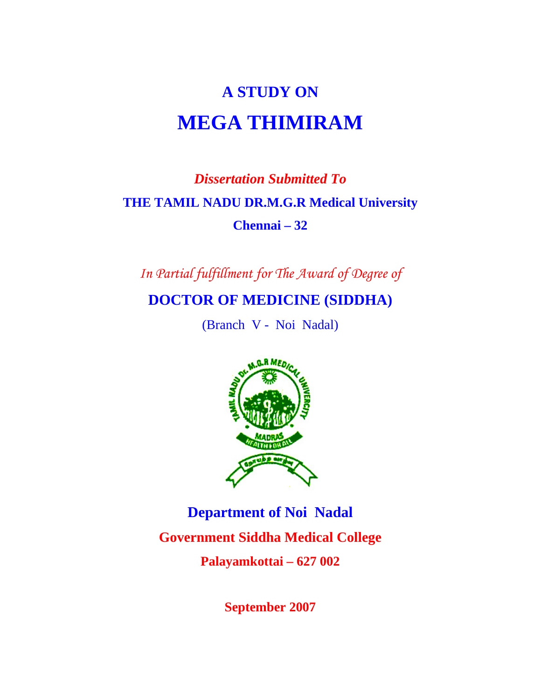# **A STUDY ON MEGA THIMIRAM**

# *Dissertation Submitted To*   **THE TAMIL NADU DR.M.G.R Medical University Chennai – 32**

*In Partial fulfillment for The Award of Degree of* 

**DOCTOR OF MEDICINE (SIDDHA)** 

(Branch V - Noi Nadal)



**Department of Noi Nadal Government Siddha Medical College Palayamkottai – 627 002** 

**September 2007**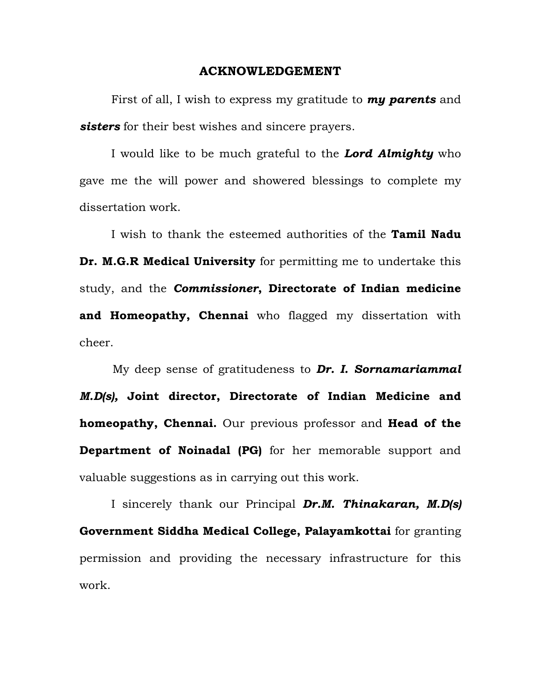#### **ACKNOWLEDGEMENT**

 First of all, I wish to express my gratitude to *my parents* and *sisters* for their best wishes and sincere prayers.

 I would like to be much grateful to the *Lord Almighty* who gave me the will power and showered blessings to complete my dissertation work.

 I wish to thank the esteemed authorities of the **Tamil Nadu Dr. M.G.R Medical University** for permitting me to undertake this study, and the *Commissioner***, Directorate of Indian medicine and Homeopathy, Chennai** who flagged my dissertation with cheer.

 My deep sense of gratitudeness to *Dr. I. Sornamariammal M.D(s),* **Joint director, Directorate of Indian Medicine and homeopathy, Chennai.** Our previous professor and **Head of the Department of Noinadal (PG)** for her memorable support and valuable suggestions as in carrying out this work.

 I sincerely thank our Principal *Dr.M. Thinakaran, M.D(s)* **Government Siddha Medical College, Palayamkottai** for granting permission and providing the necessary infrastructure for this work.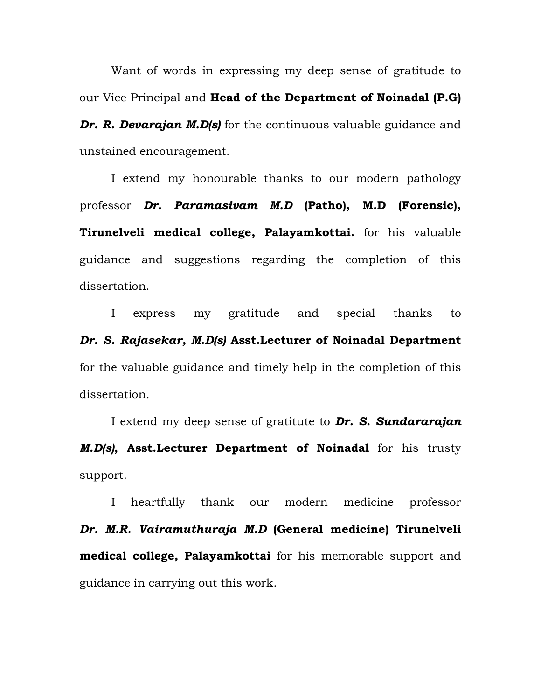Want of words in expressing my deep sense of gratitude to our Vice Principal and **Head of the Department of Noinadal (P.G)**  *Dr. R. Devarajan M.D(s)* for the continuous valuable guidance and unstained encouragement.

 I extend my honourable thanks to our modern pathology professor *Dr. Paramasivam M.D* **(Patho), M.D (Forensic), Tirunelveli medical college, Palayamkottai.** for his valuable guidance and suggestions regarding the completion of this dissertation.

 I express my gratitude and special thanks to *Dr. S. Rajasekar, M.D(s)* **Asst.Lecturer of Noinadal Department** for the valuable guidance and timely help in the completion of this dissertation.

 I extend my deep sense of gratitute to *Dr. S. Sundararajan M.D(s)***, Asst.Lecturer Department of Noinadal** for his trusty support.

 I heartfully thank our modern medicine professor *Dr. M.R. Vairamuthuraja M.D* **(General medicine) Tirunelveli medical college, Palayamkottai** for his memorable support and guidance in carrying out this work.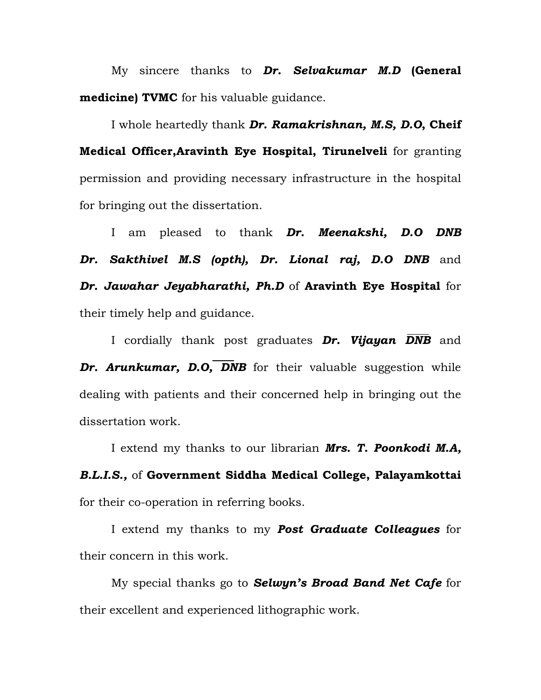My sincere thanks to *Dr. Selvakumar M.D* **(General medicine) TVMC** for his valuable guidance.

I whole heartedly thank *Dr. Ramakrishnan, M.S, D.O***, Cheif Medical Officer,Aravinth Eye Hospital, Tirunelveli** for granting permission and providing necessary infrastructure in the hospital for bringing out the dissertation.

I am pleased to thank **Dr. Meenakshi, D.O DNB** *Dr. Sakthivel M.S (opth), Dr. Lional raj, D.O DNB* and *Dr. Jawahar Jeyabharathi, Ph.D* of **Aravinth Eye Hospital** for their timely help and guidance.

 I cordially thank post graduates *Dr. Vijayan DNB* and **Dr. Arunkumar, D.O, DNB** for their valuable suggestion while dealing with patients and their concerned help in bringing out the dissertation work.

 I extend my thanks to our librarian *Mrs. T. Poonkodi M.A, B.L.I.S.,* of **Government Siddha Medical College, Palayamkottai** for their co-operation in referring books.

 I extend my thanks to my *Post Graduate Colleagues* for their concern in this work.

 My special thanks go to *Selwyn's Broad Band Net Cafe* for their excellent and experienced lithographic work.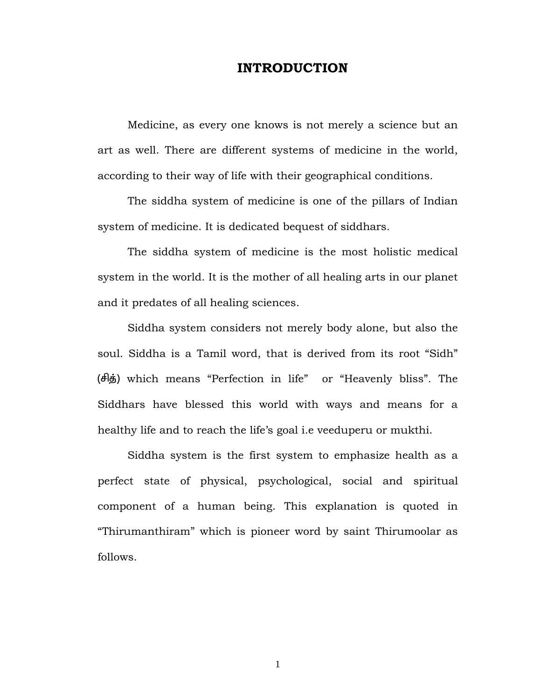# **INTRODUCTION**

Medicine, as every one knows is not merely a science but an art as well. There are different systems of medicine in the world, according to their way of life with their geographical conditions.

 The siddha system of medicine is one of the pillars of Indian system of medicine. It is dedicated bequest of siddhars.

 The siddha system of medicine is the most holistic medical system in the world. It is the mother of all healing arts in our planet and it predates of all healing sciences.

 Siddha system considers not merely body alone, but also the soul. Siddha is a Tamil word, that is derived from its root "Sidh" (சித்) which means "Perfection in life" or "Heavenly bliss". The Siddhars have blessed this world with ways and means for a healthy life and to reach the life's goal i.e veeduperu or mukthi.

 Siddha system is the first system to emphasize health as a perfect state of physical, psychological, social and spiritual component of a human being. This explanation is quoted in "Thirumanthiram" which is pioneer word by saint Thirumoolar as follows.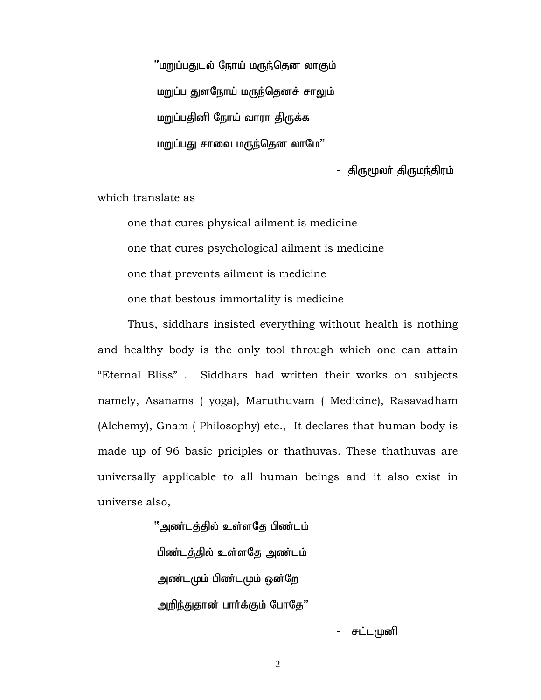''மறுப்பதுடல் நோய் மருந்தென லாகும் மறுப்ப துளநோய் மருந்தெனச் சாலும் மறுப்பதினி நோய் வாரா திருக்க மறுப்பது சாவை மருந்தென லாமே"

- திருமூலா் திருமந்திரம்

which translate as

 one that cures physical ailment is medicine one that cures psychological ailment is medicine one that prevents ailment is medicine one that bestous immortality is medicine

Thus, siddhars insisted everything without health is nothing and healthy body is the only tool through which one can attain "Eternal Bliss" . Siddhars had written their works on subjects namely, Asanams ( yoga), Maruthuvam ( Medicine), Rasavadham (Alchemy), Gnam ( Philosophy) etc., It declares that human body is made up of 96 basic priciples or thathuvas. These thathuvas are universally applicable to all human beings and it also exist in universe also,

> ் அண்டத்தில் உள்ளதே பிண்டம் பிண்டத்தில் உள்ளதே அண்டம் அண்டமும் பிண்டமும் ஒன்றே அறிந்துதான் பார்க்கும் போதே"

> > - சட்டமுனி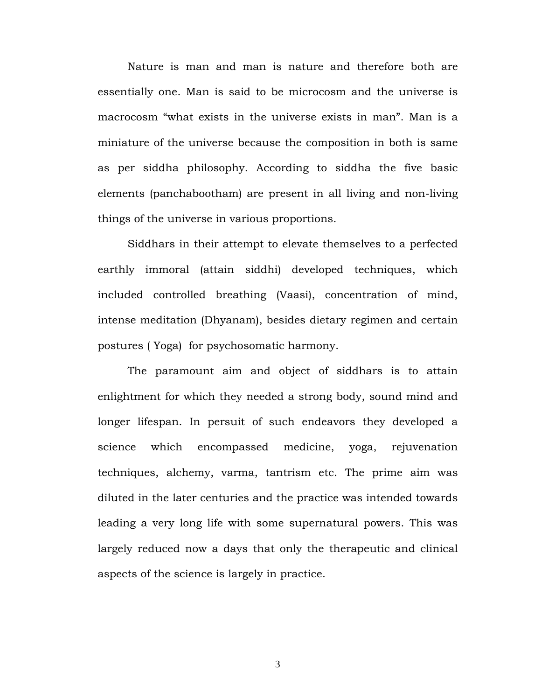Nature is man and man is nature and therefore both are essentially one. Man is said to be microcosm and the universe is macrocosm "what exists in the universe exists in man". Man is a miniature of the universe because the composition in both is same as per siddha philosophy. According to siddha the five basic elements (panchabootham) are present in all living and non-living things of the universe in various proportions.

Siddhars in their attempt to elevate themselves to a perfected earthly immoral (attain siddhi) developed techniques, which included controlled breathing (Vaasi), concentration of mind, intense meditation (Dhyanam), besides dietary regimen and certain postures ( Yoga) for psychosomatic harmony.

The paramount aim and object of siddhars is to attain enlightment for which they needed a strong body, sound mind and longer lifespan. In persuit of such endeavors they developed a science which encompassed medicine, yoga, rejuvenation techniques, alchemy, varma, tantrism etc. The prime aim was diluted in the later centuries and the practice was intended towards leading a very long life with some supernatural powers. This was largely reduced now a days that only the therapeutic and clinical aspects of the science is largely in practice.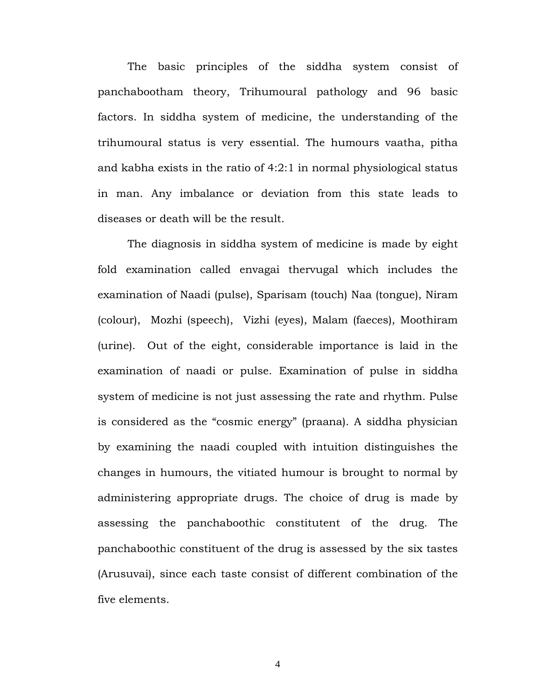The basic principles of the siddha system consist of panchabootham theory, Trihumoural pathology and 96 basic factors. In siddha system of medicine, the understanding of the trihumoural status is very essential. The humours vaatha, pitha and kabha exists in the ratio of 4:2:1 in normal physiological status in man. Any imbalance or deviation from this state leads to diseases or death will be the result.

The diagnosis in siddha system of medicine is made by eight fold examination called envagai thervugal which includes the examination of Naadi (pulse), Sparisam (touch) Naa (tongue), Niram (colour), Mozhi (speech), Vizhi (eyes), Malam (faeces), Moothiram (urine). Out of the eight, considerable importance is laid in the examination of naadi or pulse. Examination of pulse in siddha system of medicine is not just assessing the rate and rhythm. Pulse is considered as the "cosmic energy" (praana). A siddha physician by examining the naadi coupled with intuition distinguishes the changes in humours, the vitiated humour is brought to normal by administering appropriate drugs. The choice of drug is made by assessing the panchaboothic constitutent of the drug. The panchaboothic constituent of the drug is assessed by the six tastes (Arusuvai), since each taste consist of different combination of the five elements.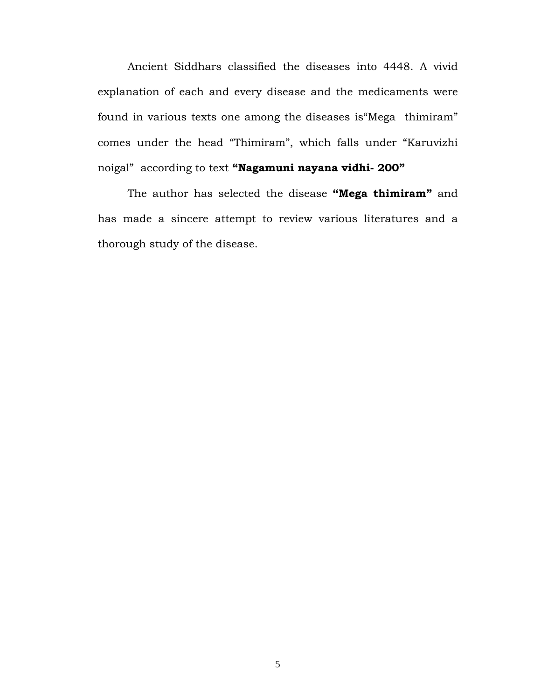Ancient Siddhars classified the diseases into 4448. A vivid explanation of each and every disease and the medicaments were found in various texts one among the diseases is"Mega thimiram" comes under the head "Thimiram", which falls under "Karuvizhi noigal" according to text **"Nagamuni nayana vidhi- 200"** 

The author has selected the disease **"Mega thimiram"** and has made a sincere attempt to review various literatures and a thorough study of the disease.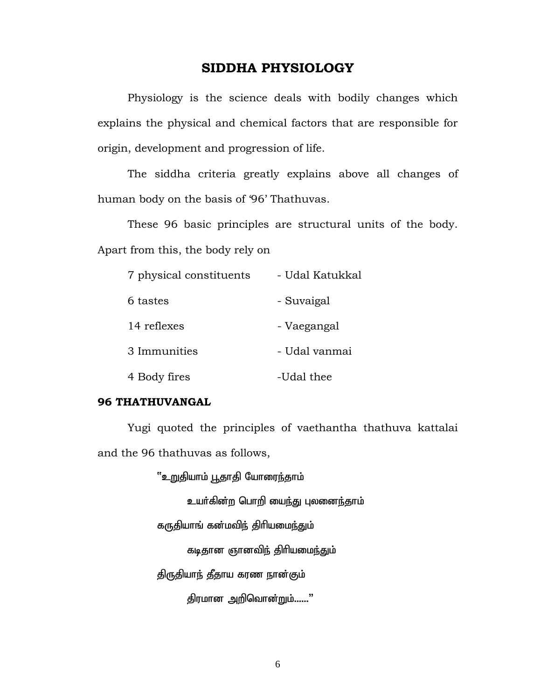# **SIDDHA PHYSIOLOGY**

 Physiology is the science deals with bodily changes which explains the physical and chemical factors that are responsible for origin, development and progression of life.

 The siddha criteria greatly explains above all changes of human body on the basis of '96' Thathuvas.

 These 96 basic principles are structural units of the body. Apart from this, the body rely on

| 7 physical constituents | - Udal Katukkal |
|-------------------------|-----------------|
| 6 tastes                | - Suvaigal      |
| 14 reflexes             | - Vaegangal     |
| 3 Immunities            | - Udal vanmai   |
| 4 Body fires            | -Udal thee      |

#### **96 THATHUVANGAL**

 Yugi quoted the principles of vaethantha thathuva kattalai and the 96 thathuvas as follows,

"உறுதியாம் பூதாதி யோரைந்தாம்

உயர்கின்ற பொறி யைந்து புலனைந்தாம்

கருதியாங் கன்மவிந் திரியமைந்தும்

கடிதான ஞானவிந் திரியமை<u>ந்த</u>ும்

திருதியாந் தீதாய கரண நான்கும்

திரமான அறிவொன்றும்......"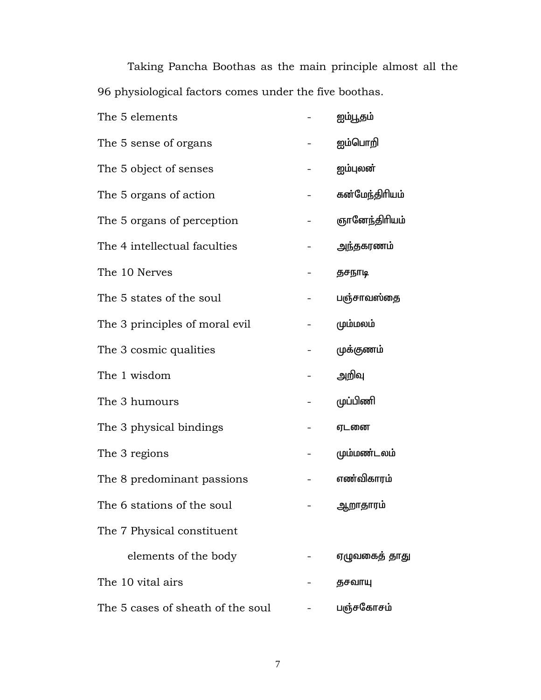Taking Pancha Boothas as the main principle almost all the 96 physiological factors comes under the five boothas.

| The 5 elements                    | ஐம்பூதம்       |
|-----------------------------------|----------------|
| The 5 sense of organs             | ஐம்பொறி        |
| The 5 object of senses            | ஐம்புலன்       |
| The 5 organs of action            | கன்மேந்திரியம் |
| The 5 organs of perception        | ஞானேந்திரியம்  |
| The 4 intellectual faculties      | அந்தகரணம்      |
| The 10 Nerves                     | தசநாடி         |
| The 5 states of the soul          | பஞ்சாவஸ்தை     |
| The 3 principles of moral evil    | மும்மலம்       |
| The 3 cosmic qualities            | முக்குணம்      |
| The 1 wisdom                      | அறிவு          |
| The 3 humours                     | முப்பிணி       |
| The 3 physical bindings           | ஏடனை           |
| The 3 regions                     | மும்மண்டலம்    |
| The 8 predominant passions        | எண்விகாரம்     |
| The 6 stations of the soul        | ஆறாதாரம்       |
| The 7 Physical constituent        |                |
| elements of the body              | ஏழுவகைத் தாது  |
| The 10 vital airs                 | தசவாயு         |
| The 5 cases of sheath of the soul | பஞ்சகோசம்      |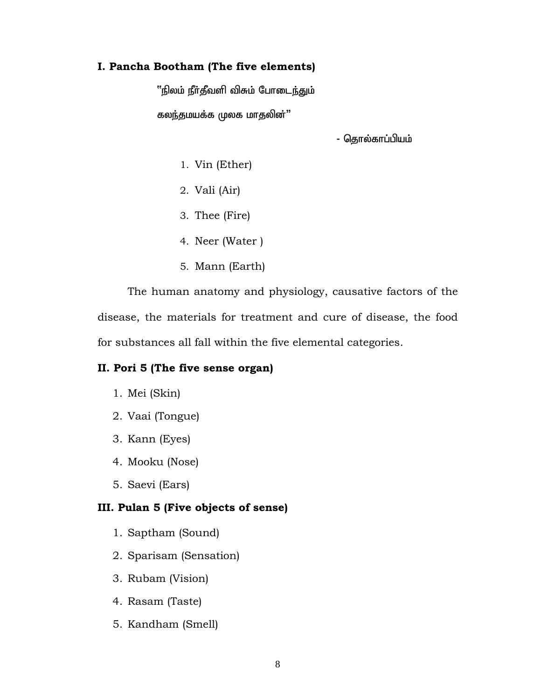# **I. Pancha Bootham (The five elements)**

"நிலம் நீர்தீவளி விசும் போடைந்தும்

கலந்தமயக்க முலக மாதலின்"

- தொல்காப்பியம்

- 1. Vin (Ether)
- 2. Vali (Air)
- 3. Thee (Fire)
- 4. Neer (Water )
- 5. Mann (Earth)

The human anatomy and physiology, causative factors of the disease, the materials for treatment and cure of disease, the food for substances all fall within the five elemental categories.

#### **II. Pori 5 (The five sense organ)**

- 1. Mei (Skin)
- 2. Vaai (Tongue)
- 3. Kann (Eyes)
- 4. Mooku (Nose)
- 5. Saevi (Ears)

# **III. Pulan 5 (Five objects of sense)**

- 1. Saptham (Sound)
- 2. Sparisam (Sensation)
- 3. Rubam (Vision)
- 4. Rasam (Taste)
- 5. Kandham (Smell)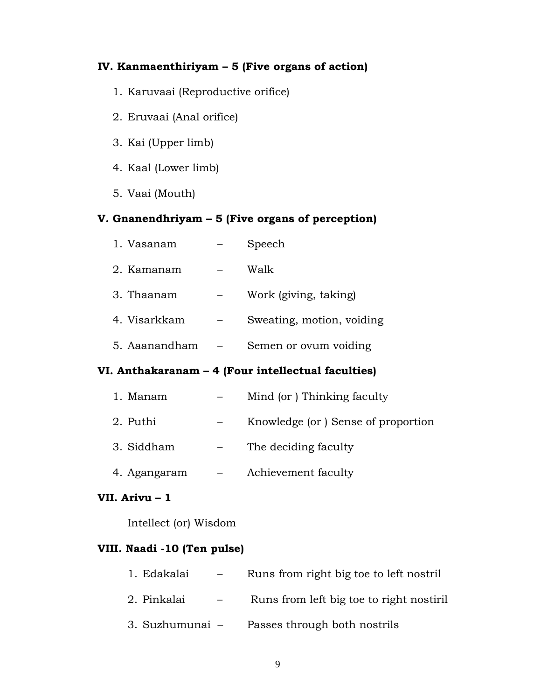# **IV. Kanmaenthiriyam – 5 (Five organs of action)**

- 1. Karuvaai (Reproductive orifice)
- 2. Eruvaai (Anal orifice)
- 3. Kai (Upper limb)
- 4. Kaal (Lower limb)
- 5. Vaai (Mouth)

# **V. Gnanendhriyam – 5 (Five organs of perception)**

| 1. Vasanam    | Speech                    |
|---------------|---------------------------|
| 2. Kamanam    | Walk                      |
| 3. Thaanam    | Work (giving, taking)     |
| 4. Visarkkam  | Sweating, motion, voiding |
| 5. Aaanandham | Semen or ovum voiding     |

# **VI. Anthakaranam – 4 (Four intellectual faculties)**

| 1. Manam     | Mind (or) Thinking faculty         |
|--------------|------------------------------------|
| 2. Puthi     | Knowledge (or) Sense of proportion |
| 3. Siddham   | The deciding faculty               |
| 4. Agangaram | Achievement faculty                |

# **VII. Arivu – 1**

Intellect (or) Wisdom

# **VIII. Naadi -10 (Ten pulse)**

| 1. Edakalai     | $\overline{\phantom{0}}$ | Runs from right big to to left nostril  |
|-----------------|--------------------------|-----------------------------------------|
| 2. Pinkalai     | $ -$                     | Runs from left big to to right nostiril |
| 3. Suzhumunai - |                          | Passes through both nostrils            |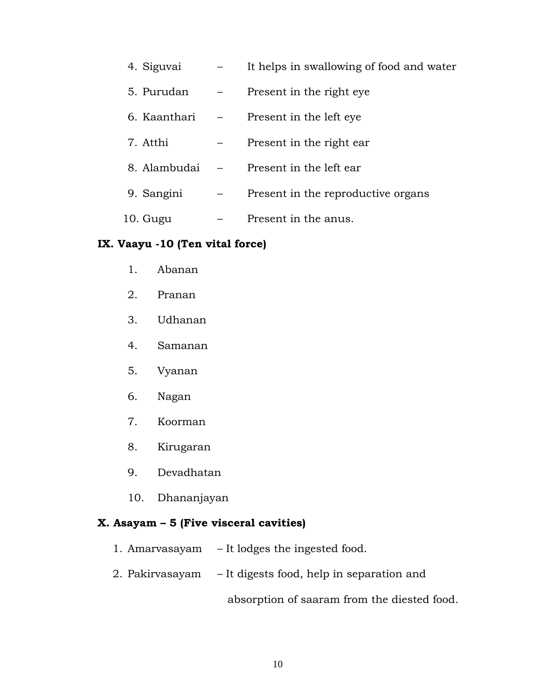| 4. Siguvai   | It helps in swallowing of food and water |
|--------------|------------------------------------------|
| 5. Purudan   | Present in the right eye                 |
| 6. Kaanthari | Present in the left eye                  |
| 7. Atthi     | Present in the right ear                 |
| 8. Alambudai | Present in the left ear                  |
| 9. Sangini   | Present in the reproductive organs       |
| 10. Gugu     | Present in the anus.                     |

# **IX. Vaayu -10 (Ten vital force)**

- 1. Abanan
- 2. Pranan
- 3. Udhanan
- 4. Samanan
- 5. Vyanan
- 6. Nagan
- 7. Koorman
- 8. Kirugaran
- 9. Devadhatan
- 10. Dhananjayan

# **X. Asayam – 5 (Five visceral cavities)**

- 1. Amarvasayam It lodges the ingested food.
- 2. Pakirvasayam It digests food, help in separation and

absorption of saaram from the diested food.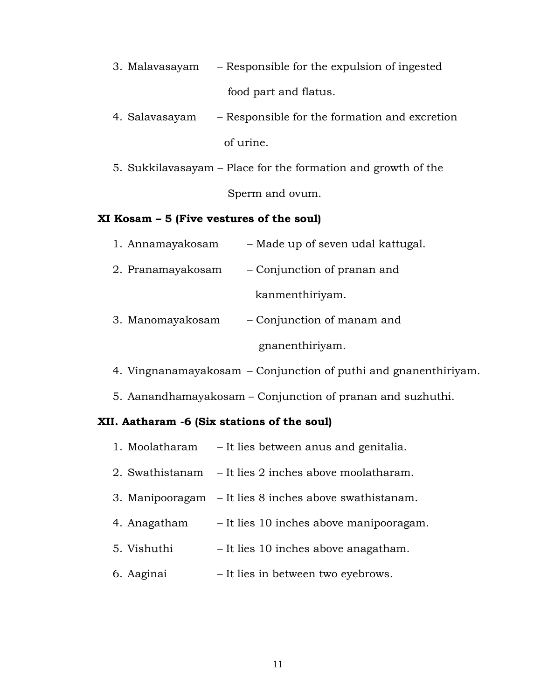- 3. Malavasayam Responsible for the expulsion of ingested food part and flatus.
- 4. Salavasayam Responsible for the formation and excretion of urine.
- 5. Sukkilavasayam Place for the formation and growth of the Sperm and ovum.

# **XI Kosam – 5 (Five vestures of the soul)**

| 1. Annamayakosam  | - Made up of seven udal kattugal. |
|-------------------|-----------------------------------|
| 2. Pranamayakosam | - Conjunction of pranan and       |
|                   | kanmenthiriyam.                   |
| 3. Manomayakosam  | - Conjunction of manam and        |
|                   | gnanenthiriyam.                   |

- 4. Vingnanamayakosam Conjunction of puthi and gnanenthiriyam.
- 5. Aanandhamayakosam Conjunction of pranan and suzhuthi.

# **XII. Aatharam -6 (Six stations of the soul)**

1. Moolatharam – It lies between anus and genitalia. 2. Swathistanam – It lies 2 inches above moolatharam. 3. Manipooragam – It lies 8 inches above swathistanam. 4. Anagatham – It lies 10 inches above manipooragam. 5. Vishuthi – It lies 10 inches above anagatham. 6. Aaginai – It lies in between two eyebrows.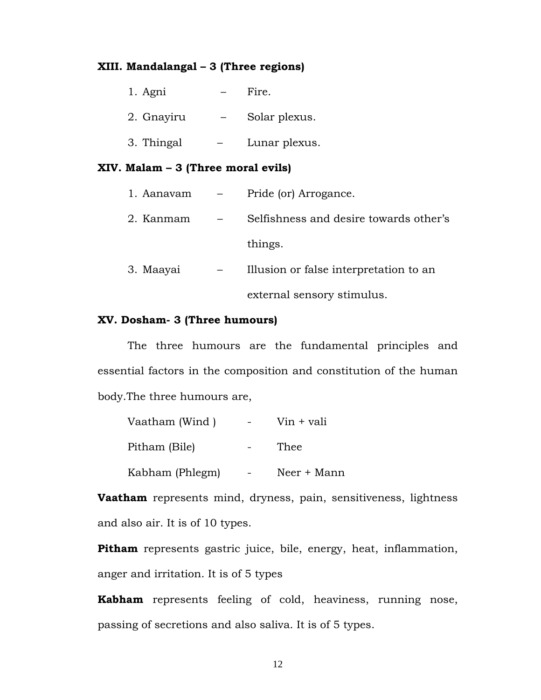## **XIII. Mandalangal – 3 (Three regions)**

| 1. Agni    | Fire.         |
|------------|---------------|
| 2. Gnayiru | Solar plexus. |
| 3. Thingal | Lunar plexus. |

## **XIV. Malam – 3 (Three moral evils)**

| 1. Aanavam | Pride (or) Arrogance.                  |
|------------|----------------------------------------|
| 2. Kanmam  | Selfishness and desire towards other's |
|            | things.                                |
| 3. Maayai  | Illusion or false interpretation to an |
|            | external sensory stimulus.             |

## **XV. Dosham- 3 (Three humours)**

 The three humours are the fundamental principles and essential factors in the composition and constitution of the human body.The three humours are,

| Vaatham (Wind ) | $V$ in + vali |
|-----------------|---------------|
| Pitham (Bile)   | Thee          |
| Kabham (Phlegm) | Neer + Mann   |

**Vaatham** represents mind, dryness, pain, sensitiveness, lightness and also air. It is of 10 types.

**Pitham** represents gastric juice, bile, energy, heat, inflammation, anger and irritation. It is of 5 types

**Kabham** represents feeling of cold, heaviness, running nose, passing of secretions and also saliva. It is of 5 types.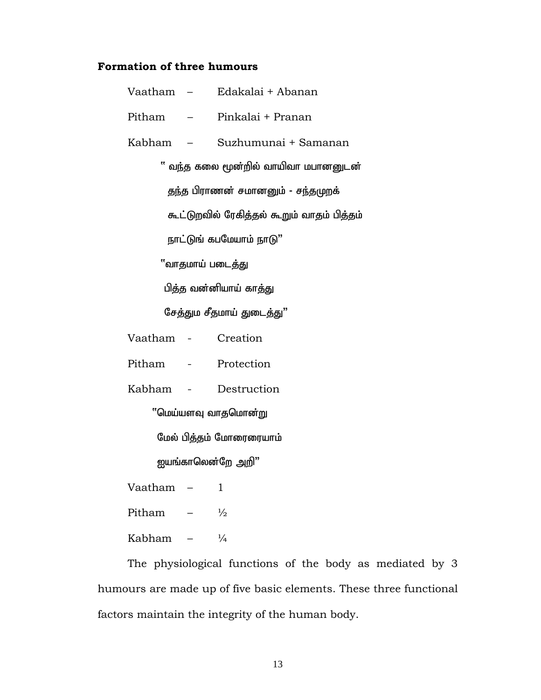# **Formation of three humours**

|                    |                         | Vaatham – Edakalai + Abanan                |  |  |
|--------------------|-------------------------|--------------------------------------------|--|--|
| Pitham             |                         | – Pinkalai + Pranan                        |  |  |
|                    |                         | Kabham - Suzhumunai + Samanan              |  |  |
|                    |                         | ீ வந்த கலை மூன்றில் வாயிவா மபானனுடன்       |  |  |
|                    |                         | தந்த பிராணன் சமானனும் - சந்தமுறக்          |  |  |
|                    |                         | கூட்டுறவில் ரேகித்தல் கூறும் வாதம் பித்தம் |  |  |
|                    |                         | நாட்டுங் கபமேயாம் நாடு"                    |  |  |
|                    |                         | ீவாதமாய் படைத்து                           |  |  |
|                    | பித்த வன்னியாய் காத்து  |                                            |  |  |
|                    |                         | சேத்தும சீதமாய் துடைத்து"                  |  |  |
| Vaatham - Creation |                         |                                            |  |  |
|                    |                         | Pitham - Protection                        |  |  |
|                    |                         | Kabham - Destruction                       |  |  |
|                    | "மெய்யளவு வாதமொன்று     |                                            |  |  |
|                    | மேல் பித்தம் மோரைரையாம் |                                            |  |  |
|                    | ஐயங்காலென்றே அறி"       |                                            |  |  |
| Vaatham            |                         | 1                                          |  |  |
| Pitham             |                         | $\frac{1}{2}$                              |  |  |
| Kabham             |                         | $\frac{1}{4}$                              |  |  |

 The physiological functions of the body as mediated by 3 humours are made up of five basic elements. These three functional factors maintain the integrity of the human body.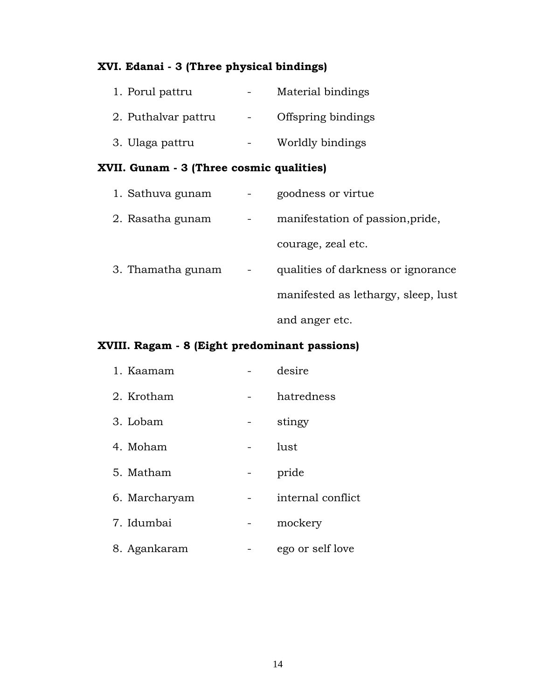# **XVI. Edanai - 3 (Three physical bindings)**

| 1. Porul pattru     | Material bindings  |
|---------------------|--------------------|
| 2. Puthalvar pattru | Offspring bindings |
| 3. Ulaga pattru     | Worldly bindings   |

# **XVII. Gunam - 3 (Three cosmic qualities)**

| 1. Sathuva gunam  | goodness or virtue                  |
|-------------------|-------------------------------------|
| 2. Rasatha gunam  | manifestation of passion, pride,    |
|                   | courage, zeal etc.                  |
| 3. Thamatha gunam | qualities of darkness or ignorance  |
|                   | manifested as lethargy, sleep, lust |
|                   | and anger etc.                      |

# **XVIII. Ragam - 8 (Eight predominant passions)**

| 1. Kaamam     | desire            |
|---------------|-------------------|
| 2. Krotham    | hatredness        |
| 3. Lobam      | stingy            |
| 4. Moham      | lust              |
| 5. Matham     | pride             |
| 6. Marcharyam | internal conflict |
| 7. Idumbai    | mockery           |
| 8. Agankaram  | ego or self love  |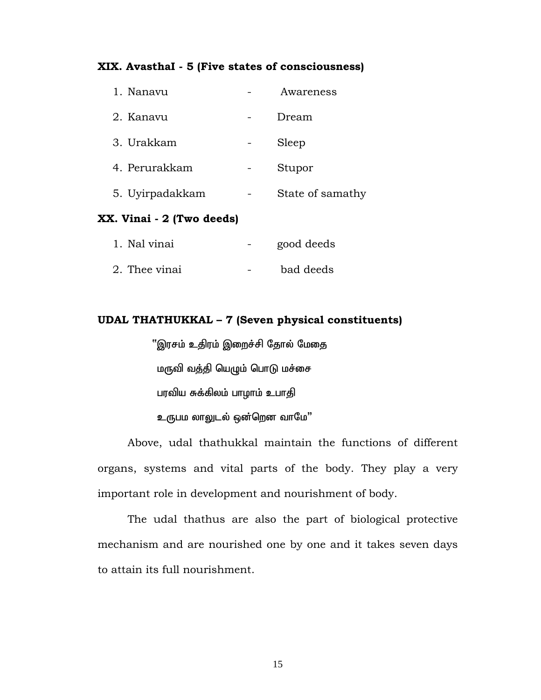## **XIX. AvasthaI - 5 (Five states of consciousness)**

| 1. Nanavu       | Awareness        |
|-----------------|------------------|
| 2. Kanavu       | Dream            |
| 3. Urakkam      | Sleep            |
| 4. Perurakkam   | Stupor           |
| 5. Uyirpadakkam | State of samathy |
|                 |                  |

# **XX. Vinai - 2 (Two deeds)**

| 1. Nal vinai  | good deeds |
|---------------|------------|
| 2. Thee vinai | bad deeds  |

# **UDAL THATHUKKAL – 7 (Seven physical constituents)**

''இரசம் உதிரம் இறைச்சி தோல் மேதை மருவி வத்தி யெழும் பொடு மச்சை பரவிய சுக்கிலம் பாழாம் உபாதி உருபம லாலுடல் ஒன்றென வாமே"

 Above, udal thathukkal maintain the functions of different organs, systems and vital parts of the body. They play a very important role in development and nourishment of body.

 The udal thathus are also the part of biological protective mechanism and are nourished one by one and it takes seven days to attain its full nourishment.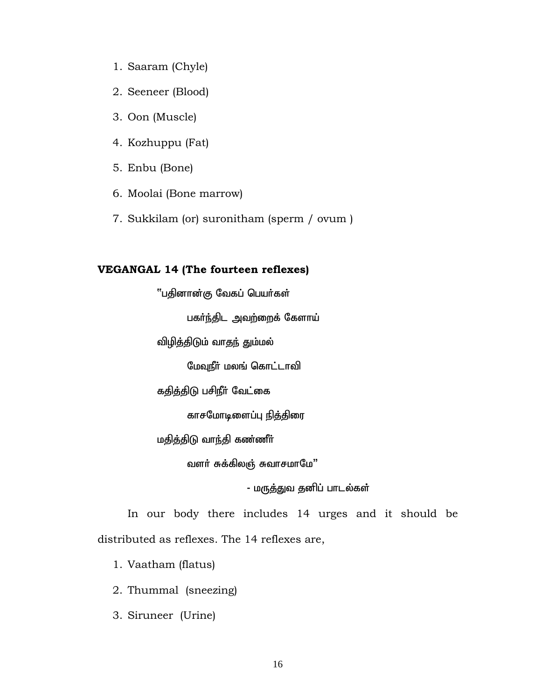- 1. Saaram (Chyle)
- 2. Seeneer (Blood)
- 3. Oon (Muscle)
- 4. Kozhuppu (Fat)
- 5. Enbu (Bone)
- 6. Moolai (Bone marrow)
- 7. Sukkilam (or) suronitham (sperm / ovum )

## **VEGANGAL 14 (The fourteen reflexes)**

ீபதினான்கு வேகப் பெயர்கள்

பகர்ந்திட அவற்றைக் கேளாய்

விழித்திடும் வாதந் தும்மல்

மேவுநீர் மலங் கொட்டாவி

கதித்திடு பசிநீர் வேட்கை

காசமோடிளைப்பு நித்திரை

மதித்திடு வாந்தி கண்ணீா்

வளர் சுக்கிலஞ் சுவாசமாமே"

- மருத்துவ தனிப் பாடல்கள்

 In our body there includes 14 urges and it should be distributed as reflexes. The 14 reflexes are,

1. Vaatham (flatus)

2. Thummal (sneezing)

3. Siruneer (Urine)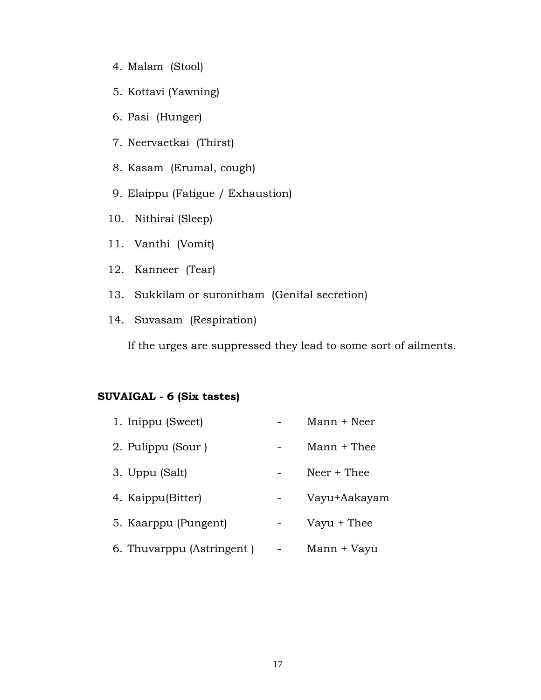- 4. Malam (Stool)
- 5. Kottavi (Yawning)
- 6. Pasi (Hunger)
- 7. Neervaetkai (Thirst)
- 8. Kasam (Erumal, cough)
- 9. Elaippu (Fatigue / Exhaustion)
- 10. Nithirai (Sleep)
- 11. Vanthi (Vomit)
- 12. Kanneer (Tear)
- 13. Sukkilam or suronitham (Genital secretion)
- 14. Suvasam (Respiration)

If the urges are suppressed they lead to some sort of ailments.

# **SUVAIGAL - 6 (Six tastes)**

| 1. Inippu (Sweet)         |   | Mann + Neer   |
|---------------------------|---|---------------|
| 2. Pulippu (Sour)         |   | $Mann + Thee$ |
| 3. Uppu (Salt)            |   | $Neer + The$  |
| 4. Kaippu(Bitter)         |   | Vayu+Aakayam  |
| 5. Kaarppu (Pungent)      |   | Vayu + Thee   |
| 6. Thuvarppu (Astringent) | - | Mann + Vayu   |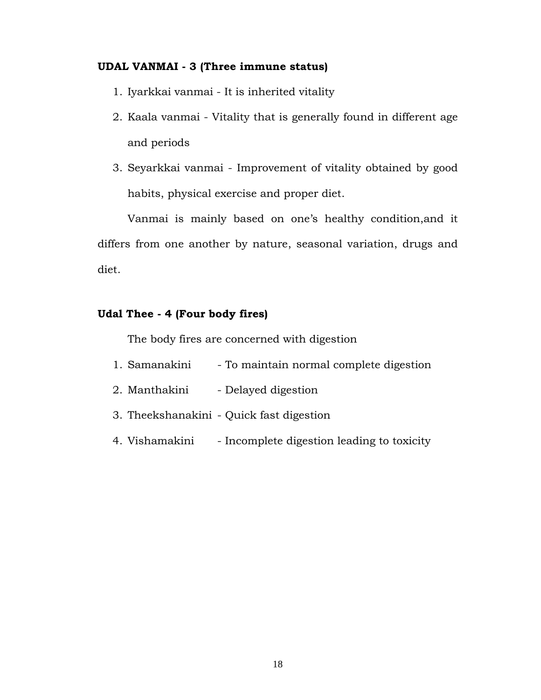# **UDAL VANMAI - 3 (Three immune status)**

- 1. Iyarkkai vanmai It is inherited vitality
- 2. Kaala vanmai Vitality that is generally found in different age and periods
- 3. Seyarkkai vanmai Improvement of vitality obtained by good habits, physical exercise and proper diet.

Vanmai is mainly based on one's healthy condition,and it differs from one another by nature, seasonal variation, drugs and diet.

# **Udal Thee - 4 (Four body fires)**

The body fires are concerned with digestion

- 1. Samanakini To maintain normal complete digestion
- 2. Manthakini Delayed digestion
- 3. Theekshanakini Quick fast digestion
- 4. Vishamakini Incomplete digestion leading to toxicity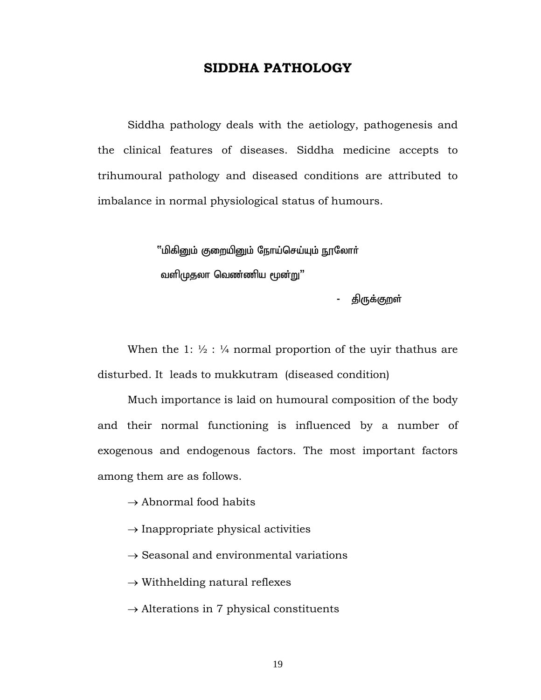# **SIDDHA PATHOLOGY**

 Siddha pathology deals with the aetiology, pathogenesis and the clinical features of diseases. Siddha medicine accepts to trihumoural pathology and diseased conditions are attributed to imbalance in normal physiological status of humours.

> $"$ மிகிறும் குறையிறும் நோய்செய்யும் நூலோர் வளிமுதலா வெண்ணிய மூன்று"

> > - திருக்குறள்

When the 1:  $\frac{1}{2}$ :  $\frac{1}{4}$  normal proportion of the uyir thathus are disturbed. It leads to mukkutram (diseased condition)

 Much importance is laid on humoural composition of the body and their normal functioning is influenced by a number of exogenous and endogenous factors. The most important factors among them are as follows.

 $\rightarrow$  Abnormal food habits

- $\rightarrow$  Inappropriate physical activities
- $\rightarrow$  Seasonal and environmental variations

 $\rightarrow$  Withhelding natural reflexes

 $\rightarrow$  Alterations in 7 physical constituents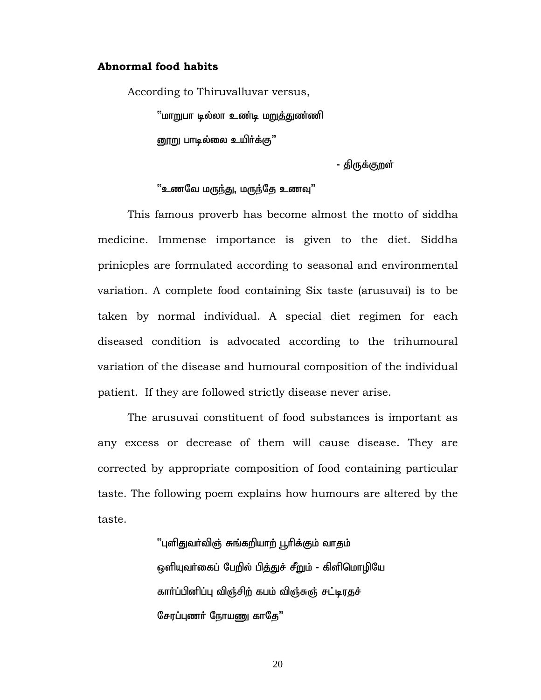### **Abnormal food habits**

According to Thiruvalluvar versus,

்'மாறுபா டில்லா உண்டி ம<u>றுத்து</u>ண்ணி னூறு பாடில்லை உயிர்க்கு $"$ 

- திருக்குறள்

#### <u>"உணவே மருந்து,</u> மருந்தே உணவு"

This famous proverb has become almost the motto of siddha medicine. Immense importance is given to the diet. Siddha prinicples are formulated according to seasonal and environmental variation. A complete food containing Six taste (arusuvai) is to be taken by normal individual. A special diet regimen for each diseased condition is advocated according to the trihumoural variation of the disease and humoural composition of the individual patient. If they are followed strictly disease never arise.

The arusuvai constituent of food substances is important as any excess or decrease of them will cause disease. They are corrected by appropriate composition of food containing particular taste. The following poem explains how humours are altered by the taste.

> ''புளிதுவர்விஞ் சுங்கறியாற் பூரிக்கும் வாதம் <u>ஒ</u>ளியுவர்கைப் பேறில் பித்துச் சீறும் - கிளிமொழியே கார்ப்பினிப்பு விஞ்சிற் கபம் விஞ்சுஞ் சட்டிரதச் சேரப்புணர் நோயணு காதே"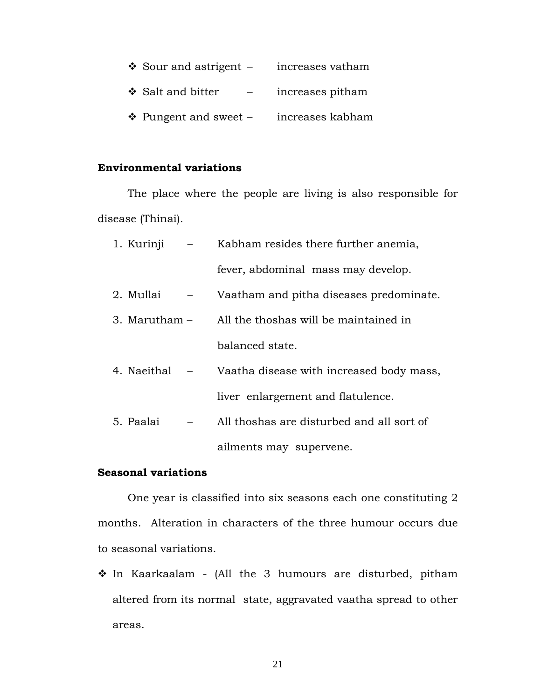| $\div$ Sour and astrigent – | increases vatham |
|-----------------------------|------------------|
| ❖ Salt and bitter           | increases pitham |
| ❖ Pungent and sweet $-$     | increases kabham |

# **Environmental variations**

 The place where the people are living is also responsible for disease (Thinai).

| 1. Kurinji      | Kabham resides there further anemia,      |
|-----------------|-------------------------------------------|
|                 | fever, abdominal mass may develop.        |
| 2. Mullai       | Vaatham and pitha diseases predominate.   |
| 3. Marutham $-$ | All the thoshas will be maintained in     |
|                 | balanced state.                           |
| 4. Naeithal     | Vaatha disease with increased body mass,  |
|                 | liver enlargement and flatulence.         |
| 5. Paalai       | All thoshas are disturbed and all sort of |
|                 | ailments may supervene.                   |

# **Seasonal variations**

 One year is classified into six seasons each one constituting 2 months. Alteration in characters of the three humour occurs due to seasonal variations.

 In Kaarkaalam - (All the 3 humours are disturbed, pitham altered from its normal state, aggravated vaatha spread to other areas.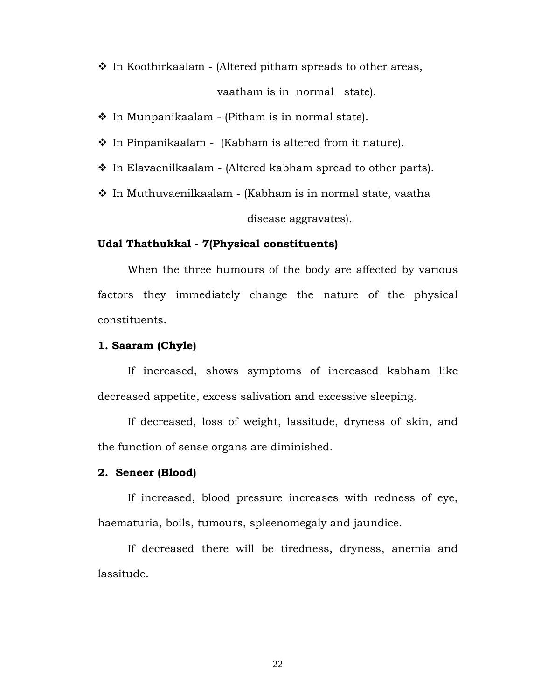$\cdot$  In Koothirkaalam - (Altered pitham spreads to other areas,

vaatham is in normal state).

 $\div$  In Munpanikaalam - (Pitham is in normal state).

 $\cdot$  In Pinpanikaalam - (Kabham is altered from it nature).

- $\cdot$  In Elavaenilkaalam (Altered kabham spread to other parts).
- In Muthuvaenilkaalam (Kabham is in normal state, vaatha disease aggravates).

## **Udal Thathukkal - 7(Physical constituents)**

 When the three humours of the body are affected by various factors they immediately change the nature of the physical constituents.

#### **1. Saaram (Chyle)**

 If increased, shows symptoms of increased kabham like decreased appetite, excess salivation and excessive sleeping.

 If decreased, loss of weight, lassitude, dryness of skin, and the function of sense organs are diminished.

## **2. Seneer (Blood)**

 If increased, blood pressure increases with redness of eye, haematuria, boils, tumours, spleenomegaly and jaundice.

 If decreased there will be tiredness, dryness, anemia and lassitude.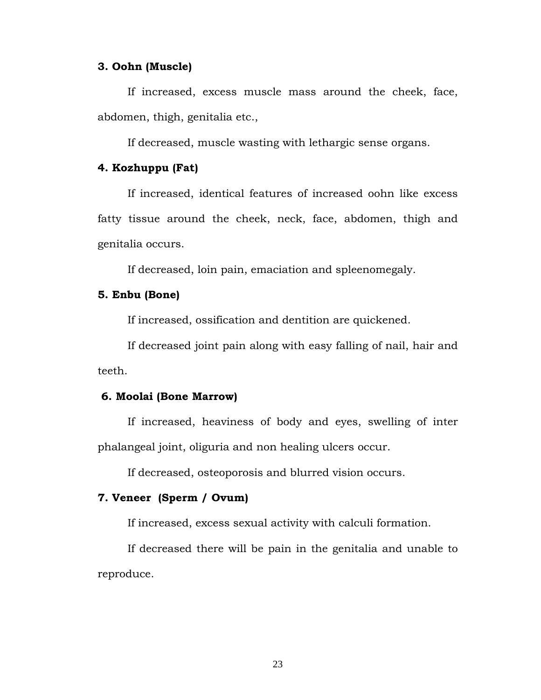#### **3. Oohn (Muscle)**

 If increased, excess muscle mass around the cheek, face, abdomen, thigh, genitalia etc.,

If decreased, muscle wasting with lethargic sense organs.

### **4. Kozhuppu (Fat)**

 If increased, identical features of increased oohn like excess fatty tissue around the cheek, neck, face, abdomen, thigh and genitalia occurs.

If decreased, loin pain, emaciation and spleenomegaly.

#### **5. Enbu (Bone)**

If increased, ossification and dentition are quickened.

 If decreased joint pain along with easy falling of nail, hair and teeth.

## **6. Moolai (Bone Marrow)**

 If increased, heaviness of body and eyes, swelling of inter phalangeal joint, oliguria and non healing ulcers occur.

If decreased, osteoporosis and blurred vision occurs.

# **7. Veneer (Sperm / Ovum)**

If increased, excess sexual activity with calculi formation.

 If decreased there will be pain in the genitalia and unable to reproduce.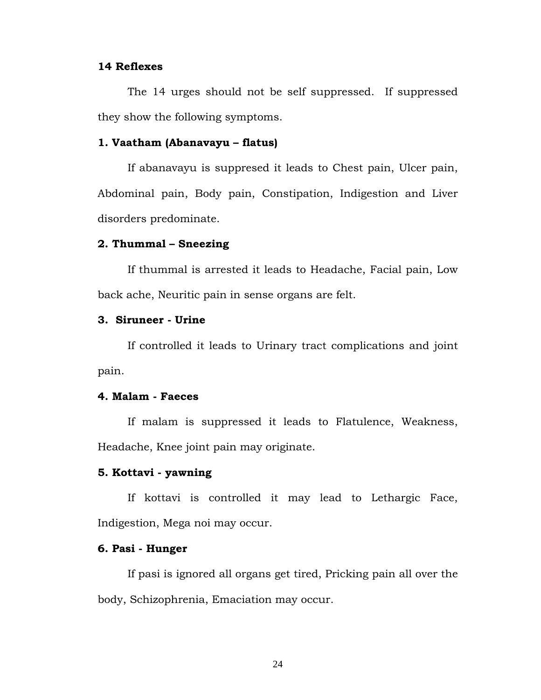## **14 Reflexes**

 The 14 urges should not be self suppressed. If suppressed they show the following symptoms.

# **1. Vaatham (Abanavayu – flatus)**

 If abanavayu is suppresed it leads to Chest pain, Ulcer pain, Abdominal pain, Body pain, Constipation, Indigestion and Liver disorders predominate.

## **2. Thummal – Sneezing**

 If thummal is arrested it leads to Headache, Facial pain, Low back ache, Neuritic pain in sense organs are felt.

# **3. Siruneer - Urine**

 If controlled it leads to Urinary tract complications and joint pain.

# **4. Malam - Faeces**

 If malam is suppressed it leads to Flatulence, Weakness, Headache, Knee joint pain may originate.

## **5. Kottavi - yawning**

 If kottavi is controlled it may lead to Lethargic Face, Indigestion, Mega noi may occur.

#### **6. Pasi - Hunger**

 If pasi is ignored all organs get tired, Pricking pain all over the body, Schizophrenia, Emaciation may occur.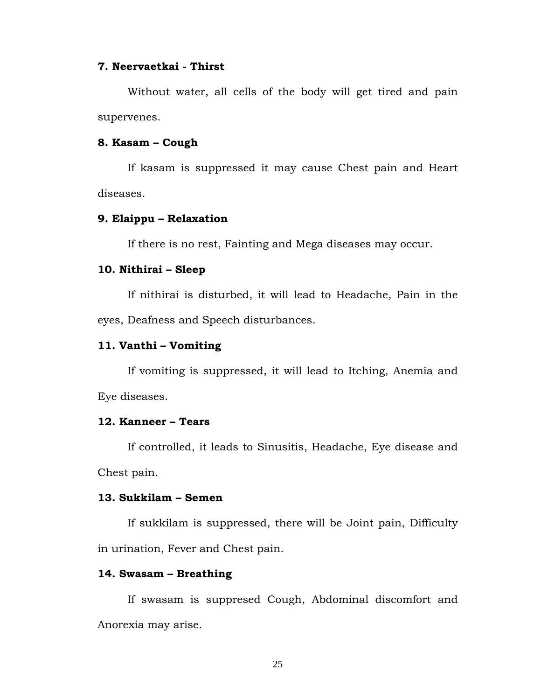## **7. Neervaetkai - Thirst**

 Without water, all cells of the body will get tired and pain supervenes.

## **8. Kasam – Cough**

 If kasam is suppressed it may cause Chest pain and Heart diseases.

## **9. Elaippu – Relaxation**

If there is no rest, Fainting and Mega diseases may occur.

## **10. Nithirai – Sleep**

 If nithirai is disturbed, it will lead to Headache, Pain in the eyes, Deafness and Speech disturbances.

#### **11. Vanthi – Vomiting**

 If vomiting is suppressed, it will lead to Itching, Anemia and Eye diseases.

#### **12. Kanneer – Tears**

 If controlled, it leads to Sinusitis, Headache, Eye disease and Chest pain.

#### **13. Sukkilam – Semen**

 If sukkilam is suppressed, there will be Joint pain, Difficulty in urination, Fever and Chest pain.

# **14. Swasam – Breathing**

 If swasam is suppresed Cough, Abdominal discomfort and Anorexia may arise.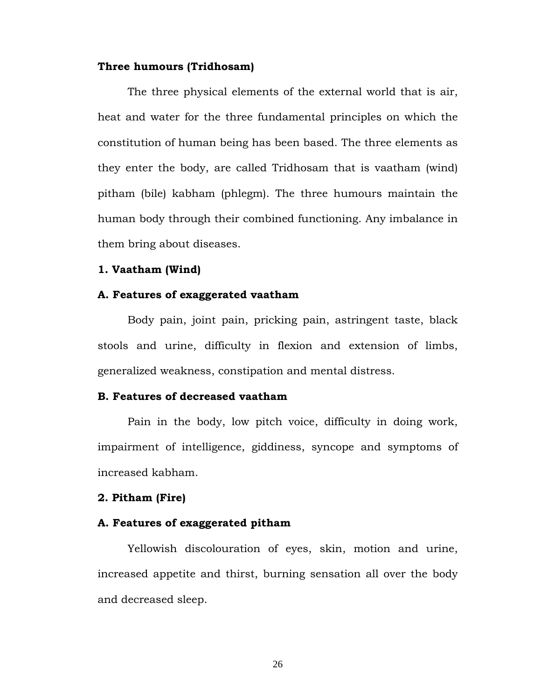#### **Three humours (Tridhosam)**

 The three physical elements of the external world that is air, heat and water for the three fundamental principles on which the constitution of human being has been based. The three elements as they enter the body, are called Tridhosam that is vaatham (wind) pitham (bile) kabham (phlegm). The three humours maintain the human body through their combined functioning. Any imbalance in them bring about diseases.

# **1. Vaatham (Wind)**

#### **A. Features of exaggerated vaatham**

 Body pain, joint pain, pricking pain, astringent taste, black stools and urine, difficulty in flexion and extension of limbs, generalized weakness, constipation and mental distress.

## **B. Features of decreased vaatham**

 Pain in the body, low pitch voice, difficulty in doing work, impairment of intelligence, giddiness, syncope and symptoms of increased kabham.

#### **2. Pitham (Fire)**

#### **A. Features of exaggerated pitham**

 Yellowish discolouration of eyes, skin, motion and urine, increased appetite and thirst, burning sensation all over the body and decreased sleep.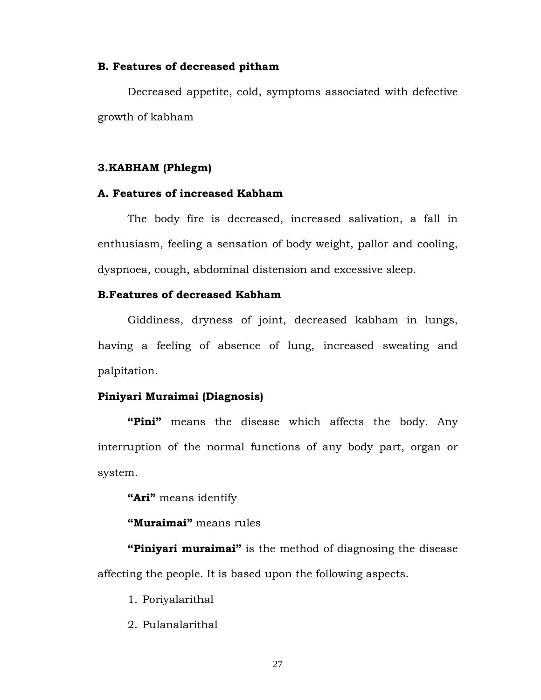#### **B. Features of decreased pitham**

 Decreased appetite, cold, symptoms associated with defective growth of kabham

#### **3.KABHAM (Phlegm)**

### **A. Features of increased Kabham**

 The body fire is decreased, increased salivation, a fall in enthusiasm, feeling a sensation of body weight, pallor and cooling, dyspnoea, cough, abdominal distension and excessive sleep.

## **B.Features of decreased Kabham**

Giddiness, dryness of joint, decreased kabham in lungs, having a feeling of absence of lung, increased sweating and palpitation.

#### **Piniyari Muraimai (Diagnosis)**

 **"Pini"** means the disease which affects the body. Any interruption of the normal functions of any body part, organ or system.

**"Ari"** means identify

**"Muraimai"** means rules

**"Piniyari muraimai"** is the method of diagnosing the disease affecting the people. It is based upon the following aspects.

1. Poriyalarithal

2. Pulanalarithal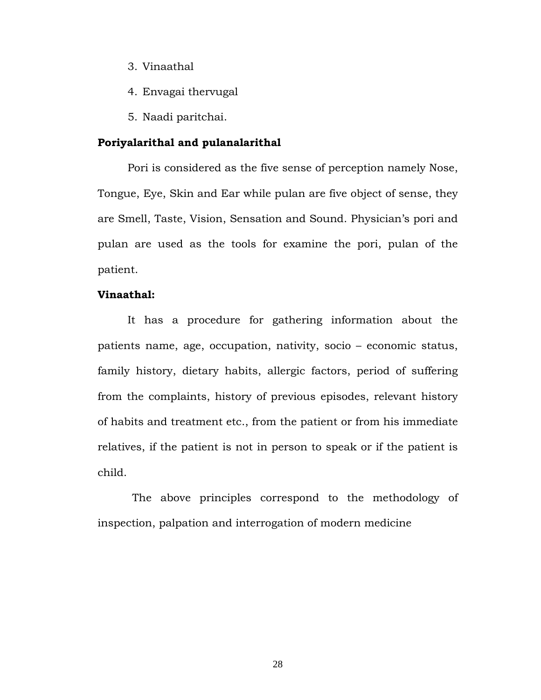- 3. Vinaathal
- 4. Envagai thervugal
- 5. Naadi paritchai.

## **Poriyalarithal and pulanalarithal**

Pori is considered as the five sense of perception namely Nose, Tongue, Eye, Skin and Ear while pulan are five object of sense, they are Smell, Taste, Vision, Sensation and Sound. Physician's pori and pulan are used as the tools for examine the pori, pulan of the patient.

## **Vinaathal:**

It has a procedure for gathering information about the patients name, age, occupation, nativity, socio – economic status, family history, dietary habits, allergic factors, period of suffering from the complaints, history of previous episodes, relevant history of habits and treatment etc., from the patient or from his immediate relatives, if the patient is not in person to speak or if the patient is child.

 The above principles correspond to the methodology of inspection, palpation and interrogation of modern medicine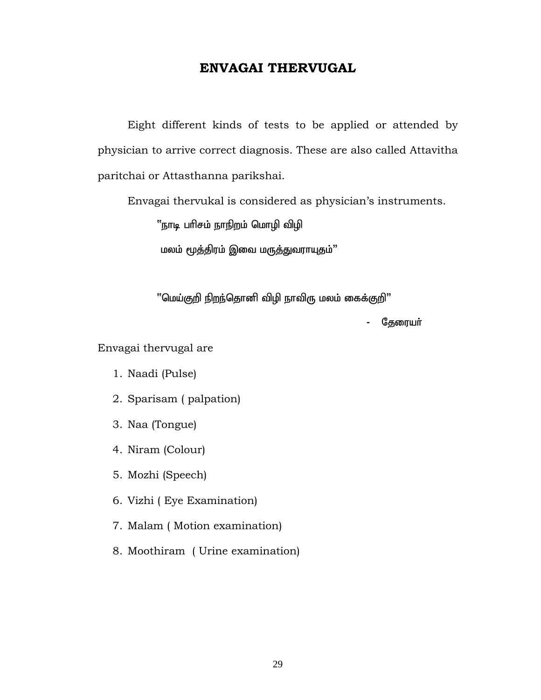# **ENVAGAI THERVUGAL**

Eight different kinds of tests to be applied or attended by physician to arrive correct diagnosis. These are also called Attavitha paritchai or Attasthanna parikshai.

Envagai thervukal is considered as physician's instruments.

''நாடி பரிசம் நாநிறம் மொழி விழி

மலம் மூத்திரம் இவை மருத்துவராயுதம்"

 $"$ மெய்குறி நிறந்தொனி விழி நாவிரு மலம் கைக்குறி $"$ 

- தேரையா்

Envagai thervugal are

- 1. Naadi (Pulse)
- 2. Sparisam ( palpation)
- 3. Naa (Tongue)
- 4. Niram (Colour)
- 5. Mozhi (Speech)
- 6. Vizhi ( Eye Examination)
- 7. Malam ( Motion examination)
- 8. Moothiram ( Urine examination)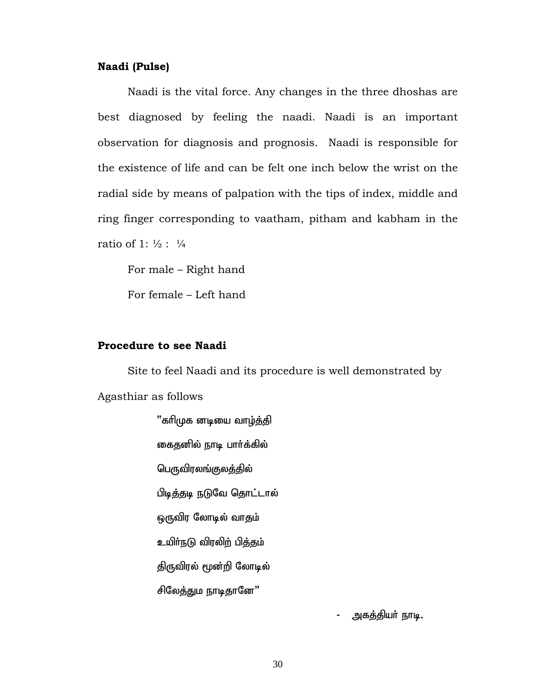#### **Naadi (Pulse)**

Naadi is the vital force. Any changes in the three dhoshas are best diagnosed by feeling the naadi. Naadi is an important observation for diagnosis and prognosis. Naadi is responsible for the existence of life and can be felt one inch below the wrist on the radial side by means of palpation with the tips of index, middle and ring finger corresponding to vaatham, pitham and kabham in the ratio of 1:  $\frac{1}{2}$ :  $\frac{1}{4}$ 

For male – Right hand

For female – Left hand

# **Procedure to see Naadi**

Site to feel Naadi and its procedure is well demonstrated by Agasthiar as follows

> ''காிமுக னடியை வாழ்த்தி கைதனில் நாடி பார்க்கில் பெருவிரலங்குலத்தில் பிடித்தடி நடுவே தொட்டால் ஒருவிர லோடில் வாதம் உயிா்நடு விரலிற் பித்தம் திருவிரல் மூன்றி லோடில் சிலேத்தும நாடிதானே"

> > அகத்தியா் நாடி.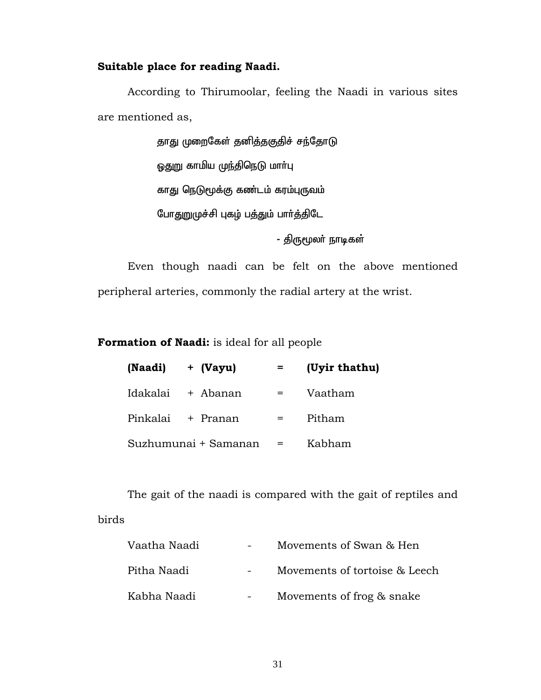# **Suitable place for reading Naadi.**

According to Thirumoolar, feeling the Naadi in various sites are mentioned as,

> தாது முறைகேள் தனித்தகுதிச் சந்தோடு <u>ஒதுறு</u> காமிய முந்திநெடு மாா்பு காது நெடுமூக்கு கண்டம் கரம்புருவம் போதுறுமுச்சி புகழ் பத்தும் பார்த்திடே

> > - திருமூலர் நாடிகள்

Even though naadi can be felt on the above mentioned peripheral arteries, commonly the radial artery at the wrist.

**Formation of Naadi:** is ideal for all people

| (Naadi)  | + (Vayu)             |     | (Uyir thathu) |
|----------|----------------------|-----|---------------|
| Idakalai | + Abanan             | $=$ | Vaatham       |
|          | Pinkalai + Pranan    |     | Pitham        |
|          | Suzhumunai + Samanan | $=$ | Kabham        |

The gait of the naadi is compared with the gait of reptiles and birds

| Vaatha Naadi | Movements of Swan & Hen       |
|--------------|-------------------------------|
| Pitha Naadi  | Movements of tortoise & Leech |
| Kabha Naadi  | Movements of frog & snake     |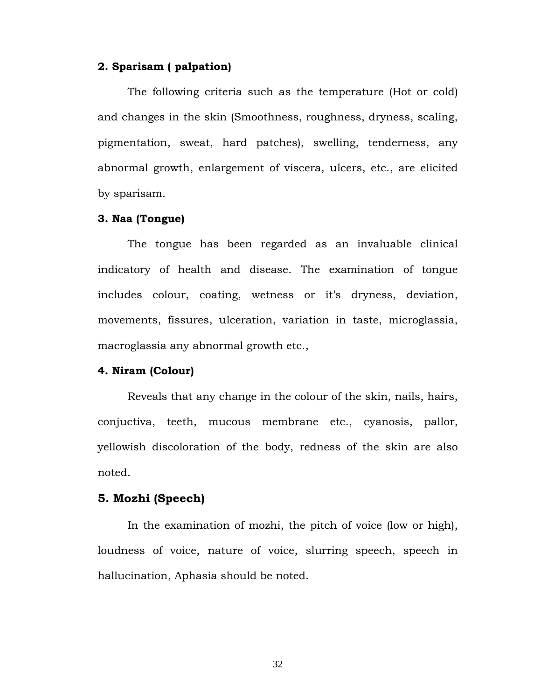#### **2. Sparisam ( palpation)**

 The following criteria such as the temperature (Hot or cold) and changes in the skin (Smoothness, roughness, dryness, scaling, pigmentation, sweat, hard patches), swelling, tenderness, any abnormal growth, enlargement of viscera, ulcers, etc., are elicited by sparisam.

# **3. Naa (Tongue)**

The tongue has been regarded as an invaluable clinical indicatory of health and disease. The examination of tongue includes colour, coating, wetness or it's dryness, deviation, movements, fissures, ulceration, variation in taste, microglassia, macroglassia any abnormal growth etc.,

#### **4. Niram (Colour)**

 Reveals that any change in the colour of the skin, nails, hairs, conjuctiva, teeth, mucous membrane etc., cyanosis, pallor, yellowish discoloration of the body, redness of the skin are also noted.

#### **5. Mozhi (Speech)**

In the examination of mozhi, the pitch of voice (low or high), loudness of voice, nature of voice, slurring speech, speech in hallucination, Aphasia should be noted.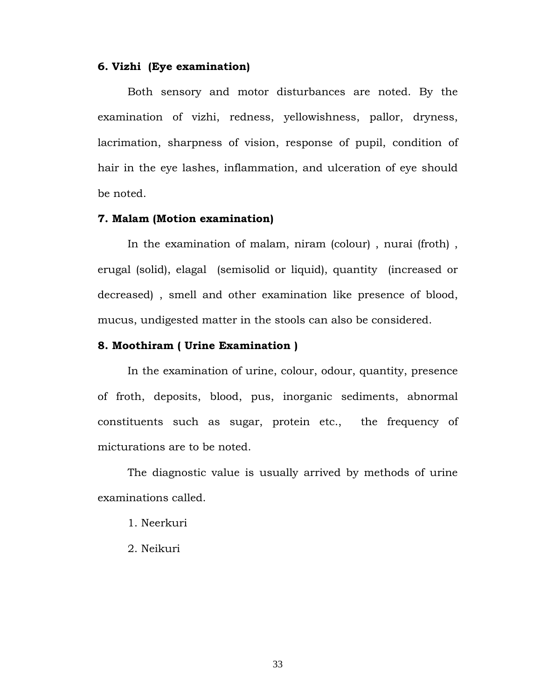#### **6. Vizhi (Eye examination)**

 Both sensory and motor disturbances are noted. By the examination of vizhi, redness, yellowishness, pallor, dryness, lacrimation, sharpness of vision, response of pupil, condition of hair in the eye lashes, inflammation, and ulceration of eye should be noted.

#### **7. Malam (Motion examination)**

 In the examination of malam, niram (colour) , nurai (froth) , erugal (solid), elagal (semisolid or liquid), quantity (increased or decreased) , smell and other examination like presence of blood, mucus, undigested matter in the stools can also be considered.

#### **8. Moothiram ( Urine Examination )**

 In the examination of urine, colour, odour, quantity, presence of froth, deposits, blood, pus, inorganic sediments, abnormal constituents such as sugar, protein etc., the frequency of micturations are to be noted.

 The diagnostic value is usually arrived by methods of urine examinations called.

- 1. Neerkuri
- 2. Neikuri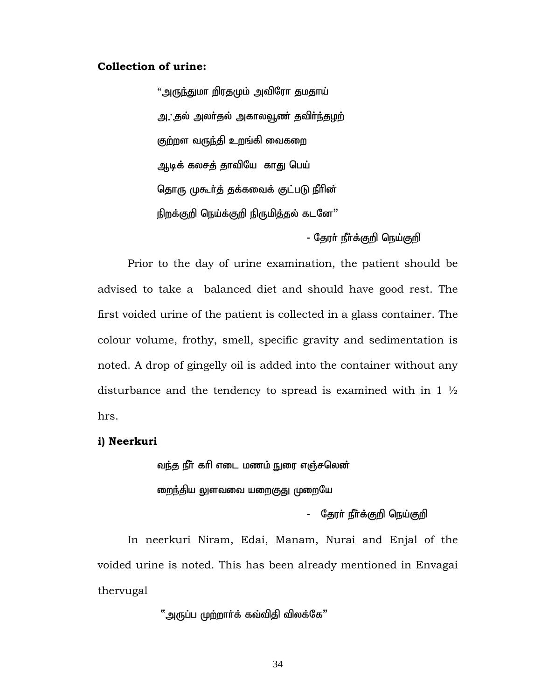#### **Collection of urine:**

"அருந்துமா றிரதமும் அவிரோ தமதாய் அ. தல் அலர்தல் அகாலவூண் தவிர்ந்<u>த</u>ழற் குற்றள வருந்தி உறங்கி வைகறை அடிக் கலசத் தாவியே காது பெய் தொரு முகூர்த் தக்கவைக் குட்படு நீரின் நிறக்குறி நெய்க்குறி நிருமித்தல் கடனே"

- தேரா் நீா்க்குறி நெய்குறி

Prior to the day of urine examination, the patient should be advised to take a balanced diet and should have good rest. The first voided urine of the patient is collected in a glass container. The colour volume, frothy, smell, specific gravity and sedimentation is noted. A drop of gingelly oil is added into the container without any disturbance and the tendency to spread is examined with in  $1\frac{1}{2}$ hrs.

#### **i) Neerkuri**

வந்த நீர் கரி எடை மணம் நுரை எஞ்சலென் <u>றைந்தி</u>ய லுளவவை யறைகுது முறையே

- தேரா் நீா்க்குறி நெய்குறி

In neerkuri Niram, Edai, Manam, Nurai and Enjal of the voided urine is noted. This has been already mentioned in Envagai thervugal

 $"$ அருப்ப முற்றாா்க் கவ்விதி விலக்கே $"$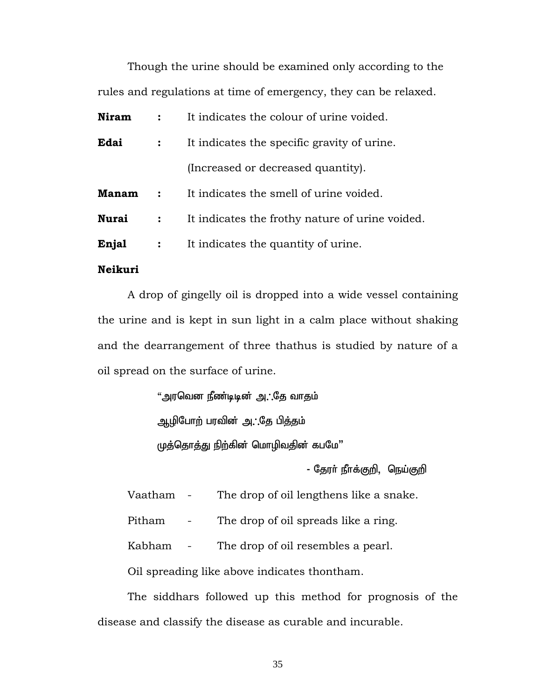Though the urine should be examined only according to the rules and regulations at time of emergency, they can be relaxed.

| <b>Niram</b> |                | It indicates the colour of urine voided.        |
|--------------|----------------|-------------------------------------------------|
| Edai         |                | It indicates the specific gravity of urine.     |
|              |                | (Increased or decreased quantity).              |
| <b>Manam</b> | $\ddot{\cdot}$ | It indicates the smell of urine voided.         |
| <b>Nurai</b> | $\ddot{\cdot}$ | It indicates the frothy nature of urine voided. |
| Enjal        | $\ddot{\cdot}$ | It indicates the quantity of urine.             |

#### **Neikuri**

A drop of gingelly oil is dropped into a wide vessel containing the urine and is kept in sun light in a calm place without shaking and the dearrangement of three thathus is studied by nature of a oil spread on the surface of urine.

> "அரவென நீண்டிடின் அ. தே வாதம் ஆழிபோற் பரவின் அ. தே பித்தம் முத்தொத்து நிற்கின் மொழிவதின் கபமே"

> > - தேரா் நீாக்குறி, நெய்குறி

Vaatham - The drop of oil lengthens like a snake.

Pitham - The drop of oil spreads like a ring.

Kabham - The drop of oil resembles a pearl.

Oil spreading like above indicates thontham.

 The siddhars followed up this method for prognosis of the disease and classify the disease as curable and incurable.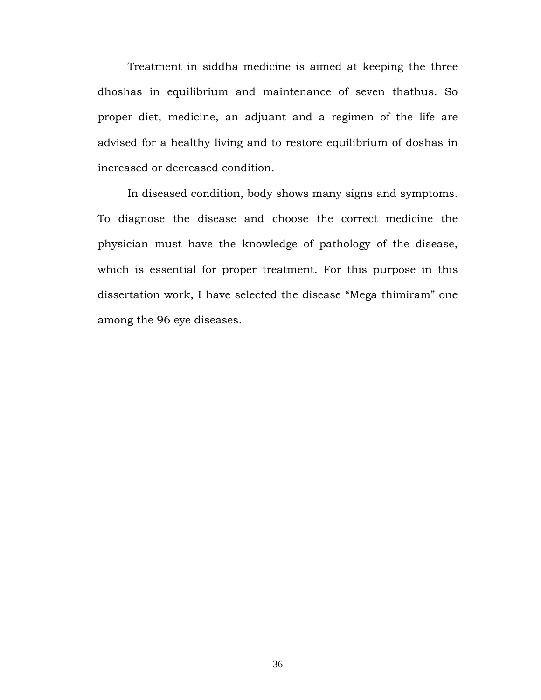Treatment in siddha medicine is aimed at keeping the three dhoshas in equilibrium and maintenance of seven thathus. So proper diet, medicine, an adjuant and a regimen of the life are advised for a healthy living and to restore equilibrium of doshas in increased or decreased condition.

 In diseased condition, body shows many signs and symptoms. To diagnose the disease and choose the correct medicine the physician must have the knowledge of pathology of the disease, which is essential for proper treatment. For this purpose in this dissertation work, I have selected the disease "Mega thimiram" one among the 96 eye diseases.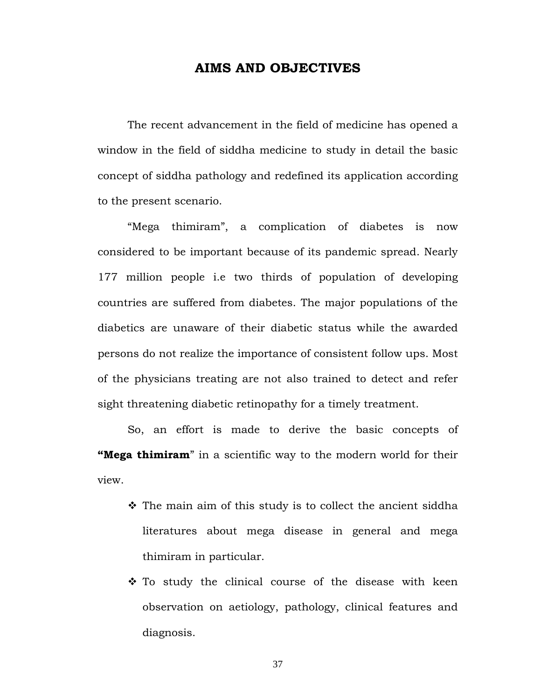#### **AIMS AND OBJECTIVES**

The recent advancement in the field of medicine has opened a window in the field of siddha medicine to study in detail the basic concept of siddha pathology and redefined its application according to the present scenario.

 "Mega thimiram", a complication of diabetes is now considered to be important because of its pandemic spread. Nearly 177 million people i.e two thirds of population of developing countries are suffered from diabetes. The major populations of the diabetics are unaware of their diabetic status while the awarded persons do not realize the importance of consistent follow ups. Most of the physicians treating are not also trained to detect and refer sight threatening diabetic retinopathy for a timely treatment.

 So, an effort is made to derive the basic concepts of **"Mega thimiram**" in a scientific way to the modern world for their view.

- $\hat{\cdot}$  The main aim of this study is to collect the ancient siddha literatures about mega disease in general and mega thimiram in particular.
- $\cdot$  To study the clinical course of the disease with keen observation on aetiology, pathology, clinical features and diagnosis.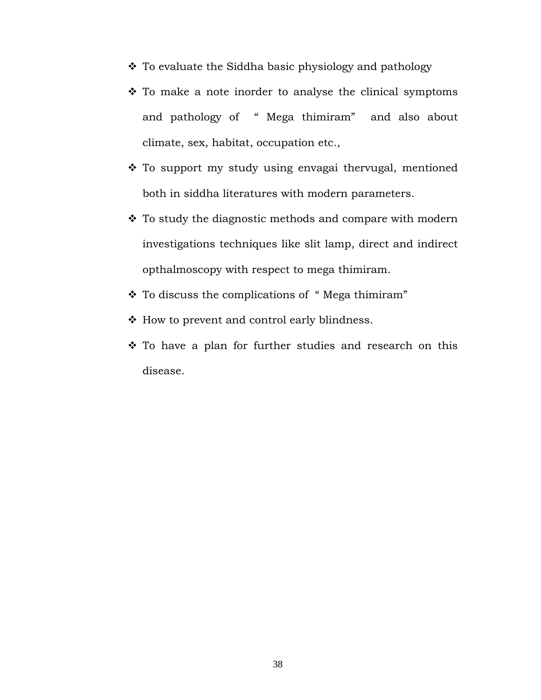- To evaluate the Siddha basic physiology and pathology
- $\cdot$  To make a note inorder to analyse the clinical symptoms and pathology of " Mega thimiram" and also about climate, sex, habitat, occupation etc.,
- \* To support my study using envagai thervugal, mentioned both in siddha literatures with modern parameters.
- $\cdot$  To study the diagnostic methods and compare with modern investigations techniques like slit lamp, direct and indirect opthalmoscopy with respect to mega thimiram.
- \* To discuss the complications of "Mega thimiram"
- $\triangleleft$  How to prevent and control early blindness.
- \* To have a plan for further studies and research on this disease.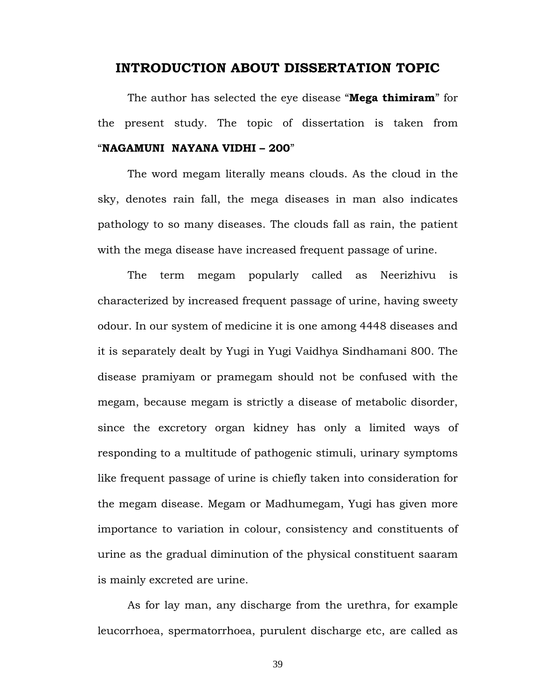#### **INTRODUCTION ABOUT DISSERTATION TOPIC**

 The author has selected the eye disease "**Mega thimiram**" for the present study. The topic of dissertation is taken from "**NAGAMUNI NAYANA VIDHI – 200**"

 The word megam literally means clouds. As the cloud in the sky, denotes rain fall, the mega diseases in man also indicates pathology to so many diseases. The clouds fall as rain, the patient with the mega disease have increased frequent passage of urine.

 The term megam popularly called as Neerizhivu is characterized by increased frequent passage of urine, having sweety odour. In our system of medicine it is one among 4448 diseases and it is separately dealt by Yugi in Yugi Vaidhya Sindhamani 800. The disease pramiyam or pramegam should not be confused with the megam, because megam is strictly a disease of metabolic disorder, since the excretory organ kidney has only a limited ways of responding to a multitude of pathogenic stimuli, urinary symptoms like frequent passage of urine is chiefly taken into consideration for the megam disease. Megam or Madhumegam, Yugi has given more importance to variation in colour, consistency and constituents of urine as the gradual diminution of the physical constituent saaram is mainly excreted are urine.

 As for lay man, any discharge from the urethra, for example leucorrhoea, spermatorrhoea, purulent discharge etc, are called as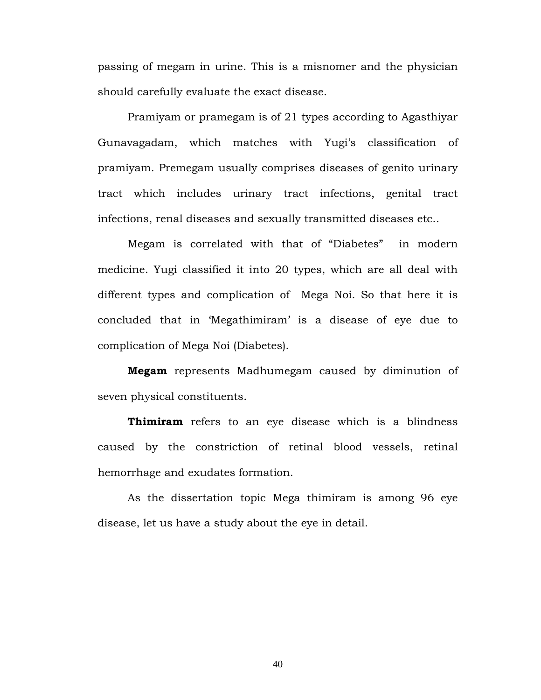passing of megam in urine. This is a misnomer and the physician should carefully evaluate the exact disease.

Pramiyam or pramegam is of 21 types according to Agasthiyar Gunavagadam, which matches with Yugi's classification of pramiyam. Premegam usually comprises diseases of genito urinary tract which includes urinary tract infections, genital tract infections, renal diseases and sexually transmitted diseases etc..

Megam is correlated with that of "Diabetes" in modern medicine. Yugi classified it into 20 types, which are all deal with different types and complication of Mega Noi. So that here it is concluded that in 'Megathimiram' is a disease of eye due to complication of Mega Noi (Diabetes).

**Megam** represents Madhumegam caused by diminution of seven physical constituents.

**Thimiram** refers to an eye disease which is a blindness caused by the constriction of retinal blood vessels, retinal hemorrhage and exudates formation.

As the dissertation topic Mega thimiram is among 96 eye disease, let us have a study about the eye in detail.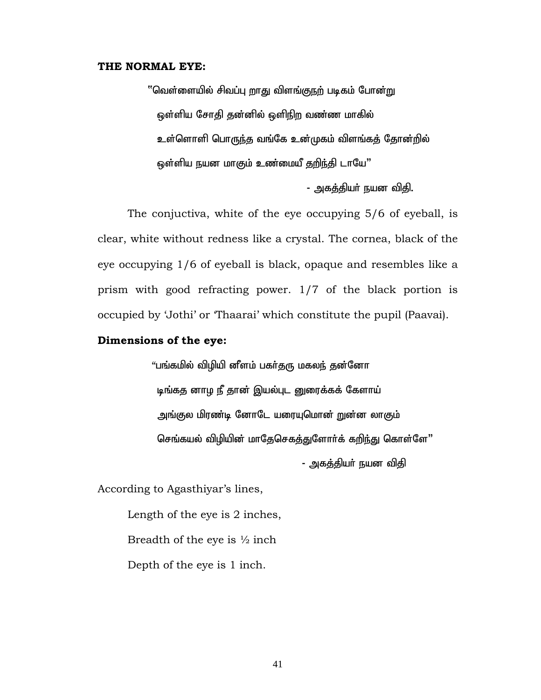#### **THE NORMAL EYE:**

''வெள்ளையில் சிவப்பு றாது விளங்குநற் படிகம் போன்று ஒள்ளிய சோதி தன்னில் ஒளிநிற வண்ண மாகில் உள்ளொளி பொருந்த வங்கே உன்முகம் விளங்கத் தோன்றில் <u>ஒ</u>ள்ளிய நயன மாகும் உண்மையீ தறிந்தி டாயே"

- அகத்தியா் நயன விதி.

The conjuctiva, white of the eye occupying 5/6 of eyeball, is clear, white without redness like a crystal. The cornea, black of the eye occupying 1/6 of eyeball is black, opaque and resembles like a prism with good refracting power. 1/7 of the black portion is occupied by 'Jothi' or 'Thaarai' which constitute the pupil (Paavai).

#### **Dimensions of the eye:**

"பங்கமில் விழியி னீளம் பகர்தரு மகலந் தன்னோ டிங்கத னாழ நீ தான் இயல்புட னுரைக்கக் கேளாய் அங்குல மிரண்டி னோடே யரையுமொன் றுன்ன லாகும் செங்கயல் விழியின் மாதேசெகத்துளோர்க் கறிந்து கொள்ளே"

- அகத்தியா் நயன விதி

According to Agasthiyar's lines,

 Length of the eye is 2 inches, Breadth of the eye is  $\frac{1}{2}$  inch Depth of the eye is 1 inch.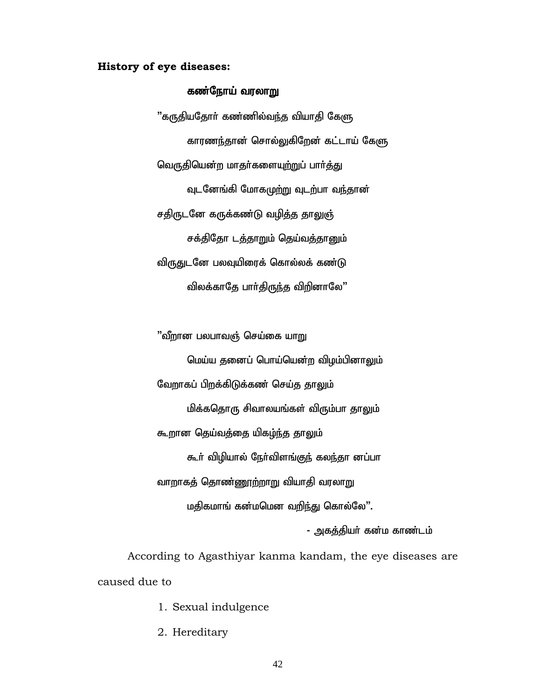#### **History of eye diseases:**

#### கண்நோய் வரலாறு

 $"$ கருதியதோா் கண்ணில்வந்த வியாதி கேளு காரணந்தான் சொல்லுகிறேன் கட்டாய் கேளு வெருதியென்ற மாதர்களையுற்றுப் பார்த்து வுடனேங்கி மோகமுற்று வுடற்பா வந்தான் சதிருடனே கருக்கண்டு வழித்த தாலுஞ் சக்திதோ டத்தாறும் தெய்வத்தானும் விருதுடனே பலவுயிரைக் கொல்லக் கண்டு விலக்காதே பார்திருந்த விறினாலே"

"வீறான பலபாவஞ் செய்கை யாறு மெய்ய தனைப் பொய்யென்ற விழம்பினாலும் வேறாகப் பிறக்கிடுக்கண் செய்த தாலும் மிக்கதொரு சிவாலயங்கள் விரும்பா தாலும் கூறான தெய்வத்தை யிகழ்ந்த தாலும் கூர் விழியால் நேர்விளங்குந் கலந்தா னப்பா வாறாகத் தொண்ணூற்றாறு வியாதி வரலாறு மதிகமாங் கன்மமென வறிந்து கொல்லே".

- அகக்கியர் கன்ம காண்டம்

According to Agasthiyar kanma kandam, the eye diseases are caused due to

- 1. Sexual indulgence
- 2. Hereditary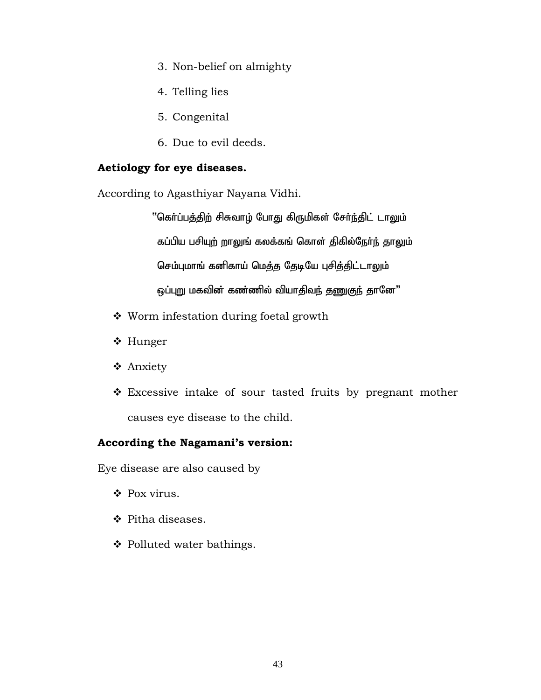- 3. Non-belief on almighty
- 4. Telling lies
- 5. Congenital
- 6. Due to evil deeds.

# **Aetiology for eye diseases.**

According to Agasthiyar Nayana Vidhi.

"கொ்ப்பத்திற் சிசுவாழ் போது கிருமிகள் சேர்ந்திட் டாலும் கப்பிய பசியுற் றாலுங் கலக்கங் கொள் திகில்நேர்ந் தாலும் செம்புமாங் கனிகாய் மெத்த தேடியே புசித்திட்டாலும் ஒப்புறு மகவின் கண்ணில் வியாதிவந் தணுகுந் தானே"

- Worm infestation during foetal growth
- ❖ Hunger
- Anxiety
- Excessive intake of sour tasted fruits by pregnant mother causes eye disease to the child.

### **According the Nagamani's version:**

Eye disease are also caused by

- ❖ Pox virus.
- ❖ Pitha diseases.
- $\triangleleft$  Polluted water bathings.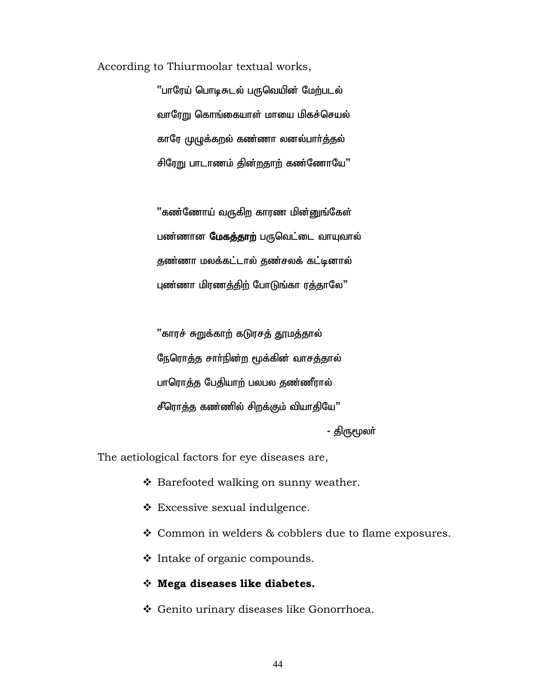According to Thiurmoolar textual works,

"பாரேய் பொடிசுடல் பருவெயின் மேற்படல் வாரேறு கொங்கையாள் மாயை மிகச்செயல் காரே முழுக்கறல் கண்ணா லனல்பார்த்தல் சிரேறு பாடாணம் தின்றதாற் கண்ணோயே"

"கண்ணோய் வருகிற காரண மின்னுங்கேள் பண்ணான **மேகத்தாற்** பருவெட்டை வாயுவால் தண்ணா மலக்கட்டால் தண்சலக் கட்டினால் புண்ணா மிரணத்திற் போடுங்கா ரத்தாலே"

ீகாரச் சுறுக்காற் கடுரசத் தூமத்தால் நேரொத்த சார்நின்ற மூக்கின் வாசத்தால் பாரொத்த பேதியாற் பலபல தண்ணீரால் சீரொத்த கண்ணில் சிறக்கும் வியாதியே"

- திருமூலா்

The aetiological factors for eye diseases are,

- ❖ Barefooted walking on sunny weather.
- Excessive sexual indulgence.
- Common in welders & cobblers due to flame exposures.
- $\cdot$  Intake of organic compounds.
- **Mega diseases like diabetes.**
- Genito urinary diseases like Gonorrhoea.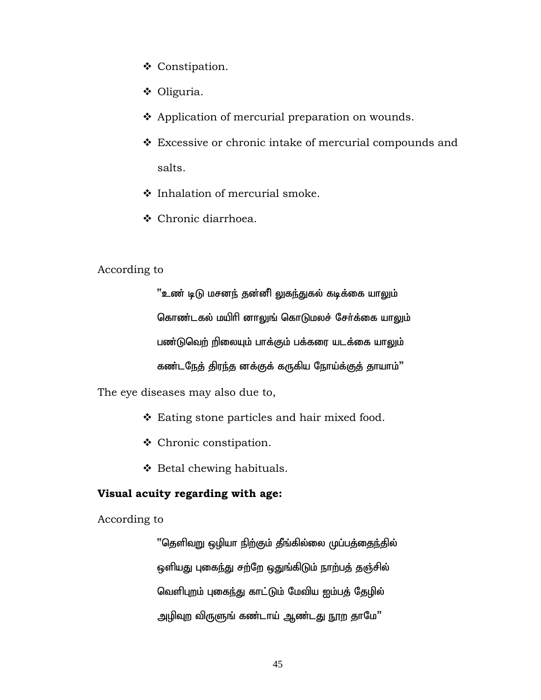- Constipation.
- ◆ Oliguria.
- ❖ Application of mercurial preparation on wounds.
- Excessive or chronic intake of mercurial compounds and salts.
- $\div$  Inhalation of mercurial smoke.
- Chronic diarrhoea.

# According to

 $``$ உண் டிடு மசனந் தன்னி லுகந்துகல் கடிக்கை யாலும் கொண்டகல் மயிரி னாலுங் கொடுமலச் சேர்க்கை யாலும் பண்டுவெற் றிலையும் பாக்கும் பக்கரை யடக்கை யாலும் கண்டநேத் திரந்த னக்குக் கருகிய நோய்க்குத் தாயாம்"

The eye diseases may also due to,

- ❖ Eating stone particles and hair mixed food.
- Chronic constipation.
- $\triangleleft$  Betal chewing habituals.

## **Visual acuity regarding with age:**

According to

''தெளிவறு ஒழியா நிற்கும் தீங்கில்லை முப்பத்தைந்தில் ஒளியது புகைந்து சற்றே ஒதுங்கிடும் நாற்பத் தஞ்சில் வெளிபுறம் புகைந்து காட்டும் மேவிய ஐம்பத் தேழில் அழிவுற விருளுங் கண்டாய் ஆண்டது நூற தாமே"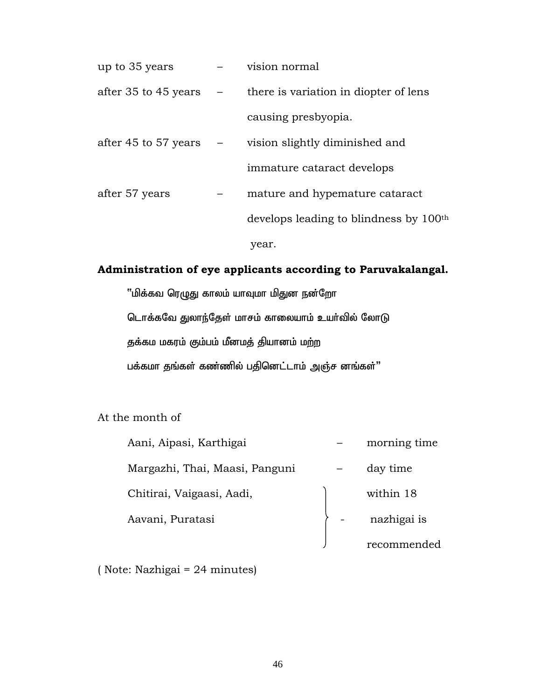| up to 35 years           | vision normal                                                         |
|--------------------------|-----------------------------------------------------------------------|
|                          | after 35 to 45 years $\qquad$ - there is variation in diopter of lens |
|                          | causing presbyopia.                                                   |
| after 45 to 57 years $-$ | vision slightly diminished and                                        |
|                          | immature cataract develops                                            |
| after 57 years           | mature and hypemature cataract                                        |
|                          | develops leading to blindness by 100 <sup>th</sup>                    |
|                          | year.                                                                 |

# **Administration of eye applicants according to Paruvakalangal.**

"மிக்கவ ரெழுது காலம் யாவுமா மிதுன நன்றோ டொக்கவே துலாந்தேள் மாசம் காலையாம் உயர்வில் லோடு தக்கம மகரம் கும்பம் மீனமத் தியானம் மற்ற பக்கமா தங்கள் கண்ணில் பதினெட்டாம் அஞ்ச னங்கள்"

At the month of

| Aani, Aipasi, Karthigai        | morning time |
|--------------------------------|--------------|
| Margazhi, Thai, Maasi, Panguni | day time     |
| Chitirai, Vaigaasi, Aadi,      | within 18    |
| Aavani, Puratasi               | nazhigai is  |
|                                | recommended  |

( Note: Nazhigai = 24 minutes)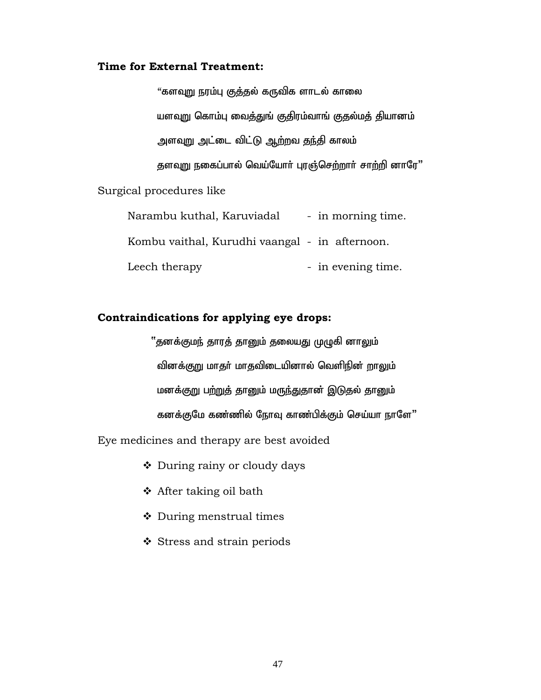#### **Time for External Treatment:**

"களவுறு நரம்பு குத்தல் கருவிக ளாடல் காலை யளவுறு கொம்பு வைத்துங் குதிரம்வாங் குதல்மத் தியானம் அளவுறு அட்டை விட்டு ஆற்றவ தந்தி காலம் தளவுறு நகைப்பால் வெய்யோர் புரஞ்செற்றார் சாற்றி னாரே" Surgical procedures like

Narambu kuthal, Karuviadal - in morning time. Kombu vaithal, Kurudhi vaangal - in afternoon. Leech therapy  $\qquad \qquad$  - in evening time.

### **Contraindications for applying eye drops:**

''தனக்குமந் தாரத் தானும் தலையது முழுகி னாலும் வினக்குறு மாதர் மாதவிடையினால் வெளிநின் றாலும் மனக்குறு பற்றுத் தானும் மருந்துதான் இடுதல் தானும் கனக்குமே கண்ணில் நோவு காண்பிக்கும் செய்யா நாளே"

Eye medicines and therapy are best avoided

- During rainy or cloudy days
- After taking oil bath
- During menstrual times
- Stress and strain periods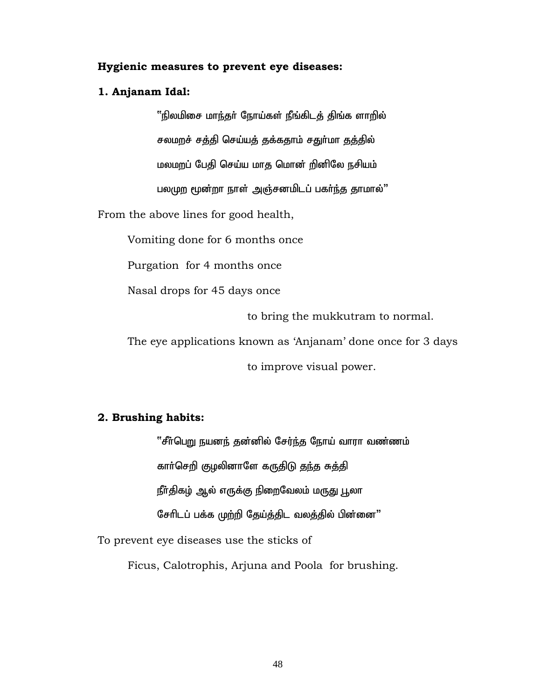#### **Hygienic measures to prevent eye diseases:**

#### **1. Anjanam Idal:**

 $"$ நிலமிசை மாந்தர் நோய்கள் நீங்கிடத் திங்க ளாறில் சலமறச் சத்தி செய்யத் தக்கதாம் சதுர்மா தத்தில் மலமறப் பேதி செய்ய மாத மொன் றினிலே நசியம் பலமுற மூன்றா நாள் அஞ்சனமிடப் பகர்ந்த தாமால்"

From the above lines for good health,

Vomiting done for 6 months once

Purgation for 4 months once

Nasal drops for 45 days once

to bring the mukkutram to normal.

The eye applications known as 'Anjanam' done once for 3 days

to improve visual power.

#### **2. Brushing habits:**

''சீர்பெறு நயனந் தன்னில் சேர்ந்த நோய் வாரா வண்ணம் காா்செறி குழலினாளே கருதிடு தந்த சுத்தி நீா்திகழ் ஆல் எருக்கு நிறைவேலம் மருது பூலா சேரிடப் பக்க முற்றி தேய்த்திட வலத்தில் பின்னை"

To prevent eye diseases use the sticks of

Ficus, Calotrophis, Arjuna and Poola for brushing.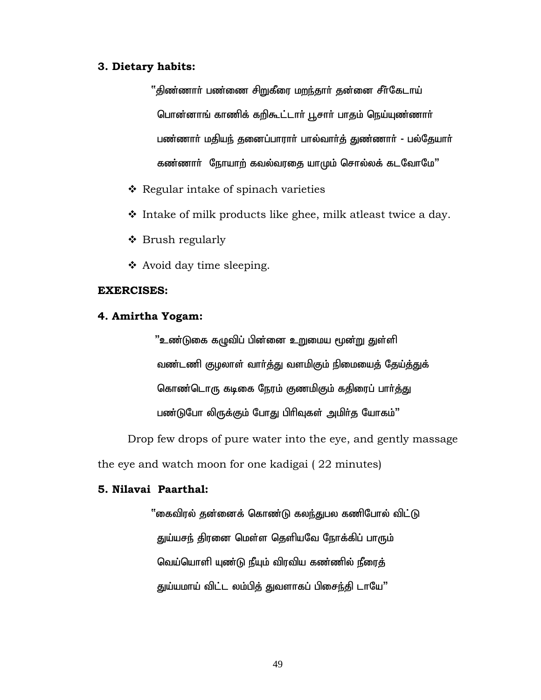#### **3. Dietary habits:**

 $"$ திண்ணார் பண்ணை சிறுகீரை மறந்தார் தன்னை சீர்கேடாய் பொன்னாங் காணிக் கறிகூட்டார் பூசார் பாதம் நெய்யுண்ணார் பண்ணார் மதியந் தனைப்பாரார் பால்வார்த் துண்ணார் - பல்தேயார் கண்ணார் நோயாற் கவல்வரதை யாமும் சொல்லக் கடவோமே"

- ❖ Regular intake of spinach varieties
- $\cdot$  Intake of milk products like ghee, milk atleast twice a day.
- Brush regularly
- $\triangleleft$  Avoid day time sleeping.

#### **EXERCISES:**

#### **4. Amirtha Yogam:**

<u>"உண்டு</u>கை கழுவிப் பின்னை உறுமைய மூன்று துள்ளி வண்டணி குழலாள் வார்த்து வளமிகும் நிமையைத் தேய்த்துக் கொண்டொரு கடிகை நேரம் குணமிகும் கதிரைப் பார்த்து பண்டுபோ லிருக்கும் போது பிரிவுகள் அமிர்த யோகம்"

Drop few drops of pure water into the eye, and gently massage

the eye and watch moon for one kadigai ( 22 minutes)

#### **5. Nilavai Paarthal:**

 $\lq$ ்கைவிரல் தன்னைக் கொண்டு கலந்துபல கணிபோல் விட்டு துய்யசந் திரனை மெள்ள தெளியவே நோக்கிப் பாரும் வெய்யொளி யுண்டு நீயும் விரவிய கண்ணில் நீரைத் துய்யமாய் விட்ட லம்பித் துவளாகப் பிசைந்தி டாயே"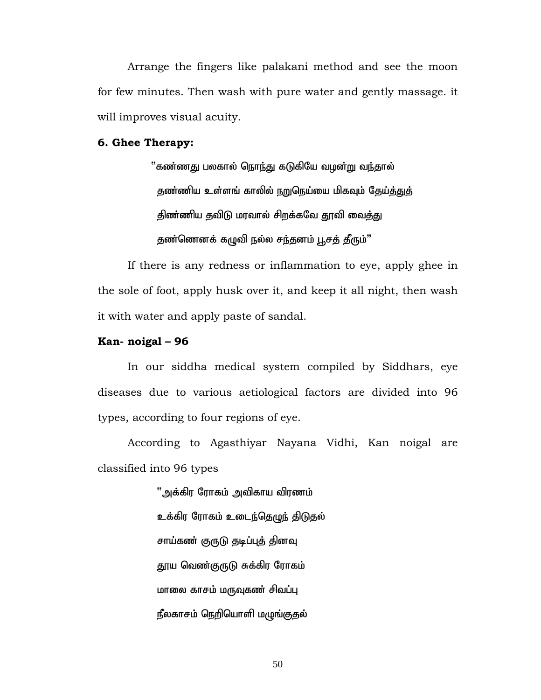Arrange the fingers like palakani method and see the moon for few minutes. Then wash with pure water and gently massage. it will improves visual acuity.

#### **6. Ghee Therapy:**

்'கண்ணது பலகால் நொந்து கடுகியே வழன்று வந்தால் தண்ணிய உள்ளங் காலில் நறுநெய்யை மிகவும் தேய்த்துத் திண்ணிய தவிடு மரவால் சிறக்கவே தூவி வைத்து தண்ணெனக் கழுவி நல்ல சந்தனம் பூசத் தீரும்"

If there is any redness or inflammation to eye, apply ghee in the sole of foot, apply husk over it, and keep it all night, then wash it with water and apply paste of sandal.

#### **Kan- noigal – 96**

 In our siddha medical system compiled by Siddhars, eye diseases due to various aetiological factors are divided into 96 types, according to four regions of eye.

According to Agasthiyar Nayana Vidhi, Kan noigal are classified into 96 types

> "அக்கிர ரோகம் அவிகாய விரணம் உக்கிர ரோகம் உடைந்தெழுந் திடுதல் சாய்கண் குருடு தடிப்புத் தினவு தூய வெண்குருடு சுக்கிர ரோகம் மாலை காசம் மருவுகண் சிவப்பு நீலகாசம் நெறியொளி மழுங்குதல்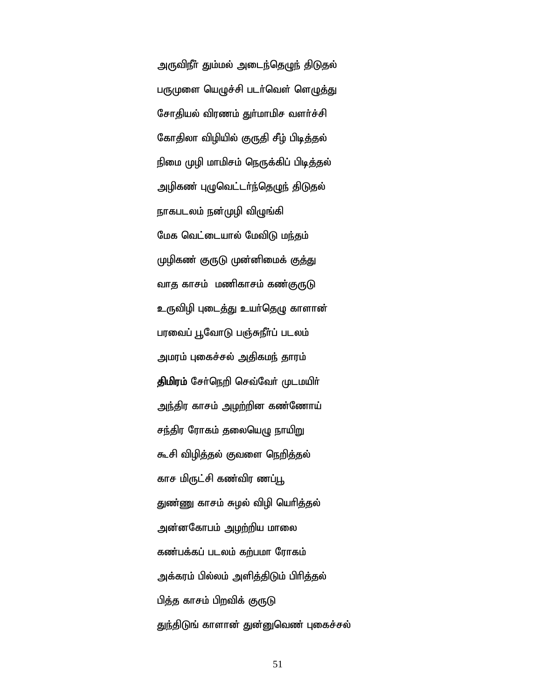அருவிநீா் தும்மல் அடைந்தெழுந் திடுதல் பருமுளை யெழுச்சி படர்வெள் ளெழுத்து சோதியல் விரணம் துா்மாமிச வளா்ச்சி கோதிலா விழியில் குருதி சீழ் பிடித்தல் நிமை முழி மாமிசம் நெருக்கிப் பிடித்தல் அழிகண் புழுவெட்டர்ந்தெழுந் திடுதல் நாகபடலம் நன்முழி விழுங்கி மேக வெட்டையால் மேவிடு மந்தம் முழிகண் குருடு முன்னிமைக் கு<u>க்</u>து வாத காசம் மணிகாசம் கண்குருடு உருவிழி புடைத்து உயர்தெழு காளான் பரவைப் பூவோடு பஞ்சுநீர்ப் படலம் அமரம் புகைச்சல் அதிகமந் தாரம் திமிரம் சேர்நெறி செவ்வேர் முடமயிர் <u>அந்</u>திர காசம் <u>அழற்</u>றின கண்ணோய் சந்திர ரோகம் தலையெழு நாயிறு கூசி விழித்தல் குவளை நெறித்தல் காச மிருட்சி கண்விர ணப்பூ துண்ணு காசம் சுழல் விழி யெரித்தல் அன்னகோபம் <u>அழற்</u>றிய மாலை கண்பக்கப் படலம் கற்பமா ரோகம் அக்கரம் பில்லம் அளித்திடும் பிரித்தல் பித்த காசம் பிறவிக் குருடு துந்திடுங் காளான் துன்னுவெண் புகைச்சல்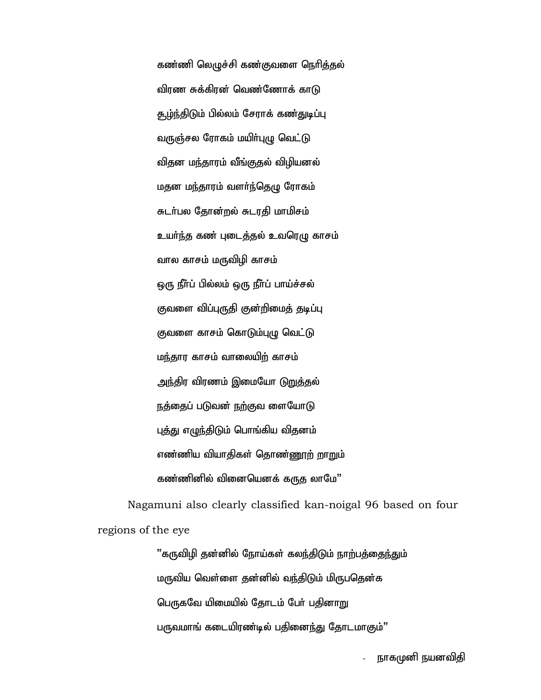கண்ணி லெழுச்சி கண்குவளை நெரித்தல் விரண சுக்கிரன் வெண்ணோக் காடு <u>சூழ்ந்திடு</u>ம் பில்லம் சேராக் கண்துடிப்பு வருஞ்சல ரோகம் மயிர்புழு வெட்டு விதன மந்தாரம் வீங்குதல் விழியனல் மதன மந்தாரம் வளர்ந்தெழு ரோகம் சுடர்பல தோன்றல் சுடரதி மாமிசம் உயர்ந்த கண் புடைத்தல் உவரெழு காசம் வால காசம் மருவிழி காசம் ஒரு நீா்ப் பில்லம் ஒரு நீா்ப் பாய்ச்சல் குவளை விப்புருதி குன்றிமைத் தடிப்பு குவளை காசம் கொடும்புழு வெட்டு மந்தார காசம் வாலையிற் காசம் அந்திர விரணம் இமையோ ட<u>ுறு</u>த்தல் நத்தைப் படுவன் நற்குவ ளையோடு புத்து எழுந்திடும் பொங்கிய விதனம் எண்ணிய வியாகிகள் கொண்ணூற் றாறும் கண்ணினில் வினையெனக் கருத லாமே"

Nagamuni also clearly classified kan-noigal 96 based on four regions of the eye

> "கருவிழி தன்னில் நோய்கள் கலந்திடும் நாற்பத்தைந்தும் மருவிய வெள்ளை தன்னில் வந்திடும் மிருபதென்க பெருகவே யிமையில் தோடம் பேர் பதினாறு பருவமாங் கடையிரண்டில் பதினைந்து தோடமாகும்"

> > நாகமுனி நயனவிதி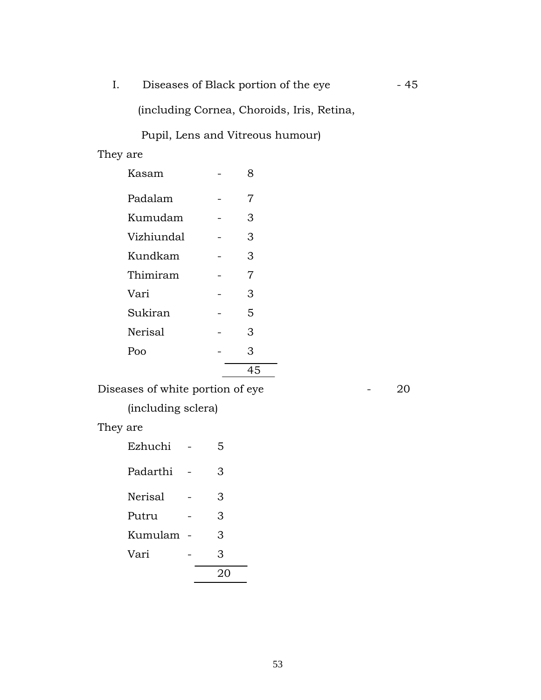I. Diseases of Black portion of the eye - 45

(including Cornea, Choroids, Iris, Retina,

Pupil, Lens and Vitreous humour)

# They are

| Kasam          | 8  |
|----------------|----|
| Padalam        | 7  |
| Kumudam        | 3  |
| Vizhiundal     | 3  |
| Kundkam        | 3  |
| Thimiram       | 7  |
| Vari           | 3  |
| Sukiran        | 5  |
| <b>Nerisal</b> | 3  |
| Poo            | 3  |
|                | 45 |

Diseases of white portion of eye **- 20** 

(including sclera)

# They are

| Ezhuchi        | 5 |
|----------------|---|
| Padarthi       | 3 |
| <b>Nerisal</b> | 3 |
| Putru          | 3 |
| Kumulam        | 3 |
| Vari           | 3 |
|                |   |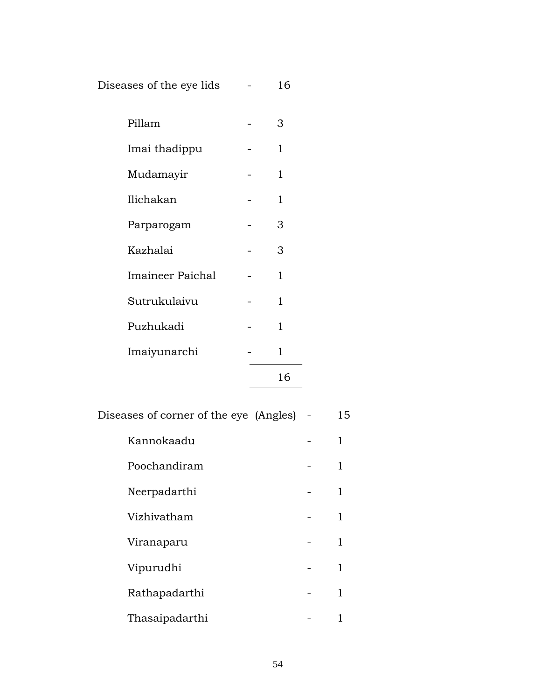Diseases of the eye lids - 16

| Pillam                  | 3  |
|-------------------------|----|
| Imai thadippu           | 1  |
| Mudamayir               | 1  |
| Ilichakan               | 1  |
| Parparogam              | 3  |
| Kazhalai                | 3  |
| <b>Imaineer Paichal</b> | 1  |
| Sutrukulaivu            | 1  |
| Puzhukadi               | 1  |
| Imaiyunarchi            | 1  |
|                         | 16 |

Diseases of corner of the eye (Angles) - 15

- Kannokaadu 1 1 Poochandiram - 1
- Neerpadarthi 1 Vizhivatham - 1
- Viranaparu 1
- Vipurudhi 1
- Rathapadarthi 1
- Thasaipadarthi 1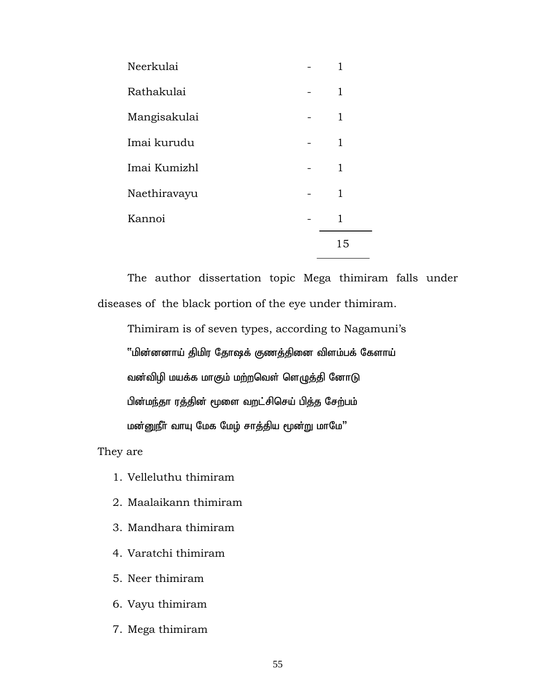| Neerkulai    |  |    |
|--------------|--|----|
| Rathakulai   |  | 1  |
| Mangisakulai |  | 1  |
| Imai kurudu  |  | 1  |
| Imai Kumizhl |  | 1  |
| Naethiravayu |  | 1  |
| Kannoi       |  | 1  |
|              |  | 15 |

The author dissertation topic Mega thimiram falls under diseases of the black portion of the eye under thimiram.

 Thimiram is of seven types, according to Nagamuni's "மின்னனாய் திமிர தோஷக் குணத்தினை விளம்பக் கேளாய் வன்விழி மயக்க மாகும் மற்றவெள் ளெழுத்தி னோடு பின்மந்தா ரத்தின் மூளை வறட்சிசெய் பித்த சேற்பம் மன்னுநீர் வாயு மேக மேழ் சாத்திய மூன்று மாமே"

They are

- 1. Velleluthu thimiram
- 2. Maalaikann thimiram
- 3. Mandhara thimiram
- 4. Varatchi thimiram
- 5. Neer thimiram
- 6. Vayu thimiram
- 7. Mega thimiram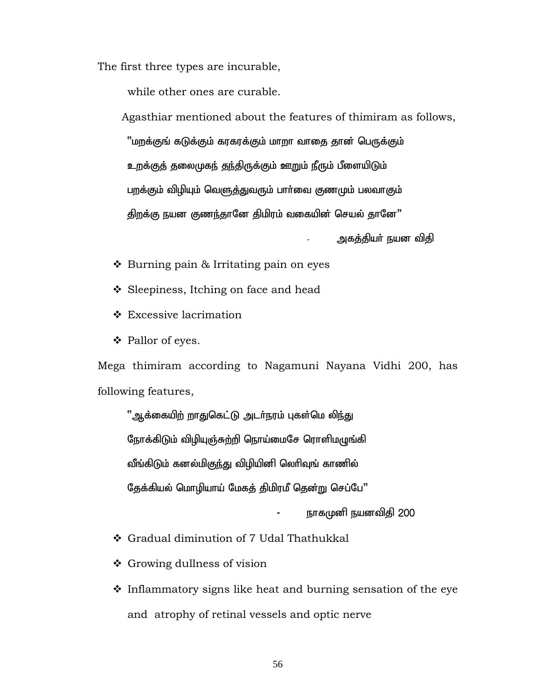The first three types are incurable,

while other ones are curable.

 Agasthiar mentioned about the features of thimiram as follows, ''மறக்குங் கடுக்கும் கரகரக்கும் மாறா வாதை தான் பெருக்கும் உறக்குத் தலைமுகந் தந்திருக்கும் ஊறும் நீரும் பீளையிடும் பறக்கும் விழியும் வெளுத்துவரும் பார்வை குணமும் பலவாகும் திறக்கு நயன குணந்தானே திமிரம் வகையின் செயல் தானே"

.அகத்தியா் நயன விதி

- $\cdot$  Burning pain & Irritating pain on eyes
- ❖ Sleepiness, Itching on face and head
- Excessive lacrimation
- Pallor of eyes.

Mega thimiram according to Nagamuni Nayana Vidhi 200, has following features,

"ஆக்கையிற் றாதுகெட்டு அடர்நரம் புகள்மெ லிந்து நோக்கிடும் விழியுஞ்சுற்றி நொய்மைசே ரொளிமழுங்கி வீங்கிடும் கனல்மிகுந்து விழியினி லெரிவுங் காணில் தேக்கியல் மொழியாய் மேகத் திமிரமீ தென்று செப்பே"

நாகமுனி நயனவிதி 200

- Gradual diminution of 7 Udal Thathukkal
- ❖ Growing dullness of vision
- $\cdot$  Inflammatory signs like heat and burning sensation of the eye and atrophy of retinal vessels and optic nerve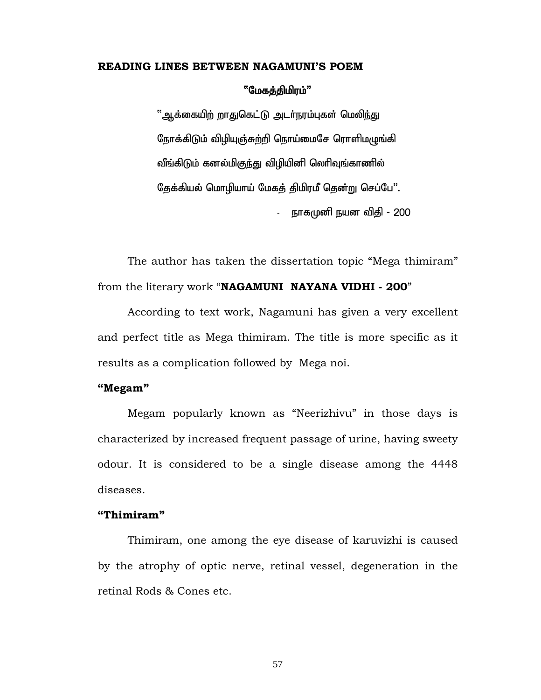#### **READING LINES BETWEEN NAGAMUNI'S POEM**

#### "மேகத்திமிரம்"

"ஆக்கையிற் றாதுகெட்டு அடர்நரம்புகள் மெலிந்து நோக்கிடும் விழியுஞ்சுற்றி நொய்மைசே ரொளிமழுங்கி வீங்கிடும் கனல்மிகுந்து விழியினி லெரிவுங்காணில் தேக்கியல் மொழியாய் மேகத் திமிரமீ தென்று செப்பே". - நாகமுனி நயன விதி - 200

The author has taken the dissertation topic "Mega thimiram" from the literary work "**NAGAMUNI NAYANA VIDHI - 200**"

 According to text work, Nagamuni has given a very excellent and perfect title as Mega thimiram. The title is more specific as it results as a complication followed by Mega noi.

#### **"Megam"**

 Megam popularly known as "Neerizhivu" in those days is characterized by increased frequent passage of urine, having sweety odour. It is considered to be a single disease among the 4448 diseases.

#### **"Thimiram"**

 Thimiram, one among the eye disease of karuvizhi is caused by the atrophy of optic nerve, retinal vessel, degeneration in the retinal Rods & Cones etc.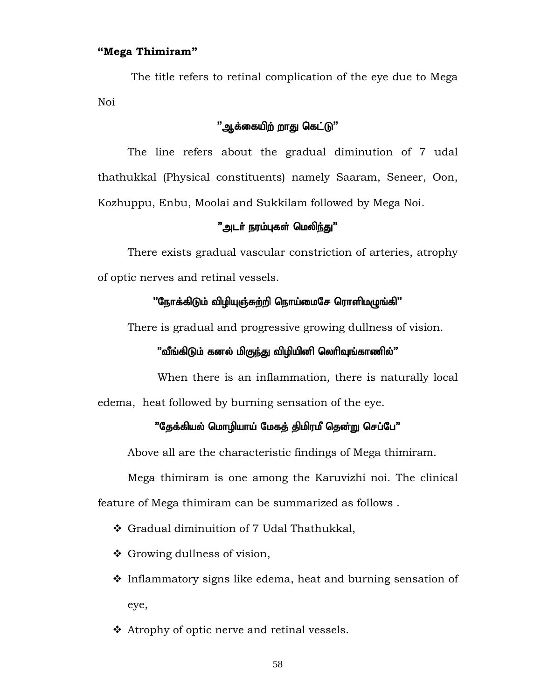#### **"Mega Thimiram"**

 The title refers to retinal complication of the eye due to Mega Noi

# "ஆக்கையிற் றாது கெட்டு"

The line refers about the gradual diminution of 7 udal thathukkal (Physical constituents) namely Saaram, Seneer, Oon, Kozhuppu, Enbu, Moolai and Sukkilam followed by Mega Noi.

#### "அடா் நரம்புகள் மெலி<u>ந்க</u>ு"

There exists gradual vascular constriction of arteries, atrophy of optic nerves and retinal vessels.

#### $"$ நோக்கிடும் விழியுஞ்சுற்றி நொய்மைசே ரொளிமழுங்கி $"$

There is gradual and progressive growing dullness of vision.

#### $\,$ "வீங்கிடும் கனல் மிகுந்து விழியினி லெரிவுங்காணில்"

When there is an inflammation, there is naturally local edema, heat followed by burning sensation of the eye.

#### $"$ தேக்கியல் மொழியாய் மேகத் திமிரமீ தென்று செப்பே $"$

Above all are the characteristic findings of Mega thimiram.

 Mega thimiram is one among the Karuvizhi noi. The clinical feature of Mega thimiram can be summarized as follows .

- Gradual diminuition of 7 Udal Thathukkal,
- ❖ Growing dullness of vision,
- $\cdot$  Inflammatory signs like edema, heat and burning sensation of eye,
- ❖ Atrophy of optic nerve and retinal vessels.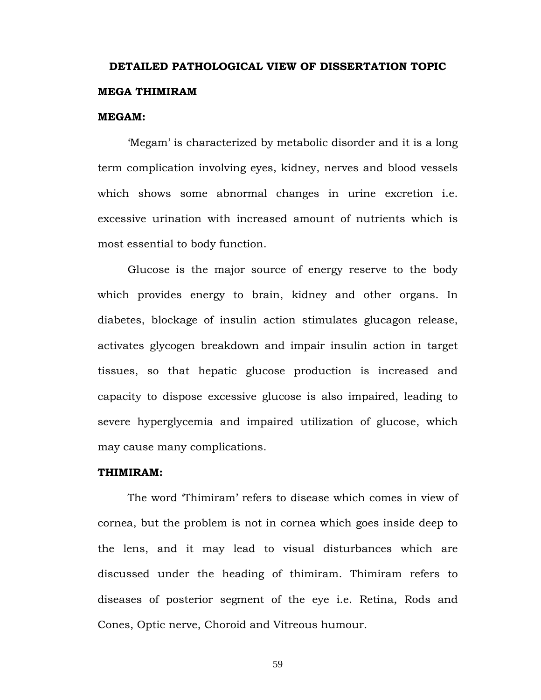# **DETAILED PATHOLOGICAL VIEW OF DISSERTATION TOPIC MEGA THIMIRAM**

#### **MEGAM:**

'Megam' is characterized by metabolic disorder and it is a long term complication involving eyes, kidney, nerves and blood vessels which shows some abnormal changes in urine excretion i.e. excessive urination with increased amount of nutrients which is most essential to body function.

Glucose is the major source of energy reserve to the body which provides energy to brain, kidney and other organs. In diabetes, blockage of insulin action stimulates glucagon release, activates glycogen breakdown and impair insulin action in target tissues, so that hepatic glucose production is increased and capacity to dispose excessive glucose is also impaired, leading to severe hyperglycemia and impaired utilization of glucose, which may cause many complications.

#### **THIMIRAM:**

 The word 'Thimiram' refers to disease which comes in view of cornea, but the problem is not in cornea which goes inside deep to the lens, and it may lead to visual disturbances which are discussed under the heading of thimiram. Thimiram refers to diseases of posterior segment of the eye i.e. Retina, Rods and Cones, Optic nerve, Choroid and Vitreous humour.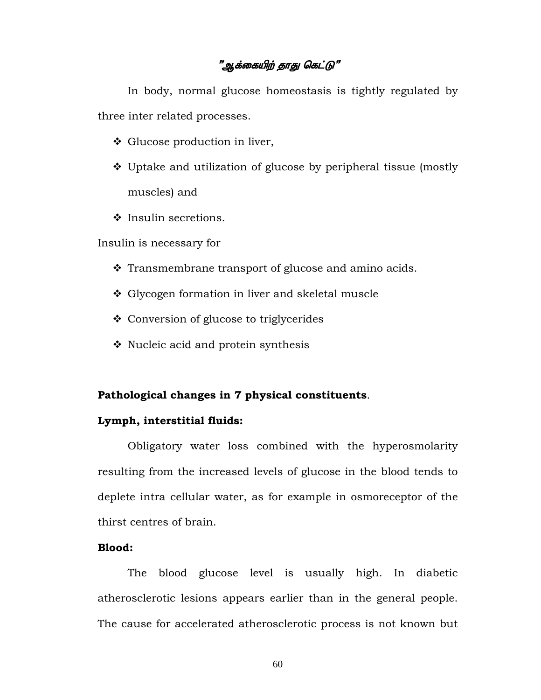# "ஆக்கையிற் தாது கெட்டு"

 In body, normal glucose homeostasis is tightly regulated by three inter related processes.

- Glucose production in liver,
- Uptake and utilization of glucose by peripheral tissue (mostly muscles) and
- ❖ Insulin secretions.

Insulin is necessary for

- $\cdot$  Transmembrane transport of glucose and amino acids.
- ❖ Glycogen formation in liver and skeletal muscle
- ❖ Conversion of glucose to triglycerides
- $\cdot$  Nucleic acid and protein synthesis

#### **Pathological changes in 7 physical constituents**.

#### **Lymph, interstitial fluids:**

 Obligatory water loss combined with the hyperosmolarity resulting from the increased levels of glucose in the blood tends to deplete intra cellular water, as for example in osmoreceptor of the thirst centres of brain.

#### **Blood:**

 The blood glucose level is usually high. In diabetic atherosclerotic lesions appears earlier than in the general people. The cause for accelerated atherosclerotic process is not known but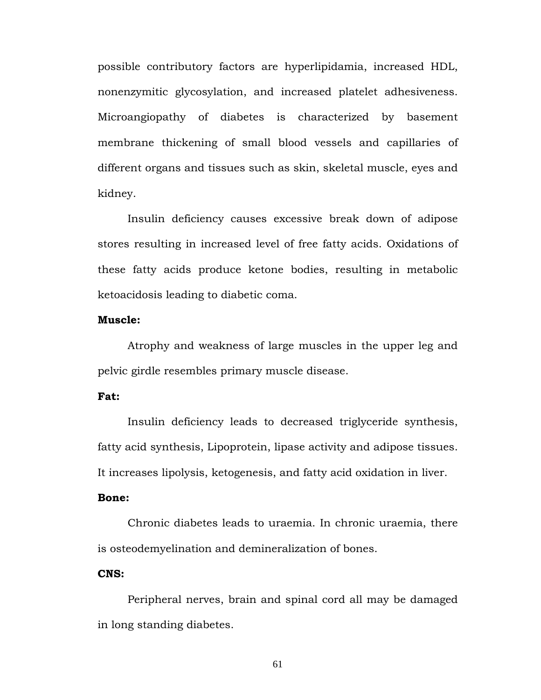possible contributory factors are hyperlipidamia, increased HDL, nonenzymitic glycosylation, and increased platelet adhesiveness. Microangiopathy of diabetes is characterized by basement membrane thickening of small blood vessels and capillaries of different organs and tissues such as skin, skeletal muscle, eyes and kidney.

 Insulin deficiency causes excessive break down of adipose stores resulting in increased level of free fatty acids. Oxidations of these fatty acids produce ketone bodies, resulting in metabolic ketoacidosis leading to diabetic coma.

#### **Muscle:**

 Atrophy and weakness of large muscles in the upper leg and pelvic girdle resembles primary muscle disease.

#### **Fat:**

 Insulin deficiency leads to decreased triglyceride synthesis, fatty acid synthesis, Lipoprotein, lipase activity and adipose tissues. It increases lipolysis, ketogenesis, and fatty acid oxidation in liver.

#### **Bone:**

 Chronic diabetes leads to uraemia. In chronic uraemia, there is osteodemyelination and demineralization of bones.

#### **CNS:**

 Peripheral nerves, brain and spinal cord all may be damaged in long standing diabetes.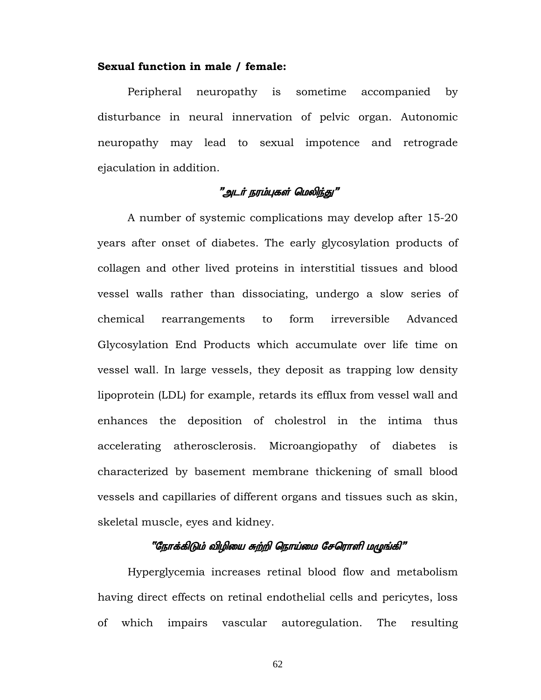#### **Sexual function in male / female:**

 Peripheral neuropathy is sometime accompanied by disturbance in neural innervation of pelvic organ. Autonomic neuropathy may lead to sexual impotence and retrograde ejaculation in addition.

# "அடர் நரம்புகள் மெலிந்து"

 A number of systemic complications may develop after 15-20 years after onset of diabetes. The early glycosylation products of collagen and other lived proteins in interstitial tissues and blood vessel walls rather than dissociating, undergo a slow series of chemical rearrangements to form irreversible Advanced Glycosylation End Products which accumulate over life time on vessel wall. In large vessels, they deposit as trapping low density lipoprotein (LDL) for example, retards its efflux from vessel wall and enhances the deposition of cholestrol in the intima thus accelerating atherosclerosis. Microangiopathy of diabetes is characterized by basement membrane thickening of small blood vessels and capillaries of different organs and tissues such as skin, skeletal muscle, eyes and kidney.

# "நோக்கிடும் விழியை சுற்றி நொய்மை சேரொளி மழுங்கி"

Hyperglycemia increases retinal blood flow and metabolism having direct effects on retinal endothelial cells and pericytes, loss of which impairs vascular autoregulation. The resulting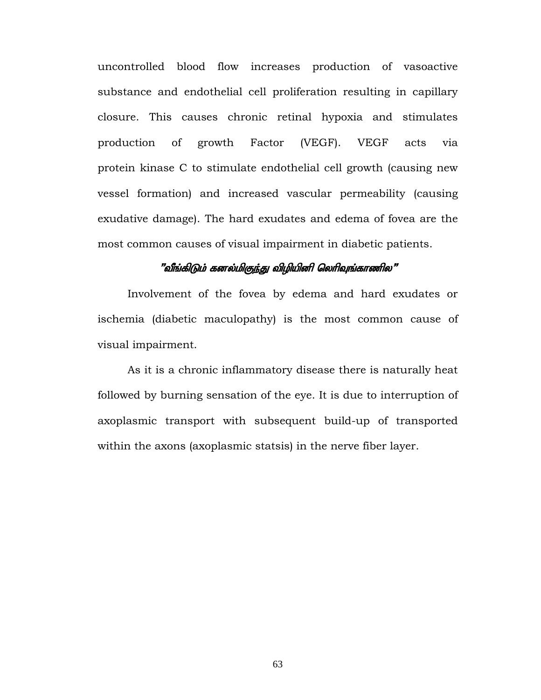uncontrolled blood flow increases production of vasoactive substance and endothelial cell proliferation resulting in capillary closure. This causes chronic retinal hypoxia and stimulates production of growth Factor (VEGF). VEGF acts via protein kinase C to stimulate endothelial cell growth (causing new vessel formation) and increased vascular permeability (causing exudative damage). The hard exudates and edema of fovea are the most common causes of visual impairment in diabetic patients.

#### "வீங்கிடும் கனல்மிகுந்து விழியினி லெரிவுங்காணில"

Involvement of the fovea by edema and hard exudates or ischemia (diabetic maculopathy) is the most common cause of visual impairment.

 As it is a chronic inflammatory disease there is naturally heat followed by burning sensation of the eye. It is due to interruption of axoplasmic transport with subsequent build-up of transported within the axons (axoplasmic statsis) in the nerve fiber layer.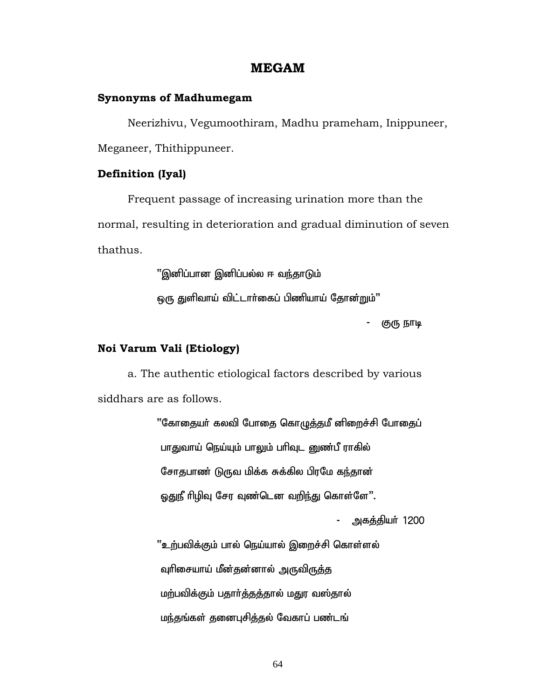#### **MEGAM**

#### **Synonyms of Madhumegam**

Neerizhivu, Vegumoothiram, Madhu prameham, Inippuneer, Meganeer, Thithippuneer.

#### **Definition (Iyal)**

Frequent passage of increasing urination more than the normal, resulting in deterioration and gradual diminution of seven thathus.

''இனிப்பான இனிப்பல்ல ஈ வந்தாடும்

ஒரு துளிவாய் விட்டார்கைப் பிணியாய் தோன்றும்"

குரு நாடி

#### **Noi Varum Vali (Etiology)**

a. The authentic etiological factors described by various siddhars are as follows.

> "கோதையர் கலவி போதை கொழுத்தமீ னிறைச்சி போதைப் பாதுவாய் நெய்யும் பாலும் பரிவுட னுண்பீ ராகில் சோதபாண் டுருவ மிக்க சுக்கில பிரமே கந்தான் ஒதுநீ ரிழிவு சேர வுண்டென வறிந்து கொள்ளே".

> > அகத்தியர் 1200

 $``$ உற்பவிக்கும் பால் நெய்யால் இறைச்சி கொள்ளல் வுரிசையாய் மீன்தன்னால் அருவிருத்த மற்பவிக்கும் பதார்த்தத்தால் மதுர வஸ்தால் மந்தங்கள் தனைபுசித்தல் வேகாப் பண்டங்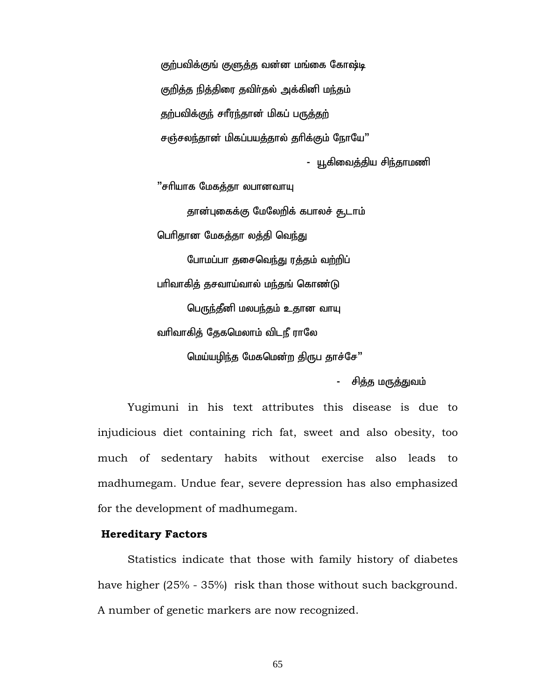குற்பவிக்குங் குளுத்த வன்ன மங்கை கோஷ்டி குறித்த நித்திரை தவிர்தல் அக்கினி மந்தம் தற்பவிக்குந் சாீரந்தான் மிகப் பருத்தற் சஞ்சலந்தான் மிகப்பயத்தால் தரிக்கும் நோயே" - யூகிவைத்திய சிந்தாமணி "சரியாக மேகத்தா லபானவாயு

தான்புகைக்கு மேலேறிக் கபாலச் சூடாம் பெரிதான மேகத்தா லத்தி வெந்து போமப்பா தசைவெந்து ரத்தம் வற்றிப் பரிவாகித் தசவாய்வால் மந்தங் கொண்டு பெருந்தீனி மலபந்தம் உதான வாயு வரிவாகித் தேகமெலாம் விடநீ ராலே மெய்யழிந்த மேகமென்ற திருப தாச்சே"

- சித்த மருத்துவம்

Yugimuni in his text attributes this disease is due to injudicious diet containing rich fat, sweet and also obesity, too much of sedentary habits without exercise also leads to madhumegam. Undue fear, severe depression has also emphasized for the development of madhumegam.

#### **Hereditary Factors**

Statistics indicate that those with family history of diabetes have higher (25% - 35%) risk than those without such background. A number of genetic markers are now recognized.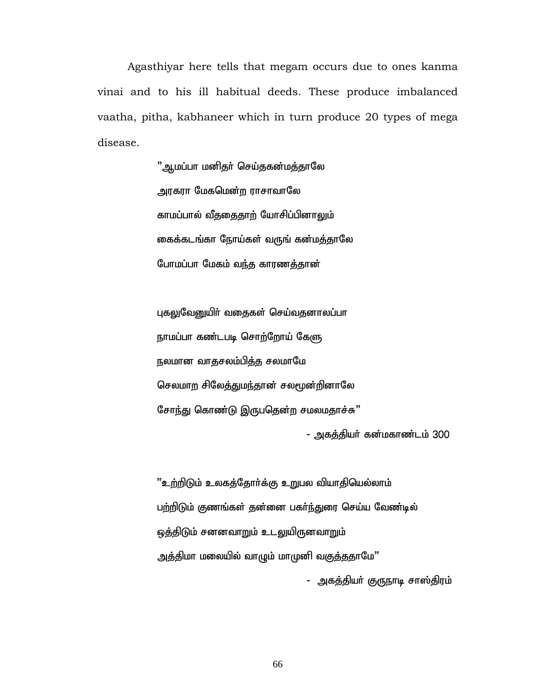Agasthiyar here tells that megam occurs due to ones kanma vinai and to his ill habitual deeds. These produce imbalanced vaatha, pitha, kabhaneer which in turn produce 20 types of mega disease.

> "ஆமப்பா மனிதர் செய்தகன்மத்தாலே அரகரா மேகமென்ற ராசாவாலே காமப்பால் வீததைதாற் யோசிப்பினாலும் கைக்கடங்கா நோய்கள் வருங் கன்மத்தாலே போமப்பா மேகம் வந்த காரணத்தான்

புகலுவேனுயிா் வதைகள் செய்வதனாலப்பா நாமப்பா கண்டபடி சொற்றோய் கேளு நலமான வாதசலம்பித்த சலமாமே செலமாற சிலேத்துமந்தான் சலமூன்றினாலே சோந்து கொண்டு இருபதென்ற சமலமதாச்சு" - அகக்கியர் கன்மகாண்டம் 300

<u>''உற்றிடு</u>ம் உலகத்தோா்க்கு உறுபல வியாதியெல்லாம் பற்றிடும் குணங்கள் தன்னை பகர்ந்துரை செய்ய வேண்டில் <u>ஒத்திடும் சனனவாறும் உடலு</u>யிருனவாறும் அத்திமா மலையில் வாழும் மாமுனி வகுத்ததாமே"

- அகத்தியா் குருநாடி சாஸ்திரம்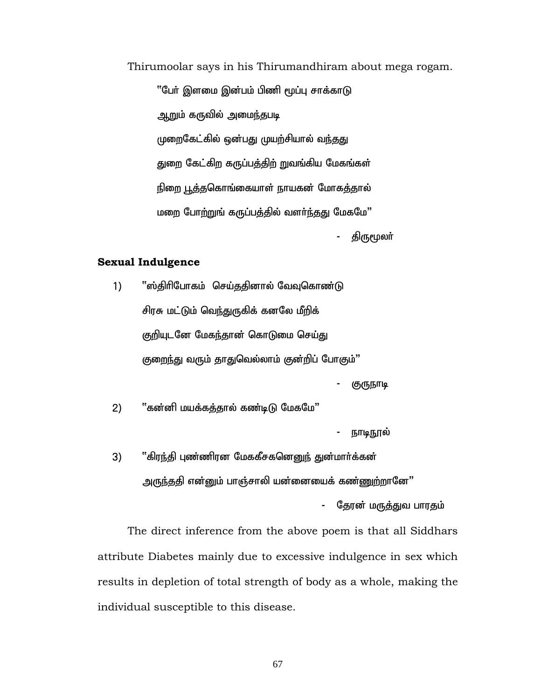#### Thirumoolar says in his Thirumandhiram about mega rogam.

''பேர் இளமை இன்பம் பிணி மூப்பு சாக்காடு <u>ஆற</u>ும் கருவில் அமை<u>ந்</u>தபடி முறைகேட்கில் ஒன்பது முயற்சியால் வந்தது துறை கேட்கிற கருப்பத்திற் றுவங்கிய மேகங்கள் நிறை பூத்தகொங்கையாள் நாயகன் மோகத்தால் மறை போற்றுங் கருப்பத்தில் வளர்ந்தது மேகமே" திருமூலா்

#### **Sexual Indulgence**

- 1) '];jphpNghfk; nra;jjpdhy; NtTnfhz;L சிரசு மட்டும் வெந்துருகிக் கனலே மீறிக் குறியுடனே மேகந்தான் கொடுமை செய்து குறைந்து வரும் தாதுவெல்லாம் குன்றிப் போகும்" குருநாடி 2) "கன்னி மயக்கத்தால் கண்டிடு மேகமே" நாடிநூல்
- 3) "கிரந்தி புண்ணிரன மேககீசகனெனுந் துன்மார்க்கன் <u>அருந்த</u>தி என்னும் பாஞ்சாலி யன்னையைக் கண்ணுற்றானே"

தேரன் மருத்துவ பாரதம்

 The direct inference from the above poem is that all Siddhars attribute Diabetes mainly due to excessive indulgence in sex which results in depletion of total strength of body as a whole, making the individual susceptible to this disease.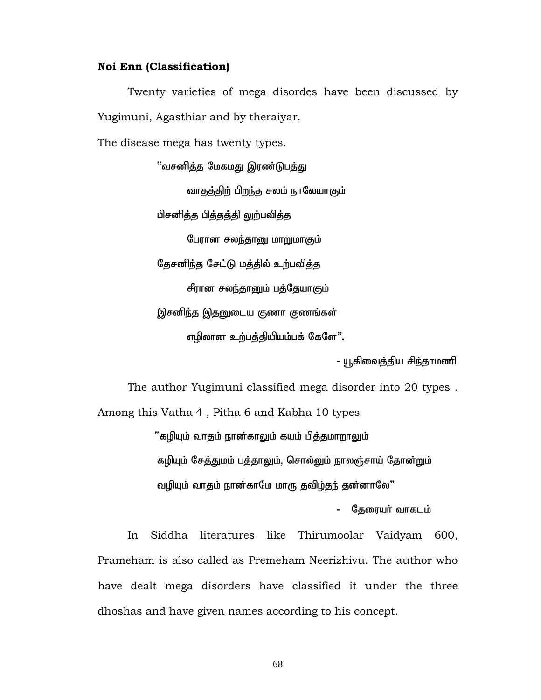#### **Noi Enn (Classification)**

Twenty varieties of mega disordes have been discussed by Yugimuni, Agasthiar and by theraiyar.

The disease mega has twenty types.

<u>"வசனித்த</u> மேகமது இரண்டுபத்து வாதத்திற் பிறந்த சலம் நாலேயாகும் பிசனித்த பித்தத்தி லுற்பவித்த பேரான சலந்தானு மாறுமாகும் தேசனிந்த சேட்டு மத்தில் உற்பவித்த சீரான சலந்தானும் பத்தேயாகும் இசனிந்த இதனுடைய குணா குணங்கள் எழிலான உற்பத்தியியம்பக் கேளே".

- யூகிவைத்திய சிந்தாமணி

The author Yugimuni classified mega disorder into 20 types .

Among this Vatha 4 , Pitha 6 and Kabha 10 types  $"$ கழியும் வாதம் நான்காலும் கயம் பித்தமாறாலும் கழியும் சேத்துமம் பத்தாலும், சொல்லும் நாலஞ்சாய் தோன்றும் வழியும் வாதம் நான்காமே மாரு தவிழ்தந் தன்னாலே"

தேரையர் வாகடம்

In Siddha literatures like Thirumoolar Vaidyam 600, Prameham is also called as Premeham Neerizhivu. The author who have dealt mega disorders have classified it under the three dhoshas and have given names according to his concept.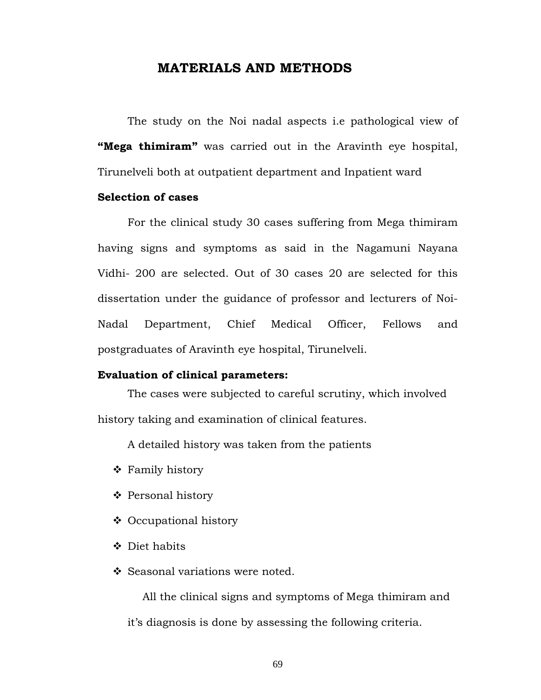## **MATERIALS AND METHODS**

The study on the Noi nadal aspects i.e pathological view of **"Mega thimiram"** was carried out in the Aravinth eye hospital, Tirunelveli both at outpatient department and Inpatient ward

#### **Selection of cases**

For the clinical study 30 cases suffering from Mega thimiram having signs and symptoms as said in the Nagamuni Nayana Vidhi- 200 are selected. Out of 30 cases 20 are selected for this dissertation under the guidance of professor and lecturers of Noi-Nadal Department, Chief Medical Officer, Fellows and postgraduates of Aravinth eye hospital, Tirunelveli.

## **Evaluation of clinical parameters:**

The cases were subjected to careful scrutiny, which involved history taking and examination of clinical features.

A detailed history was taken from the patients

- ❖ Family history
- ❖ Personal history
- ❖ Occupational history
- ❖ Diet habits
- ❖ Seasonal variations were noted.

All the clinical signs and symptoms of Mega thimiram and it's diagnosis is done by assessing the following criteria.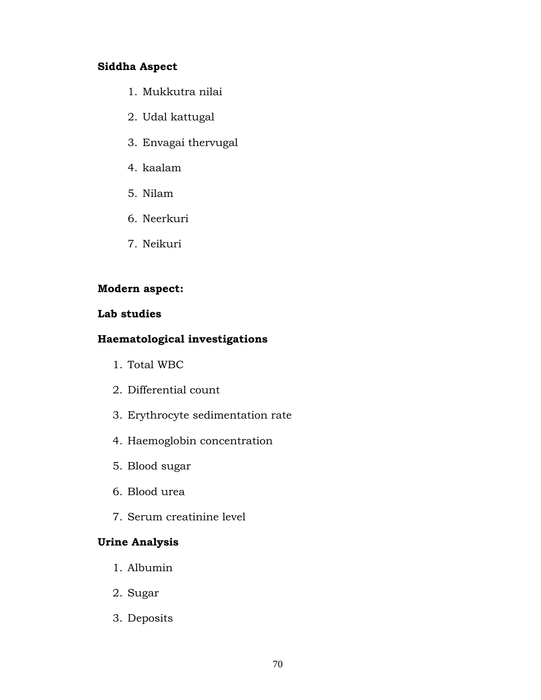## **Siddha Aspect**

- 1. Mukkutra nilai
- 2. Udal kattugal
- 3. Envagai thervugal
- 4. kaalam
- 5. Nilam
- 6. Neerkuri
- 7. Neikuri

## **Modern aspect:**

## **Lab studies**

## **Haematological investigations**

- 1. Total WBC
- 2. Differential count
- 3. Erythrocyte sedimentation rate
- 4. Haemoglobin concentration
- 5. Blood sugar
- 6. Blood urea
- 7. Serum creatinine level

## **Urine Analysis**

- 1. Albumin
- 2. Sugar
- 3. Deposits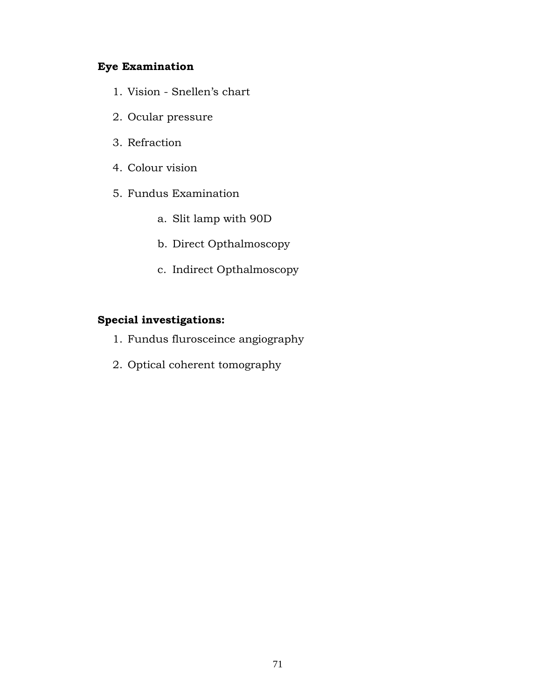## **Eye Examination**

- 1. Vision Snellen's chart
- 2. Ocular pressure
- 3. Refraction
- 4. Colour vision
- 5. Fundus Examination
	- a. Slit lamp with 90D
	- b. Direct Opthalmoscopy
	- c. Indirect Opthalmoscopy

## **Special investigations:**

- 1. Fundus flurosceince angiography
- 2. Optical coherent tomography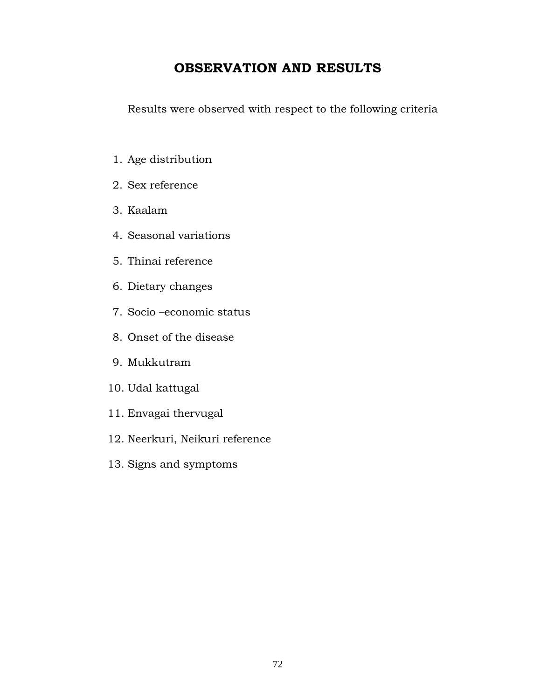# **OBSERVATION AND RESULTS**

Results were observed with respect to the following criteria

- 1. Age distribution
- 2. Sex reference
- 3. Kaalam
- 4. Seasonal variations
- 5. Thinai reference
- 6. Dietary changes
- 7. Socio –economic status
- 8. Onset of the disease
- 9. Mukkutram
- 10. Udal kattugal
- 11. Envagai thervugal
- 12. Neerkuri, Neikuri reference
- 13. Signs and symptoms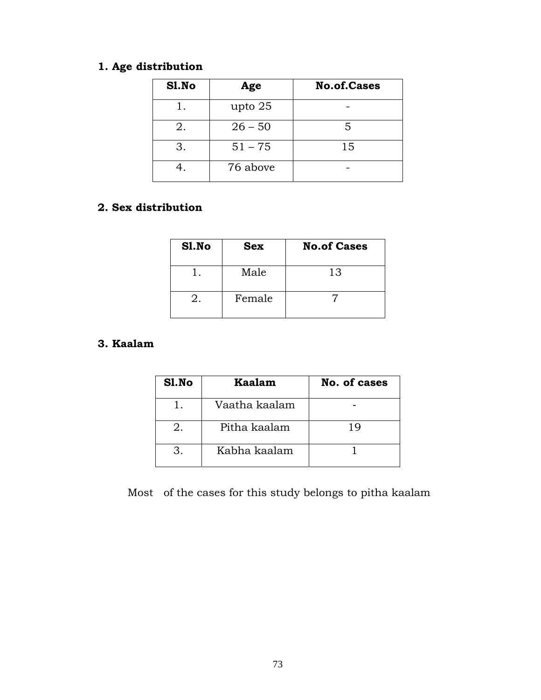# **1. Age distribution**

| Sl.No | Age       | <b>No.of.Cases</b> |
|-------|-----------|--------------------|
|       | upto 25   |                    |
| 2.    | $26 - 50$ | 5                  |
| 3.    | $51 - 75$ | 15                 |
|       | 76 above  |                    |

## **2. Sex distribution**

| S1.No | <b>Sex</b> | <b>No.of Cases</b> |
|-------|------------|--------------------|
|       | Male       | 13                 |
|       | Female     |                    |

## **3. Kaalam**

| Sl.No | Kaalam        | No. of cases |
|-------|---------------|--------------|
|       | Vaatha kaalam |              |
|       | Pitha kaalam  | 1 Q          |
|       | Kabha kaalam  |              |

Most of the cases for this study belongs to pitha kaalam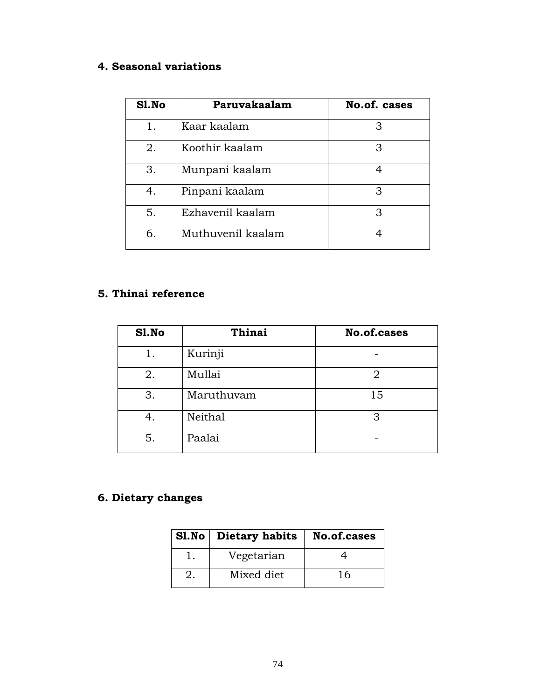# **4. Seasonal variations**

| Sl.No | Paruvakaalam      | <b>No.of. cases</b> |
|-------|-------------------|---------------------|
| 1.    | Kaar kaalam       | З                   |
| 2.    | Koothir kaalam    | 3                   |
| 3.    | Munpani kaalam    | 4                   |
| 4.    | Pinpani kaalam    | 3                   |
| 5.    | Ezhavenil kaalam  | З                   |
| 6.    | Muthuvenil kaalam |                     |

## **5. Thinai reference**

| S1.No | Thinai     | <b>No.of.cases</b> |
|-------|------------|--------------------|
| 1.    | Kurinji    |                    |
| 2.    | Mullai     | 2                  |
| 3.    | Maruthuvam | 15                 |
| 4.    | Neithal    | 3                  |
| 5.    | Paalai     |                    |

# **6. Dietary changes**

| Sl.No   Dietary habits | No.of.cases |
|------------------------|-------------|
| Vegetarian             |             |
| Mixed diet             | 16          |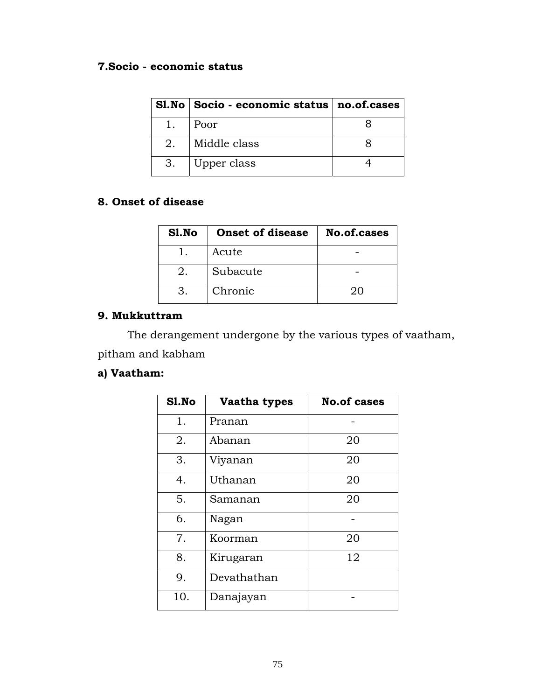## **7.Socio - economic status**

|    | $SI.No   Socio - economic status   no. of. cases$ |  |
|----|---------------------------------------------------|--|
|    | Poor                                              |  |
| 2. | Middle class                                      |  |
| 3. | Upper class                                       |  |

## **8. Onset of disease**

| Sl.No | <b>Onset of disease</b> | No.of.cases |
|-------|-------------------------|-------------|
|       | Acute                   |             |
| 2.    | Subacute                |             |
|       | Chronic                 | $20 -$      |

## **9. Mukkuttram**

 The derangement undergone by the various types of vaatham, pitham and kabham

## **a) Vaatham:**

| S1.No | Vaatha types | <b>No.of cases</b> |
|-------|--------------|--------------------|
| 1.    | Pranan       |                    |
| 2.    | Abanan       | 20                 |
| 3.    | Viyanan      | 20                 |
| 4.    | Uthanan      | 20                 |
| 5.    | Samanan      | 20                 |
| 6.    | Nagan        |                    |
| 7.    | Koorman      | 20                 |
| 8.    | Kirugaran    | 12                 |
| 9.    | Devathathan  |                    |
| 10.   | Danajayan    |                    |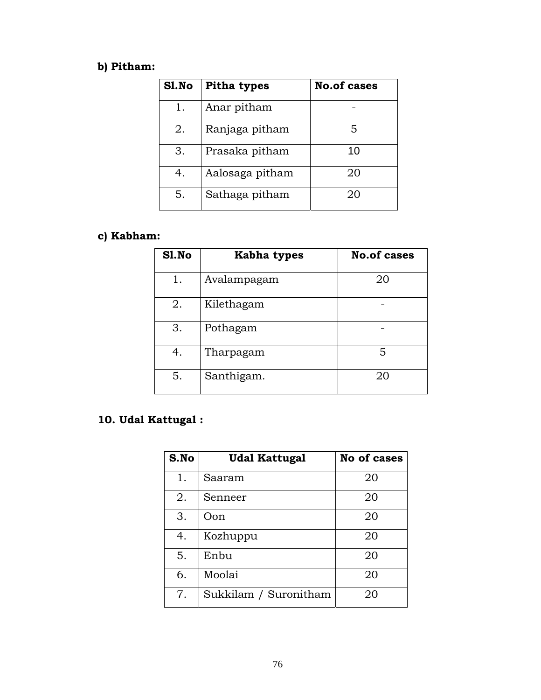# **b) Pitham:**

| Sl.No | <b>Pitha types</b> | <b>No.of cases</b> |
|-------|--------------------|--------------------|
| 1.    | Anar pitham        |                    |
| 2.    | Ranjaga pitham     | 5                  |
| 3.    | Prasaka pitham     | 10                 |
| 4.    | Aalosaga pitham    | 20                 |
| 5.    | Sathaga pitham     | 20                 |

# **c) Kabham:**

| Sl.No | Kabha types | <b>No.of cases</b> |
|-------|-------------|--------------------|
| 1.    | Avalampagam | 20                 |
| 2.    | Kilethagam  |                    |
| 3.    | Pothagam    |                    |
| 4.    | Tharpagam   | 5                  |
| 5.    | Santhigam.  | 20                 |

# **10. Udal Kattugal :**

| S.No | <b>Udal Kattugal</b>  | <b>No of cases</b> |
|------|-----------------------|--------------------|
| 1.   | Saaram                | 20                 |
| 2.   | Senneer               | 20                 |
| 3.   | Oon                   | 20                 |
| 4.   | Kozhuppu              | 20                 |
| 5.   | Enbu                  | 20                 |
| 6.   | Moolai                | 20                 |
| 7.   | Sukkilam / Suronitham | 20                 |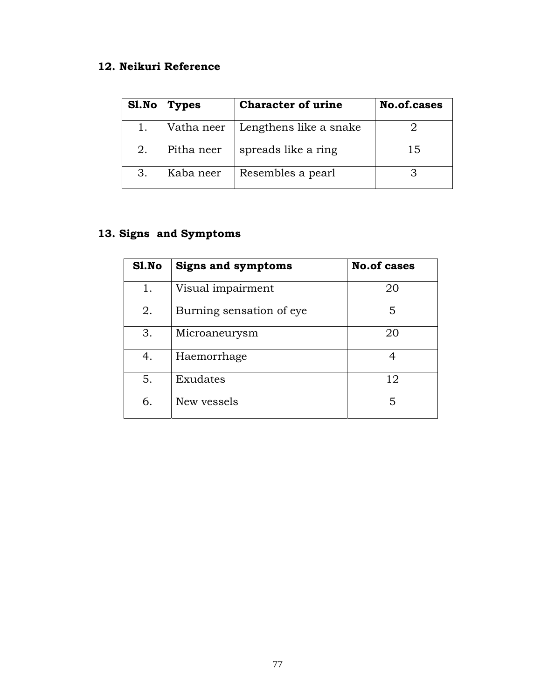# **12. Neikuri Reference**

| Sl.No | <b>Types</b> | <b>Character of urine</b> | No.of.cases |
|-------|--------------|---------------------------|-------------|
|       | Vatha neer   | Lengthens like a snake    |             |
| 2.    | Pitha neer   | spreads like a ring       | 15          |
| З.    | Kaba neer    | Resembles a pearl         |             |

# **13. Signs and Symptoms**

| S1.No | <b>Signs and symptoms</b> | <b>No.of cases</b> |  |
|-------|---------------------------|--------------------|--|
| 1.    | Visual impairment         | 20                 |  |
| 2.    | Burning sensation of eye  | 5                  |  |
| 3.    | Microaneurysm             | 20                 |  |
| 4.    | Haemorrhage               |                    |  |
| 5.    | Exudates                  | 12                 |  |
| 6.    | New vessels               | 5                  |  |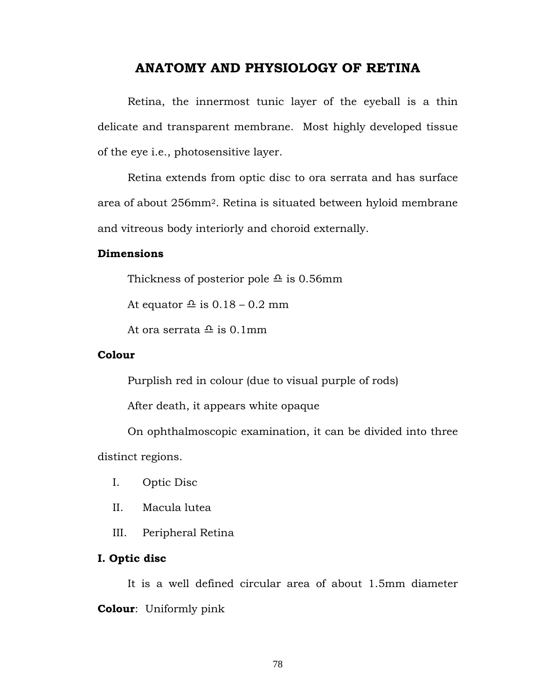## **ANATOMY AND PHYSIOLOGY OF RETINA**

 Retina, the innermost tunic layer of the eyeball is a thin delicate and transparent membrane. Most highly developed tissue of the eye i.e., photosensitive layer.

 Retina extends from optic disc to ora serrata and has surface area of about 256mm2. Retina is situated between hyloid membrane and vitreous body interiorly and choroid externally.

## **Dimensions**

Thickness of posterior pole  $\triangle$  is 0.56mm

At equator  $\triangleq$  is 0.18 – 0.2 mm

At ora serrata  $\triangle$  is 0.1mm

## **Colour**

Purplish red in colour (due to visual purple of rods)

After death, it appears white opaque

 On ophthalmoscopic examination, it can be divided into three distinct regions.

- I. Optic Disc
- II. Macula lutea
- III. Peripheral Retina

## **I. Optic disc**

 It is a well defined circular area of about 1.5mm diameter **Colour**: Uniformly pink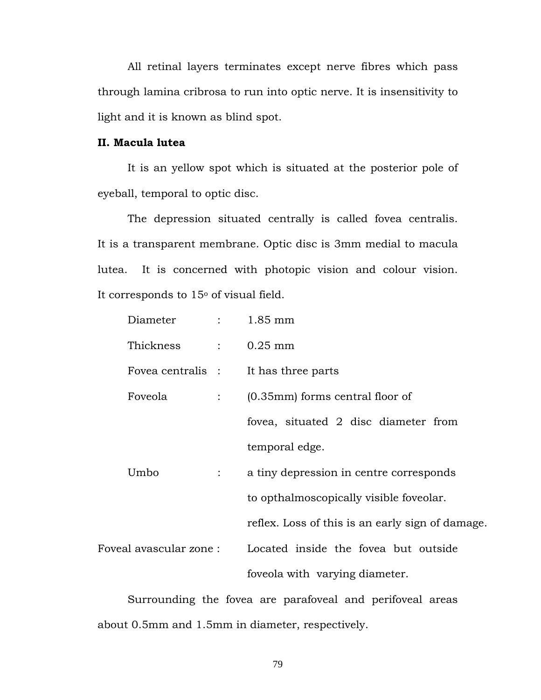All retinal layers terminates except nerve fibres which pass through lamina cribrosa to run into optic nerve. It is insensitivity to light and it is known as blind spot.

## **II. Macula lutea**

 It is an yellow spot which is situated at the posterior pole of eyeball, temporal to optic disc.

 The depression situated centrally is called fovea centralis. It is a transparent membrane. Optic disc is 3mm medial to macula lutea. It is concerned with photopic vision and colour vision. It corresponds to  $15<sup>o</sup>$  of visual field.

|                         | Diameter :        |                | $1.85$ mm                                        |
|-------------------------|-------------------|----------------|--------------------------------------------------|
|                         | Thickness         |                | $\therefore$ 0.25 mm                             |
|                         | Fovea centralis : |                | It has three parts                               |
|                         | Foveola           | $\mathbb{R}^n$ | $(0.35$ mm) forms central floor of               |
|                         |                   |                | fovea, situated 2 disc diameter from             |
|                         |                   |                | temporal edge.                                   |
|                         | Umbo              |                | a tiny depression in centre corresponds          |
|                         |                   |                | to opthalmoscopically visible foveolar.          |
|                         |                   |                | reflex. Loss of this is an early sign of damage. |
| Foveal avascular zone : |                   |                | Located inside the fovea but outside             |
|                         |                   |                | foveola with varying diameter.                   |

 Surrounding the fovea are parafoveal and perifoveal areas about 0.5mm and 1.5mm in diameter, respectively.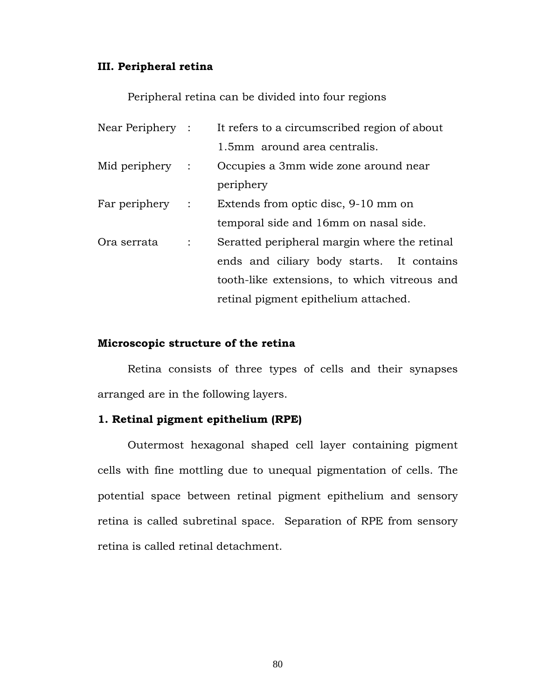## **III. Peripheral retina**

Peripheral retina can be divided into four regions

| Near Periphery : |             | It refers to a circumscribed region of about |
|------------------|-------------|----------------------------------------------|
|                  |             | 1.5mm around area centralis.                 |
| Mid periphery :  |             | Occupies a 3mm wide zone around near         |
|                  |             | periphery                                    |
| Far periphery :  |             | Extends from optic disc, 9-10 mm on          |
|                  |             | temporal side and 16mm on nasal side.        |
| Ora serrata      | $\sim 10^4$ | Seratted peripheral margin where the retinal |
|                  |             | ends and ciliary body starts. It contains    |
|                  |             | tooth-like extensions, to which vitreous and |
|                  |             | retinal pigment epithelium attached.         |

#### **Microscopic structure of the retina**

 Retina consists of three types of cells and their synapses arranged are in the following layers.

## **1. Retinal pigment epithelium (RPE)**

 Outermost hexagonal shaped cell layer containing pigment cells with fine mottling due to unequal pigmentation of cells. The potential space between retinal pigment epithelium and sensory retina is called subretinal space. Separation of RPE from sensory retina is called retinal detachment.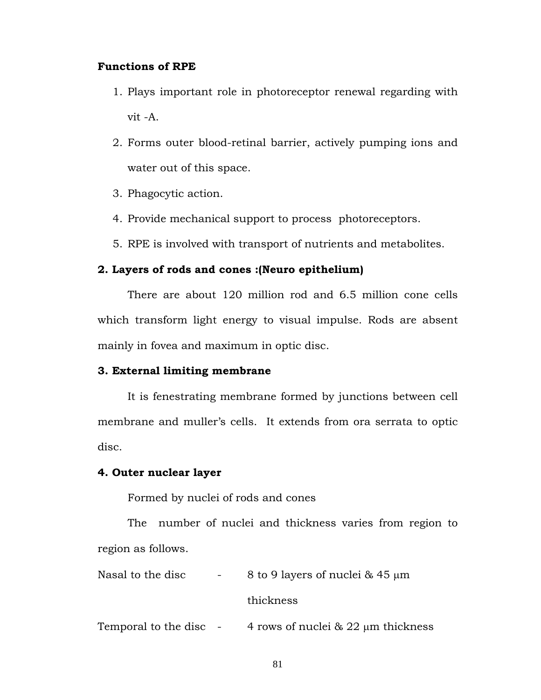## **Functions of RPE**

- 1. Plays important role in photoreceptor renewal regarding with vit -A.
- 2. Forms outer blood-retinal barrier, actively pumping ions and water out of this space.
- 3. Phagocytic action.
- 4. Provide mechanical support to process photoreceptors.
- 5. RPE is involved with transport of nutrients and metabolites.

## **2. Layers of rods and cones :(Neuro epithelium)**

 There are about 120 million rod and 6.5 million cone cells which transform light energy to visual impulse. Rods are absent mainly in fovea and maximum in optic disc.

## **3. External limiting membrane**

 It is fenestrating membrane formed by junctions between cell membrane and muller's cells. It extends from ora serrata to optic disc.

## **4. Outer nuclear layer**

Formed by nuclei of rods and cones

 The number of nuclei and thickness varies from region to region as follows.

Nasal to the disc  $\frac{1}{2}$  -  $\frac{8 \text{ to } 9 \text{ layers of nuclei } \& 45 \text{ µm}}$ 

thickness

Temporal to the disc  $-4$  rows of nuclei & 22  $\mu$ m thickness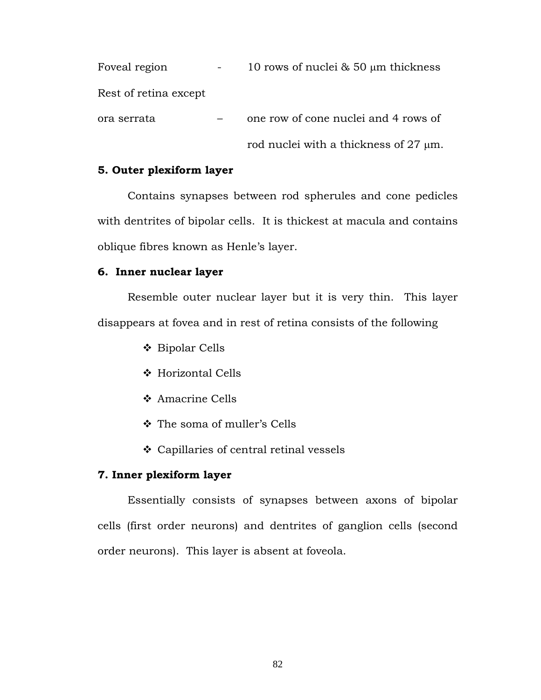| Foveal region         | 10 rows of nuclei $\&$ 50 $\mu$ m thickness |
|-----------------------|---------------------------------------------|
| Rest of retina except |                                             |
| ora serrata           | one row of cone nuclei and 4 rows of        |
|                       | rod nuclei with a thickness of $27 \mu m$ . |

#### **5. Outer plexiform layer**

 Contains synapses between rod spherules and cone pedicles with dentrites of bipolar cells. It is thickest at macula and contains oblique fibres known as Henle's layer.

## **6. Inner nuclear layer**

 Resemble outer nuclear layer but it is very thin. This layer disappears at fovea and in rest of retina consists of the following

- Bipolar Cells
- ❖ Horizontal Cells
- Amacrine Cells
- The soma of muller's Cells
- Capillaries of central retinal vessels

## **7. Inner plexiform layer**

 Essentially consists of synapses between axons of bipolar cells (first order neurons) and dentrites of ganglion cells (second order neurons). This layer is absent at foveola.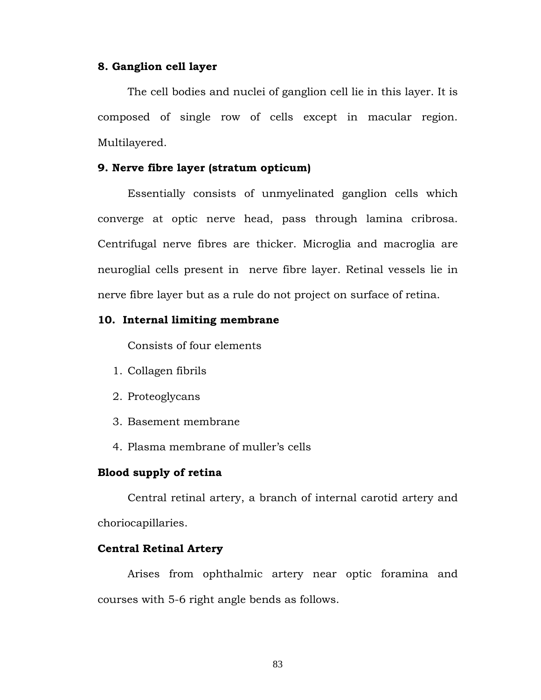#### **8. Ganglion cell layer**

 The cell bodies and nuclei of ganglion cell lie in this layer. It is composed of single row of cells except in macular region. Multilayered.

#### **9. Nerve fibre layer (stratum opticum)**

 Essentially consists of unmyelinated ganglion cells which converge at optic nerve head, pass through lamina cribrosa. Centrifugal nerve fibres are thicker. Microglia and macroglia are neuroglial cells present in nerve fibre layer. Retinal vessels lie in nerve fibre layer but as a rule do not project on surface of retina.

## **10. Internal limiting membrane**

Consists of four elements

- 1. Collagen fibrils
- 2. Proteoglycans
- 3. Basement membrane
- 4. Plasma membrane of muller's cells

## **Blood supply of retina**

 Central retinal artery, a branch of internal carotid artery and choriocapillaries.

#### **Central Retinal Artery**

 Arises from ophthalmic artery near optic foramina and courses with 5-6 right angle bends as follows.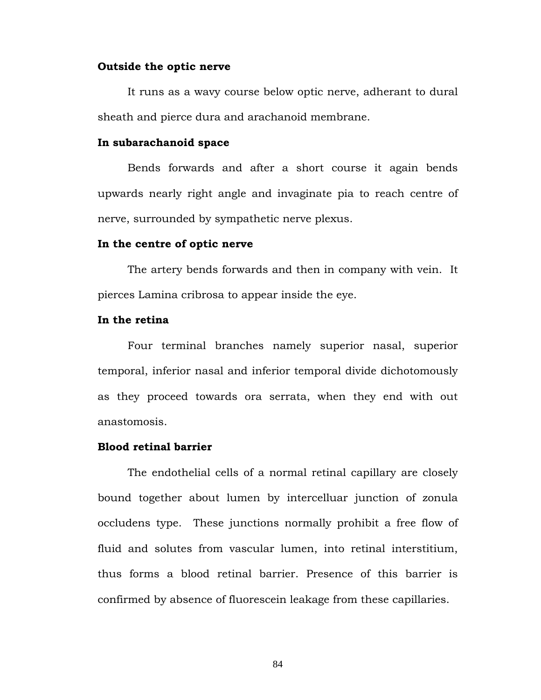#### **Outside the optic nerve**

 It runs as a wavy course below optic nerve, adherant to dural sheath and pierce dura and arachanoid membrane.

#### **In subarachanoid space**

 Bends forwards and after a short course it again bends upwards nearly right angle and invaginate pia to reach centre of nerve, surrounded by sympathetic nerve plexus.

#### **In the centre of optic nerve**

 The artery bends forwards and then in company with vein. It pierces Lamina cribrosa to appear inside the eye.

## **In the retina**

 Four terminal branches namely superior nasal, superior temporal, inferior nasal and inferior temporal divide dichotomously as they proceed towards ora serrata, when they end with out anastomosis.

#### **Blood retinal barrier**

 The endothelial cells of a normal retinal capillary are closely bound together about lumen by intercelluar junction of zonula occludens type. These junctions normally prohibit a free flow of fluid and solutes from vascular lumen, into retinal interstitium, thus forms a blood retinal barrier. Presence of this barrier is confirmed by absence of fluorescein leakage from these capillaries.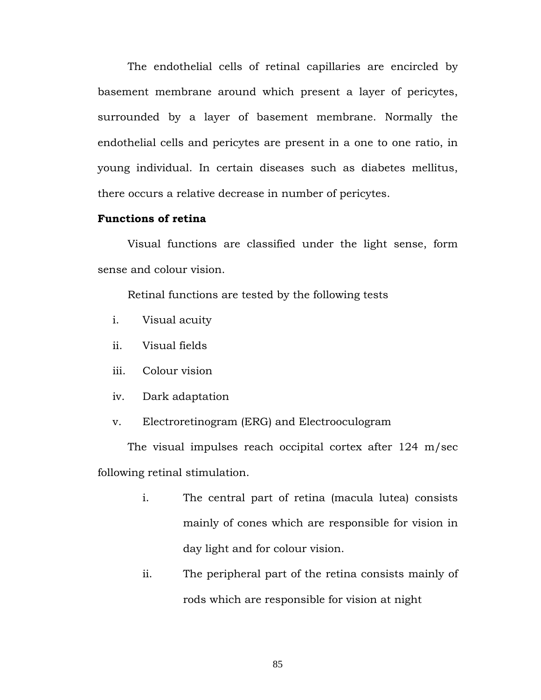The endothelial cells of retinal capillaries are encircled by basement membrane around which present a layer of pericytes, surrounded by a layer of basement membrane. Normally the endothelial cells and pericytes are present in a one to one ratio, in young individual. In certain diseases such as diabetes mellitus, there occurs a relative decrease in number of pericytes.

## **Functions of retina**

 Visual functions are classified under the light sense, form sense and colour vision.

Retinal functions are tested by the following tests

- i. Visual acuity
- ii. Visual fields
- iii. Colour vision
- iv. Dark adaptation
- v. Electroretinogram (ERG) and Electrooculogram

The visual impulses reach occipital cortex after 124 m/sec following retinal stimulation.

- i. The central part of retina (macula lutea) consists mainly of cones which are responsible for vision in day light and for colour vision.
- ii. The peripheral part of the retina consists mainly of rods which are responsible for vision at night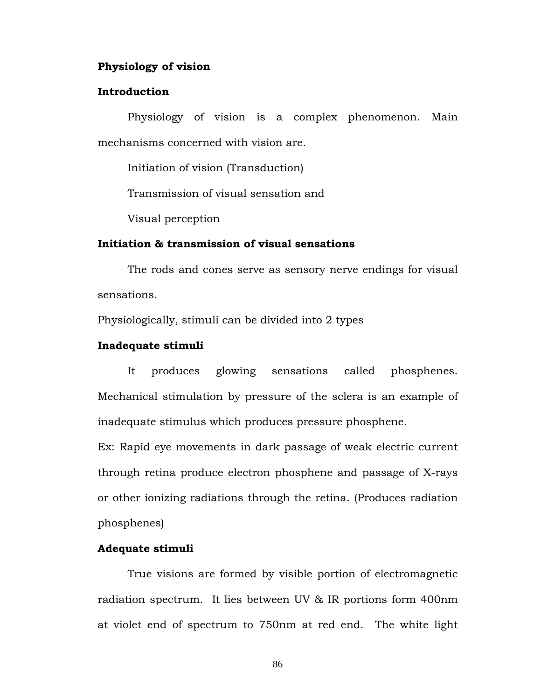#### **Physiology of vision**

#### **Introduction**

 Physiology of vision is a complex phenomenon. Main mechanisms concerned with vision are.

Initiation of vision (Transduction)

Transmission of visual sensation and

Visual perception

## **Initiation & transmission of visual sensations**

 The rods and cones serve as sensory nerve endings for visual sensations.

Physiologically, stimuli can be divided into 2 types

#### **Inadequate stimuli**

 It produces glowing sensations called phosphenes. Mechanical stimulation by pressure of the sclera is an example of inadequate stimulus which produces pressure phosphene.

Ex: Rapid eye movements in dark passage of weak electric current through retina produce electron phosphene and passage of X-rays or other ionizing radiations through the retina. (Produces radiation phosphenes)

#### **Adequate stimuli**

 True visions are formed by visible portion of electromagnetic radiation spectrum. It lies between UV & IR portions form 400nm at violet end of spectrum to 750nm at red end. The white light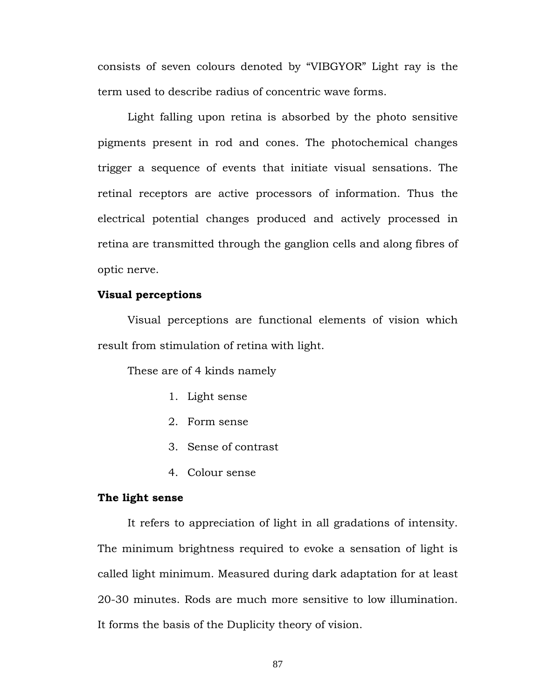consists of seven colours denoted by "VIBGYOR" Light ray is the term used to describe radius of concentric wave forms.

 Light falling upon retina is absorbed by the photo sensitive pigments present in rod and cones. The photochemical changes trigger a sequence of events that initiate visual sensations. The retinal receptors are active processors of information. Thus the electrical potential changes produced and actively processed in retina are transmitted through the ganglion cells and along fibres of optic nerve.

#### **Visual perceptions**

 Visual perceptions are functional elements of vision which result from stimulation of retina with light.

These are of 4 kinds namely

- 1. Light sense
- 2. Form sense
- 3. Sense of contrast
- 4. Colour sense

#### **The light sense**

 It refers to appreciation of light in all gradations of intensity. The minimum brightness required to evoke a sensation of light is called light minimum. Measured during dark adaptation for at least 20-30 minutes. Rods are much more sensitive to low illumination. It forms the basis of the Duplicity theory of vision.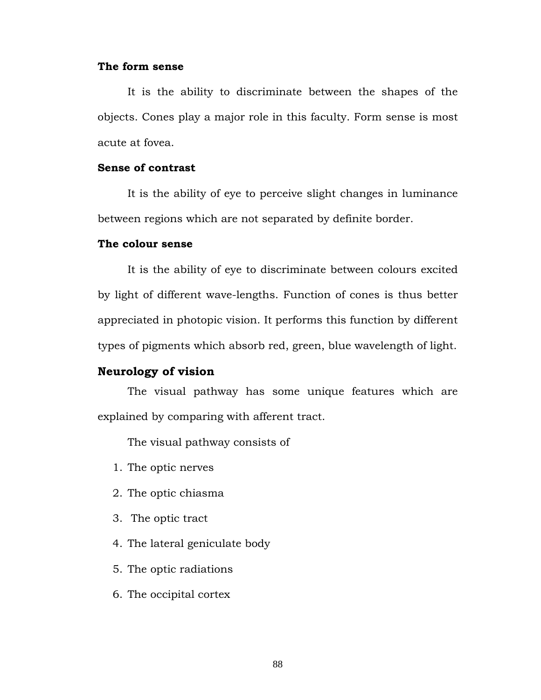## **The form sense**

 It is the ability to discriminate between the shapes of the objects. Cones play a major role in this faculty. Form sense is most acute at fovea.

## **Sense of contrast**

 It is the ability of eye to perceive slight changes in luminance between regions which are not separated by definite border.

#### **The colour sense**

 It is the ability of eye to discriminate between colours excited by light of different wave-lengths. Function of cones is thus better appreciated in photopic vision. It performs this function by different types of pigments which absorb red, green, blue wavelength of light.

## **Neurology of vision**

The visual pathway has some unique features which are explained by comparing with afferent tract.

The visual pathway consists of

- 1. The optic nerves
- 2. The optic chiasma
- 3. The optic tract
- 4. The lateral geniculate body
- 5. The optic radiations
- 6. The occipital cortex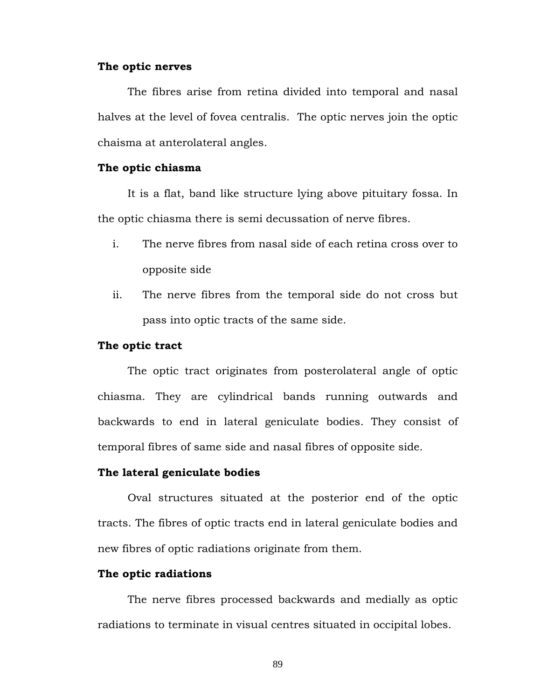#### **The optic nerves**

 The fibres arise from retina divided into temporal and nasal halves at the level of fovea centralis. The optic nerves join the optic chaisma at anterolateral angles.

#### **The optic chiasma**

 It is a flat, band like structure lying above pituitary fossa. In the optic chiasma there is semi decussation of nerve fibres.

- i. The nerve fibres from nasal side of each retina cross over to opposite side
- ii. The nerve fibres from the temporal side do not cross but pass into optic tracts of the same side.

#### **The optic tract**

 The optic tract originates from posterolateral angle of optic chiasma. They are cylindrical bands running outwards and backwards to end in lateral geniculate bodies. They consist of temporal fibres of same side and nasal fibres of opposite side.

#### **The lateral geniculate bodies**

 Oval structures situated at the posterior end of the optic tracts. The fibres of optic tracts end in lateral geniculate bodies and new fibres of optic radiations originate from them.

#### **The optic radiations**

 The nerve fibres processed backwards and medially as optic radiations to terminate in visual centres situated in occipital lobes.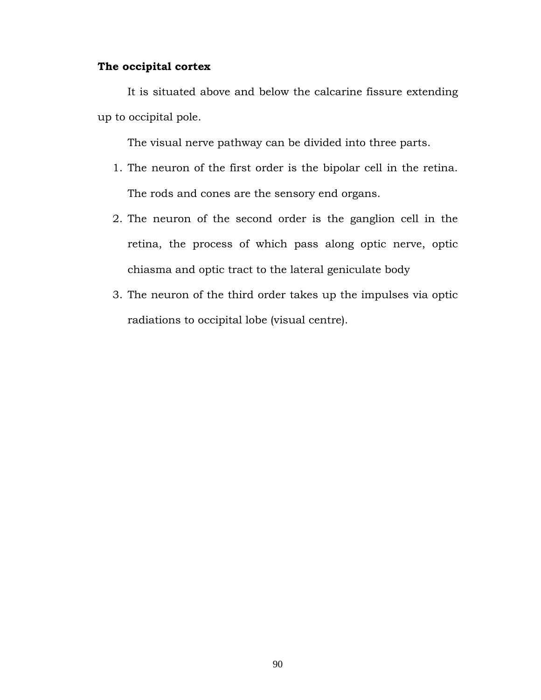## **The occipital cortex**

 It is situated above and below the calcarine fissure extending up to occipital pole.

The visual nerve pathway can be divided into three parts.

- 1. The neuron of the first order is the bipolar cell in the retina. The rods and cones are the sensory end organs.
- 2. The neuron of the second order is the ganglion cell in the retina, the process of which pass along optic nerve, optic chiasma and optic tract to the lateral geniculate body
- 3. The neuron of the third order takes up the impulses via optic radiations to occipital lobe (visual centre).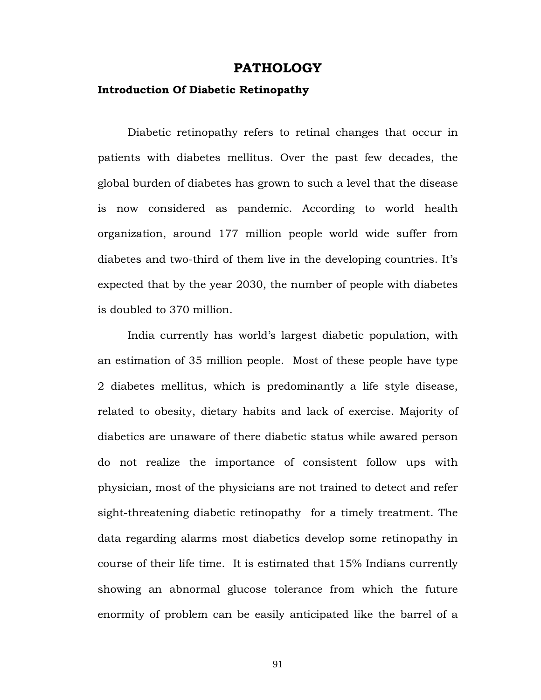## **PATHOLOGY**

## **Introduction Of Diabetic Retinopathy**

Diabetic retinopathy refers to retinal changes that occur in patients with diabetes mellitus. Over the past few decades, the global burden of diabetes has grown to such a level that the disease is now considered as pandemic. According to world health organization, around 177 million people world wide suffer from diabetes and two-third of them live in the developing countries. It's expected that by the year 2030, the number of people with diabetes is doubled to 370 million.

 India currently has world's largest diabetic population, with an estimation of 35 million people. Most of these people have type 2 diabetes mellitus, which is predominantly a life style disease, related to obesity, dietary habits and lack of exercise. Majority of diabetics are unaware of there diabetic status while awared person do not realize the importance of consistent follow ups with physician, most of the physicians are not trained to detect and refer sight-threatening diabetic retinopathy for a timely treatment. The data regarding alarms most diabetics develop some retinopathy in course of their life time. It is estimated that 15% Indians currently showing an abnormal glucose tolerance from which the future enormity of problem can be easily anticipated like the barrel of a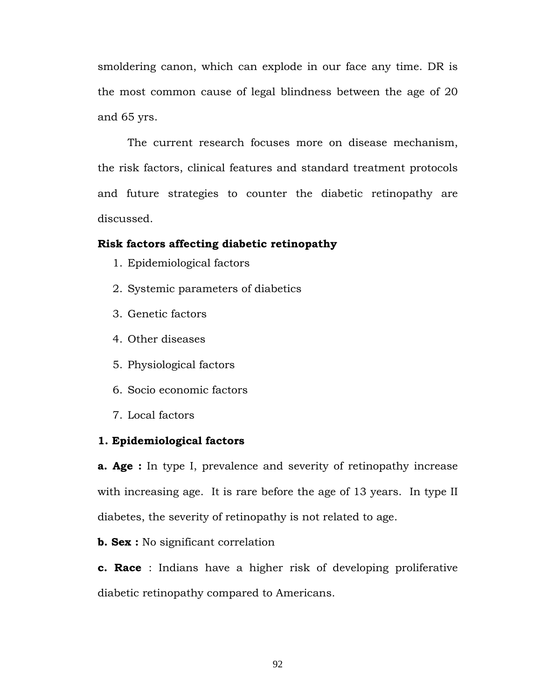smoldering canon, which can explode in our face any time. DR is the most common cause of legal blindness between the age of 20 and 65 yrs.

 The current research focuses more on disease mechanism, the risk factors, clinical features and standard treatment protocols and future strategies to counter the diabetic retinopathy are discussed.

## **Risk factors affecting diabetic retinopathy**

- 1. Epidemiological factors
- 2. Systemic parameters of diabetics
- 3. Genetic factors
- 4. Other diseases
- 5. Physiological factors
- 6. Socio economic factors
- 7. Local factors

#### **1. Epidemiological factors**

**a. Age :** In type I, prevalence and severity of retinopathy increase with increasing age. It is rare before the age of 13 years. In type II diabetes, the severity of retinopathy is not related to age.

**b. Sex :** No significant correlation

**c. Race** : Indians have a higher risk of developing proliferative diabetic retinopathy compared to Americans.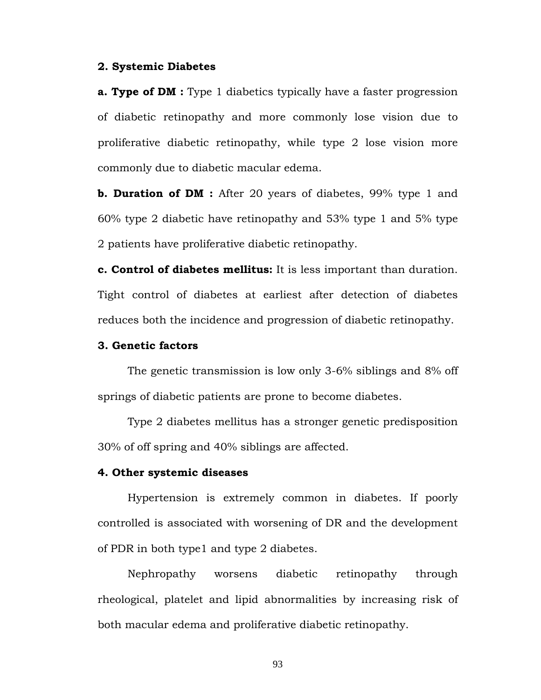#### **2. Systemic Diabetes**

**a. Type of DM**: Type 1 diabetics typically have a faster progression of diabetic retinopathy and more commonly lose vision due to proliferative diabetic retinopathy, while type 2 lose vision more commonly due to diabetic macular edema.

**b. Duration of DM :** After 20 years of diabetes, 99% type 1 and 60% type 2 diabetic have retinopathy and 53% type 1 and 5% type 2 patients have proliferative diabetic retinopathy.

**c. Control of diabetes mellitus:** It is less important than duration. Tight control of diabetes at earliest after detection of diabetes reduces both the incidence and progression of diabetic retinopathy.

#### **3. Genetic factors**

 The genetic transmission is low only 3-6% siblings and 8% off springs of diabetic patients are prone to become diabetes.

 Type 2 diabetes mellitus has a stronger genetic predisposition 30% of off spring and 40% siblings are affected.

#### **4. Other systemic diseases**

 Hypertension is extremely common in diabetes. If poorly controlled is associated with worsening of DR and the development of PDR in both type1 and type 2 diabetes.

Nephropathy worsens diabetic retinopathy through rheological, platelet and lipid abnormalities by increasing risk of both macular edema and proliferative diabetic retinopathy.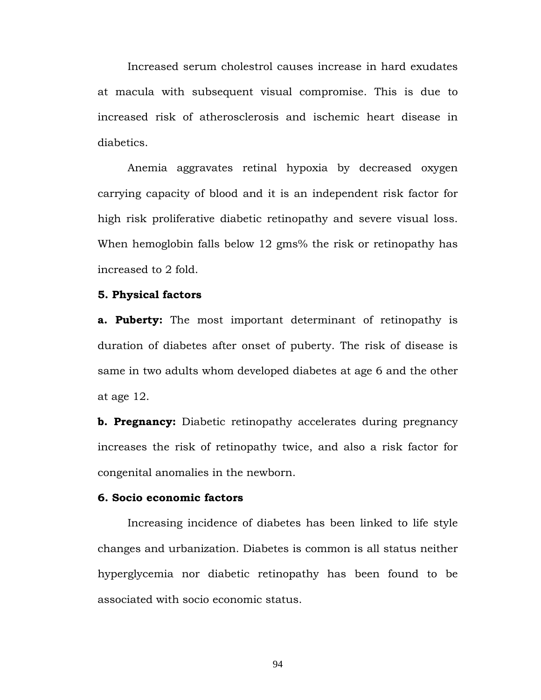Increased serum cholestrol causes increase in hard exudates at macula with subsequent visual compromise. This is due to increased risk of atherosclerosis and ischemic heart disease in diabetics.

 Anemia aggravates retinal hypoxia by decreased oxygen carrying capacity of blood and it is an independent risk factor for high risk proliferative diabetic retinopathy and severe visual loss. When hemoglobin falls below 12 gms% the risk or retinopathy has increased to 2 fold.

#### **5. Physical factors**

**a. Puberty:** The most important determinant of retinopathy is duration of diabetes after onset of puberty. The risk of disease is same in two adults whom developed diabetes at age 6 and the other at age 12.

**b. Pregnancy:** Diabetic retinopathy accelerates during pregnancy increases the risk of retinopathy twice, and also a risk factor for congenital anomalies in the newborn.

## **6. Socio economic factors**

 Increasing incidence of diabetes has been linked to life style changes and urbanization. Diabetes is common is all status neither hyperglycemia nor diabetic retinopathy has been found to be associated with socio economic status.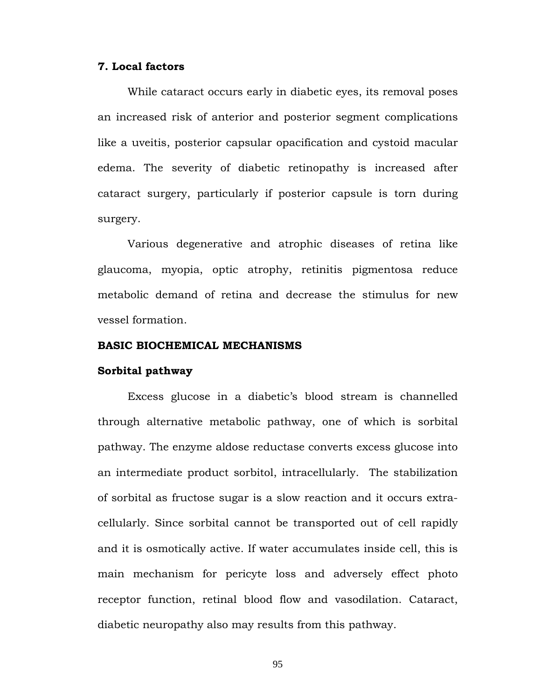## **7. Local factors**

 While cataract occurs early in diabetic eyes, its removal poses an increased risk of anterior and posterior segment complications like a uveitis, posterior capsular opacification and cystoid macular edema. The severity of diabetic retinopathy is increased after cataract surgery, particularly if posterior capsule is torn during surgery.

 Various degenerative and atrophic diseases of retina like glaucoma, myopia, optic atrophy, retinitis pigmentosa reduce metabolic demand of retina and decrease the stimulus for new vessel formation.

#### **BASIC BIOCHEMICAL MECHANISMS**

#### **Sorbital pathway**

 Excess glucose in a diabetic's blood stream is channelled through alternative metabolic pathway, one of which is sorbital pathway. The enzyme aldose reductase converts excess glucose into an intermediate product sorbitol, intracellularly. The stabilization of sorbital as fructose sugar is a slow reaction and it occurs extracellularly. Since sorbital cannot be transported out of cell rapidly and it is osmotically active. If water accumulates inside cell, this is main mechanism for pericyte loss and adversely effect photo receptor function, retinal blood flow and vasodilation. Cataract, diabetic neuropathy also may results from this pathway.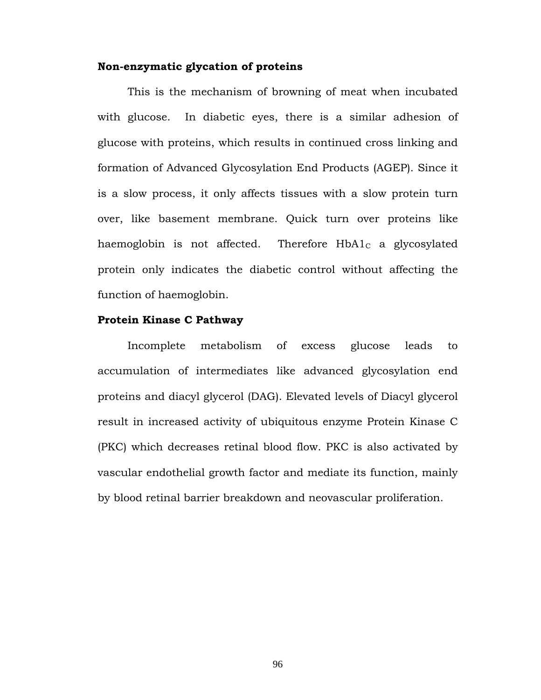## **Non-enzymatic glycation of proteins**

 This is the mechanism of browning of meat when incubated with glucose. In diabetic eyes, there is a similar adhesion of glucose with proteins, which results in continued cross linking and formation of Advanced Glycosylation End Products (AGEP). Since it is a slow process, it only affects tissues with a slow protein turn over, like basement membrane. Quick turn over proteins like haemoglobin is not affected. Therefore  $HbA1<sub>C</sub>$  a glycosylated protein only indicates the diabetic control without affecting the function of haemoglobin.

## **Protein Kinase C Pathway**

 Incomplete metabolism of excess glucose leads to accumulation of intermediates like advanced glycosylation end proteins and diacyl glycerol (DAG). Elevated levels of Diacyl glycerol result in increased activity of ubiquitous enzyme Protein Kinase C (PKC) which decreases retinal blood flow. PKC is also activated by vascular endothelial growth factor and mediate its function, mainly by blood retinal barrier breakdown and neovascular proliferation.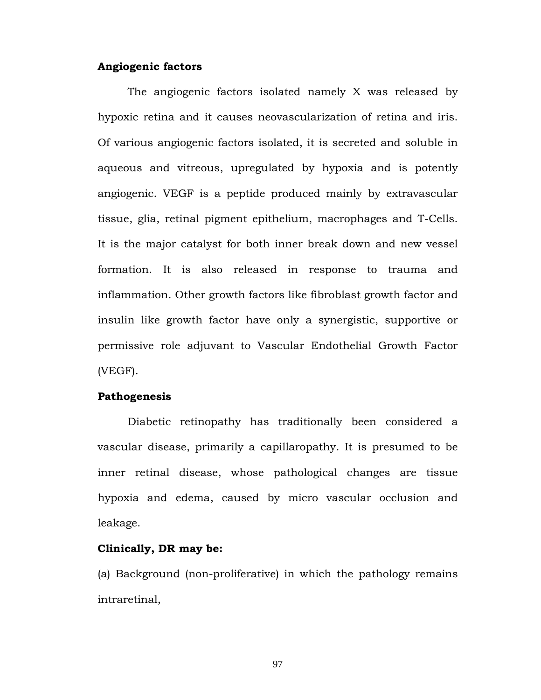#### **Angiogenic factors**

 The angiogenic factors isolated namely X was released by hypoxic retina and it causes neovascularization of retina and iris. Of various angiogenic factors isolated, it is secreted and soluble in aqueous and vitreous, upregulated by hypoxia and is potently angiogenic. VEGF is a peptide produced mainly by extravascular tissue, glia, retinal pigment epithelium, macrophages and T-Cells. It is the major catalyst for both inner break down and new vessel formation. It is also released in response to trauma and inflammation. Other growth factors like fibroblast growth factor and insulin like growth factor have only a synergistic, supportive or permissive role adjuvant to Vascular Endothelial Growth Factor (VEGF).

#### **Pathogenesis**

 Diabetic retinopathy has traditionally been considered a vascular disease, primarily a capillaropathy. It is presumed to be inner retinal disease, whose pathological changes are tissue hypoxia and edema, caused by micro vascular occlusion and leakage.

#### **Clinically, DR may be:**

(a) Background (non-proliferative) in which the pathology remains intraretinal,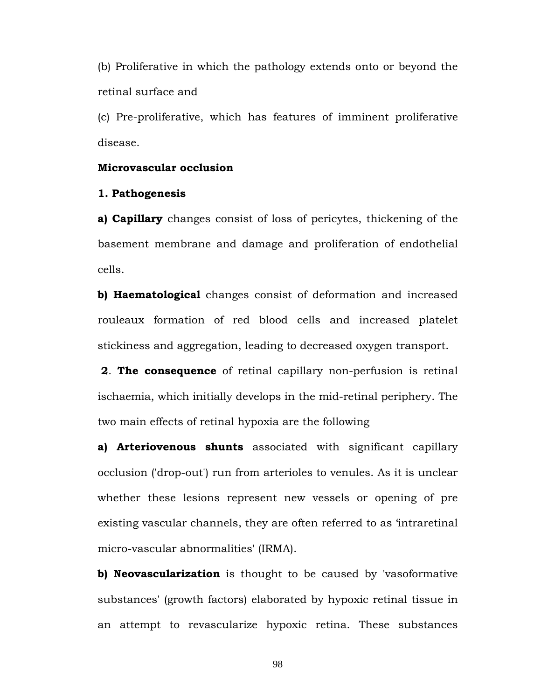(b) Proliferative in which the pathology extends onto or beyond the retinal surface and

(c) Pre-proliferative, which has features of imminent proliferative disease.

#### **Microvascular occlusion**

#### **1. Pathogenesis**

**a) Capillary** changes consist of loss of pericytes, thickening of the basement membrane and damage and proliferation of endothelial cells.

**b) Haematological** changes consist of deformation and increased rouleaux formation of red blood cells and increased platelet stickiness and aggregation, leading to decreased oxygen transport.

**2**. **The consequence** of retinal capillary non-perfusion is retinal ischaemia, which initially develops in the mid-retinal periphery. The two main effects of retinal hypoxia are the following

**a) Arteriovenous shunts** associated with significant capillary occlusion ('drop-out') run from arterioles to venules. As it is unclear whether these lesions represent new vessels or opening of pre existing vascular channels, they are often referred to as 'intraretinal micro-vascular abnormalities' (IRMA).

**b) Neovascularization** is thought to be caused by 'vasoformative substances' (growth factors) elaborated by hypoxic retinal tissue in an attempt to revascularize hypoxic retina. These substances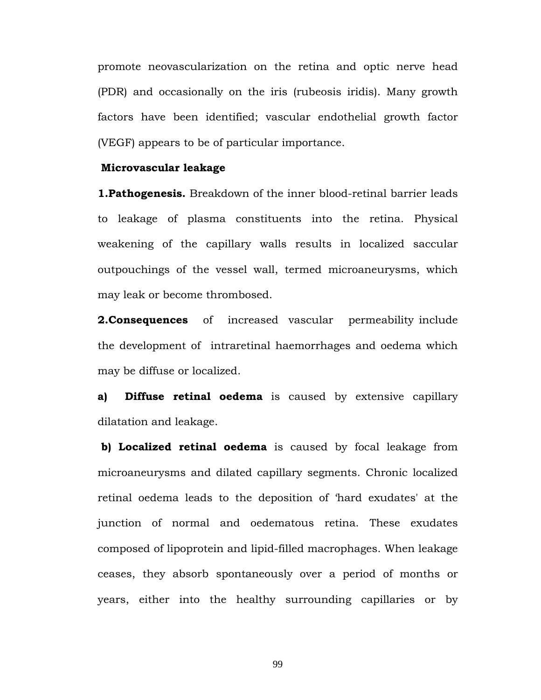promote neovascularization on the retina and optic nerve head (PDR) and occasionally on the iris (rubeosis iridis). Many growth factors have been identified; vascular endothelial growth factor (VEGF) appears to be of particular importance.

#### **Microvascular leakage**

**1.Pathogenesis.** Breakdown of the inner blood-retinal barrier leads to leakage of plasma constituents into the retina. Physical weakening of the capillary walls results in localized saccular outpouchings of the vessel wall, termed microaneurysms, which may leak or become thrombosed.

**2. Consequences** of increased vascular permeability include the development of intraretinal haemorrhages and oedema which may be diffuse or localized.

**a) Diffuse retinal oedema** is caused by extensive capillary dilatation and leakage.

 **b) Localized retinal oedema** is caused by focal leakage from microaneurysms and dilated capillary segments. Chronic localized retinal oedema leads to the deposition of 'hard exudates' at the junction of normal and oedematous retina. These exudates composed of lipoprotein and lipid-filled macrophages. When leakage ceases, they absorb spontaneously over a period of months or years, either into the healthy surrounding capillaries or by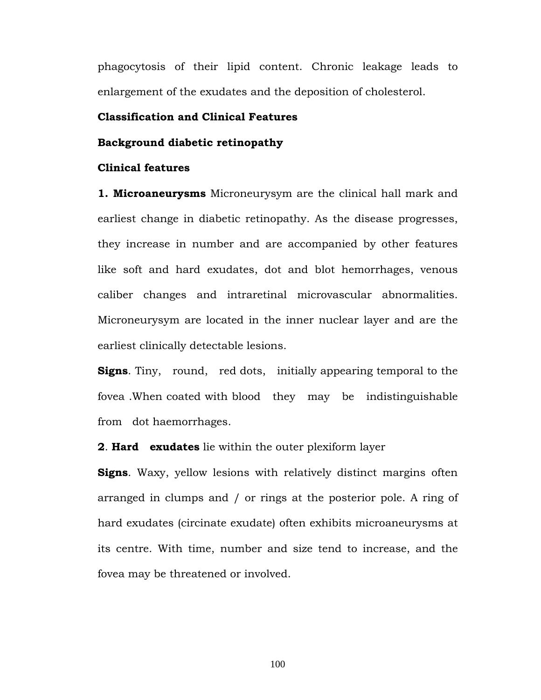phagocytosis of their lipid content. Chronic leakage leads to enlargement of the exudates and the deposition of cholesterol.

## **Classification and Clinical Features**

#### **Background diabetic retinopathy**

#### **Clinical features**

**1. Microaneurysms** Microneurysym are the clinical hall mark and earliest change in diabetic retinopathy. As the disease progresses, they increase in number and are accompanied by other features like soft and hard exudates, dot and blot hemorrhages, venous caliber changes and intraretinal microvascular abnormalities. Microneurysym are located in the inner nuclear layer and are the earliest clinically detectable lesions.

**Signs**. Tiny, round, red dots, initially appearing temporal to the fovea .When coated with blood they may be indistinguishable from dot haemorrhages.

**2**. **Hard exudates** lie within the outer plexiform layer

**Signs**. Waxy, yellow lesions with relatively distinct margins often arranged in clumps and / or rings at the posterior pole. A ring of hard exudates (circinate exudate) often exhibits microaneurysms at its centre. With time, number and size tend to increase, and the fovea may be threatened or involved.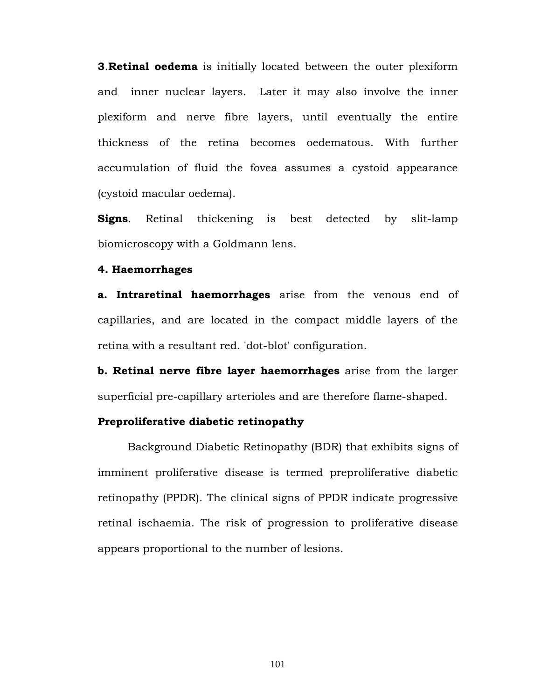**3**.**Retinal oedema** is initially located between the outer plexiform and inner nuclear layers. Later it may also involve the inner plexiform and nerve fibre layers, until eventually the entire thickness of the retina becomes oedematous. With further accumulation of fluid the fovea assumes a cystoid appearance (cystoid macular oedema).

**Signs**. Retinal thickening is best detected by slit-lamp biomicroscopy with a Goldmann lens.

#### **4. Haemorrhages**

**a. Intraretinal haemorrhages** arise from the venous end of capillaries, and are located in the compact middle layers of the retina with a resultant red. 'dot-blot' configuration.

**b. Retinal nerve fibre layer haemorrhages** arise from the larger superficial pre-capillary arterioles and are therefore flame-shaped.

#### **Preproliferative diabetic retinopathy**

Background Diabetic Retinopathy (BDR) that exhibits signs of imminent proliferative disease is termed preproliferative diabetic retinopathy (PPDR). The clinical signs of PPDR indicate progressive retinal ischaemia. The risk of progression to proliferative disease appears proportional to the number of lesions.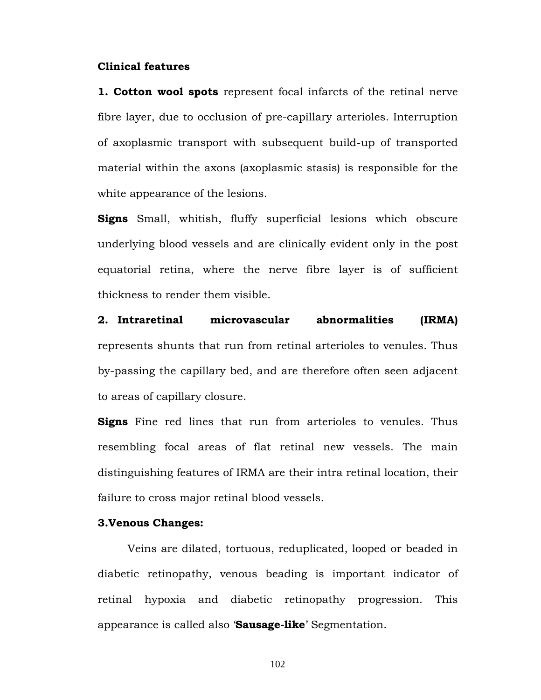#### **Clinical features**

**1. Cotton wool spots** represent focal infarcts of the retinal nerve fibre layer, due to occlusion of pre-capillary arterioles. Interruption of axoplasmic transport with subsequent build-up of transported material within the axons (axoplasmic stasis) is responsible for the white appearance of the lesions.

**Signs** Small, whitish, fluffy superficial lesions which obscure underlying blood vessels and are clinically evident only in the post equatorial retina, where the nerve fibre layer is of sufficient thickness to render them visible.

**2. Intraretinal microvascular abnormalities (IRMA)** represents shunts that run from retinal arterioles to venules. Thus by-passing the capillary bed, and are therefore often seen adjacent to areas of capillary closure.

**Signs** Fine red lines that run from arterioles to venules. Thus resembling focal areas of flat retinal new vessels. The main distinguishing features of IRMA are their intra retinal location, their failure to cross major retinal blood vessels.

#### **3.Venous Changes:**

Veins are dilated, tortuous, reduplicated, looped or beaded in diabetic retinopathy, venous beading is important indicator of retinal hypoxia and diabetic retinopathy progression. This appearance is called also '**Sausage-like**' Segmentation.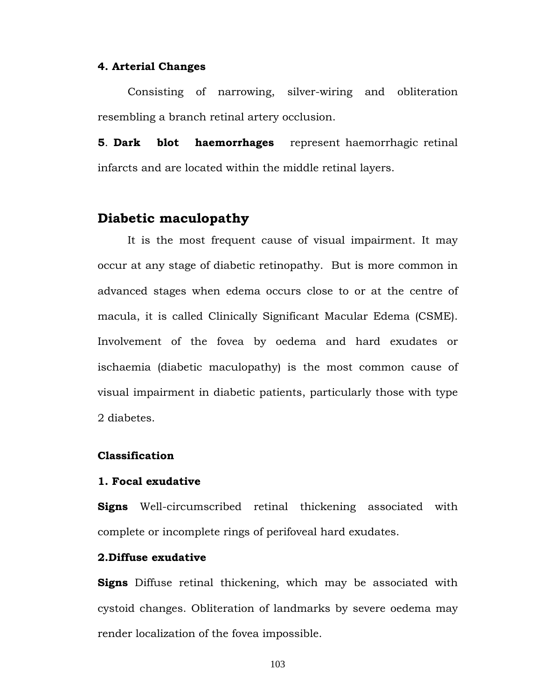#### **4. Arterial Changes**

 Consisting of narrowing, silver-wiring and obliteration resembling a branch retinal artery occlusion.

**5**. **Dark blot haemorrhages** represent haemorrhagic retinal infarcts and are located within the middle retinal layers.

## **Diabetic maculopathy**

It is the most frequent cause of visual impairment. It may occur at any stage of diabetic retinopathy. But is more common in advanced stages when edema occurs close to or at the centre of macula, it is called Clinically Significant Macular Edema (CSME). Involvement of the fovea by oedema and hard exudates or ischaemia (diabetic maculopathy) is the most common cause of visual impairment in diabetic patients, particularly those with type 2 diabetes.

#### **Classification**

#### **1. Focal exudative**

**Signs** Well-circumscribed retinal thickening associated with complete or incomplete rings of perifoveal hard exudates.

#### **2.Diffuse exudative**

**Signs** Diffuse retinal thickening, which may be associated with cystoid changes. Obliteration of landmarks by severe oedema may render localization of the fovea impossible.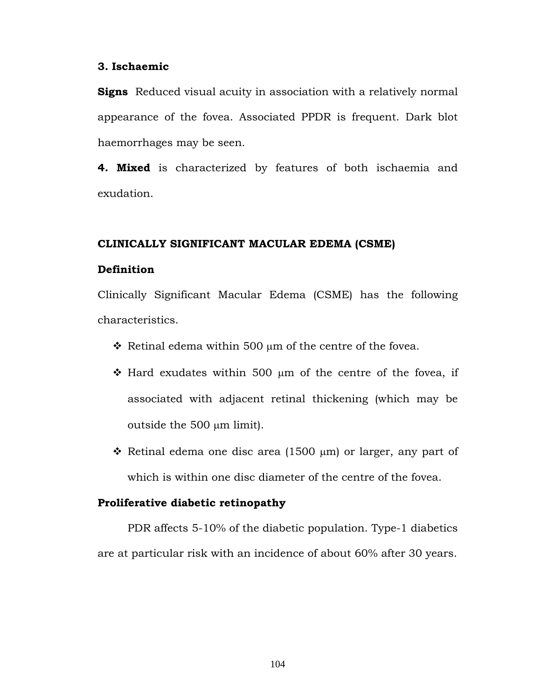#### **3. Ischaemic**

**Signs** Reduced visual acuity in association with a relatively normal appearance of the fovea. Associated PPDR is frequent. Dark blot haemorrhages may be seen.

**4. Mixed** is characterized by features of both ischaemia and exudation.

#### **CLINICALLY SIGNIFICANT MACULAR EDEMA (CSME)**

## **Definition**

Clinically Significant Macular Edema (CSME) has the following characteristics.

- $\div$  Retinal edema within 500 µm of the centre of the fovea.
- $\cdot$  Hard exudates within 500  $\mu$ m of the centre of the fovea, if associated with adjacent retinal thickening (which may be outside the 500 μm limit).
- $\hat{\mathbf{v}}$  Retinal edema one disc area (1500 µm) or larger, any part of which is within one disc diameter of the centre of the fovea.

#### **Proliferative diabetic retinopathy**

PDR affects 5-10% of the diabetic population. Type-1 diabetics are at particular risk with an incidence of about 60% after 30 years.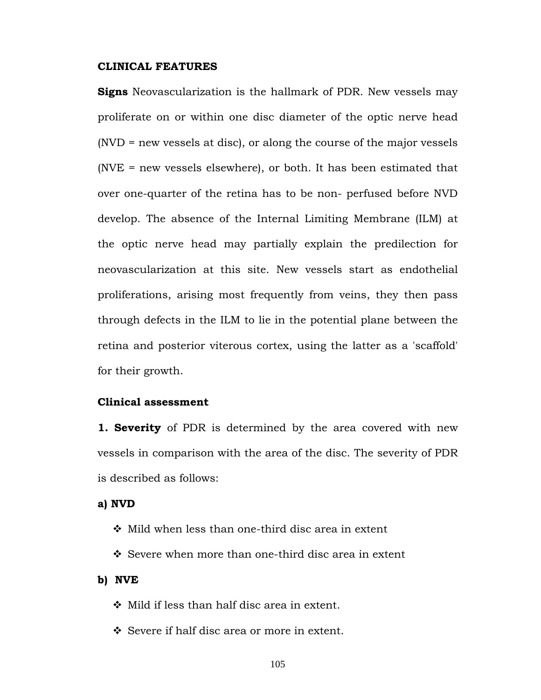#### **CLINICAL FEATURES**

**Signs** Neovascularization is the hallmark of PDR. New vessels may proliferate on or within one disc diameter of the optic nerve head (NVD = new vessels at disc), or along the course of the major vessels (NVE = new vessels elsewhere), or both. It has been estimated that over one-quarter of the retina has to be non- perfused before NVD develop. The absence of the Internal Limiting Membrane (ILM) at the optic nerve head may partially explain the predilection for neovascularization at this site. New vessels start as endothelial proliferations, arising most frequently from veins, they then pass through defects in the ILM to lie in the potential plane between the retina and posterior viterous cortex, using the latter as a 'scaffold' for their growth.

#### **Clinical assessment**

**1. Severity** of PDR is determined by the area covered with new vessels in comparison with the area of the disc. The severity of PDR is described as follows:

**a) NVD** 

- $\div$  Mild when less than one-third disc area in extent
- Severe when more than one-third disc area in extent

#### **b) NVE**

- $\div$  Mild if less than half disc area in extent.
- Severe if half disc area or more in extent.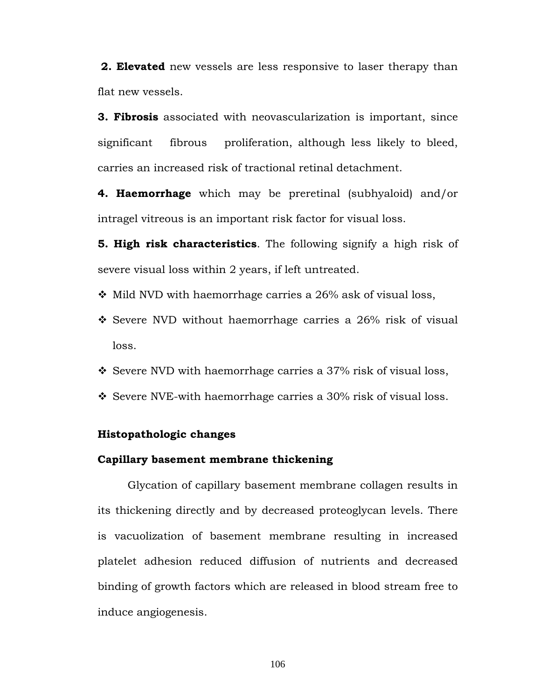**2. Elevated** new vessels are less responsive to laser therapy than flat new vessels.

**3. Fibrosis** associated with neovascularization is important, since significant fibrous proliferation, although less likely to bleed, carries an increased risk of tractional retinal detachment.

**4. Haemorrhage** which may be preretinal (subhyaloid) and/or intragel vitreous is an important risk factor for visual loss.

**5. High risk characteristics**. The following signify a high risk of severe visual loss within 2 years, if left untreated.

- $\cdot$  Mild NVD with haemorrhage carries a 26% ask of visual loss,
- Severe NVD without haemorrhage carries a 26% risk of visual loss.
- $\div$  Severe NVD with haemorrhage carries a 37% risk of visual loss,
- $\div$  Severe NVE-with haemorrhage carries a 30% risk of visual loss.

#### **Histopathologic changes**

#### **Capillary basement membrane thickening**

 Glycation of capillary basement membrane collagen results in its thickening directly and by decreased proteoglycan levels. There is vacuolization of basement membrane resulting in increased platelet adhesion reduced diffusion of nutrients and decreased binding of growth factors which are released in blood stream free to induce angiogenesis.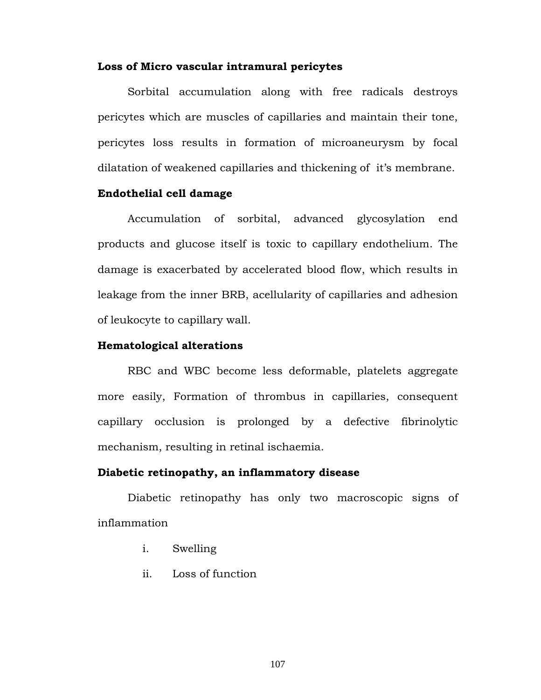#### **Loss of Micro vascular intramural pericytes**

 Sorbital accumulation along with free radicals destroys pericytes which are muscles of capillaries and maintain their tone, pericytes loss results in formation of microaneurysm by focal dilatation of weakened capillaries and thickening of it's membrane.

#### **Endothelial cell damage**

 Accumulation of sorbital, advanced glycosylation end products and glucose itself is toxic to capillary endothelium. The damage is exacerbated by accelerated blood flow, which results in leakage from the inner BRB, acellularity of capillaries and adhesion of leukocyte to capillary wall.

### **Hematological alterations**

 RBC and WBC become less deformable, platelets aggregate more easily, Formation of thrombus in capillaries, consequent capillary occlusion is prolonged by a defective fibrinolytic mechanism, resulting in retinal ischaemia.

#### **Diabetic retinopathy, an inflammatory disease**

 Diabetic retinopathy has only two macroscopic signs of inflammation

- i. Swelling
- ii. Loss of function

107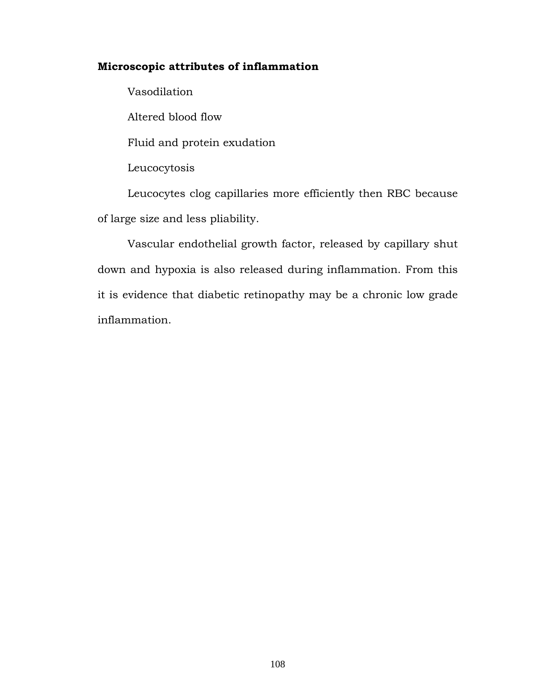### **Microscopic attributes of inflammation**

 Vasodilation Altered blood flow Fluid and protein exudation Leucocytosis

 Leucocytes clog capillaries more efficiently then RBC because of large size and less pliability.

 Vascular endothelial growth factor, released by capillary shut down and hypoxia is also released during inflammation. From this it is evidence that diabetic retinopathy may be a chronic low grade inflammation.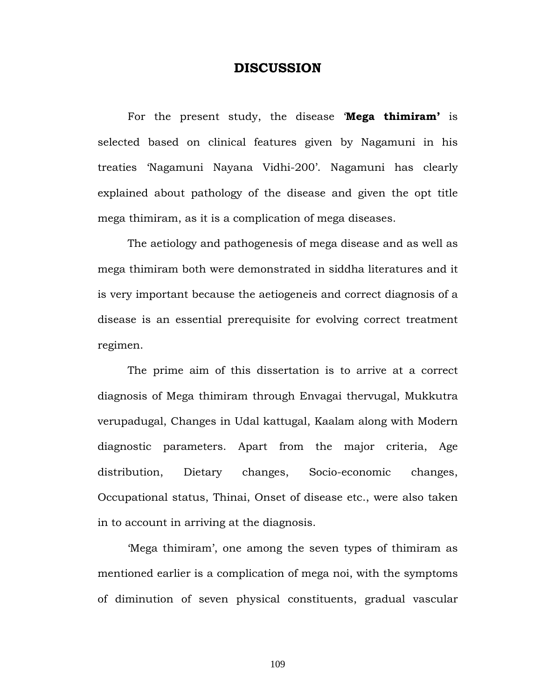### **DISCUSSION**

 For the present study, the disease '**Mega thimiram'** is selected based on clinical features given by Nagamuni in his treaties 'Nagamuni Nayana Vidhi-200'. Nagamuni has clearly explained about pathology of the disease and given the opt title mega thimiram, as it is a complication of mega diseases.

 The aetiology and pathogenesis of mega disease and as well as mega thimiram both were demonstrated in siddha literatures and it is very important because the aetiogeneis and correct diagnosis of a disease is an essential prerequisite for evolving correct treatment regimen.

 The prime aim of this dissertation is to arrive at a correct diagnosis of Mega thimiram through Envagai thervugal, Mukkutra verupadugal, Changes in Udal kattugal, Kaalam along with Modern diagnostic parameters. Apart from the major criteria, Age distribution, Dietary changes, Socio-economic changes, Occupational status, Thinai, Onset of disease etc., were also taken in to account in arriving at the diagnosis.

 'Mega thimiram', one among the seven types of thimiram as mentioned earlier is a complication of mega noi, with the symptoms of diminution of seven physical constituents, gradual vascular

109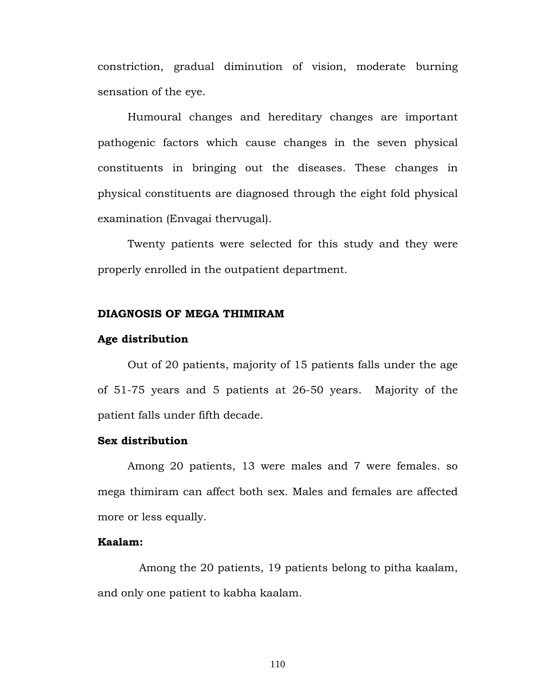constriction, gradual diminution of vision, moderate burning sensation of the eye.

 Humoural changes and hereditary changes are important pathogenic factors which cause changes in the seven physical constituents in bringing out the diseases. These changes in physical constituents are diagnosed through the eight fold physical examination (Envagai thervugal).

 Twenty patients were selected for this study and they were properly enrolled in the outpatient department.

#### **DIAGNOSIS OF MEGA THIMIRAM**

#### **Age distribution**

 Out of 20 patients, majority of 15 patients falls under the age of 51-75 years and 5 patients at 26-50 years. Majority of the patient falls under fifth decade.

### **Sex distribution**

Among 20 patients, 13 were males and 7 were females. so mega thimiram can affect both sex. Males and females are affected more or less equally.

### **Kaalam:**

 Among the 20 patients, 19 patients belong to pitha kaalam, and only one patient to kabha kaalam.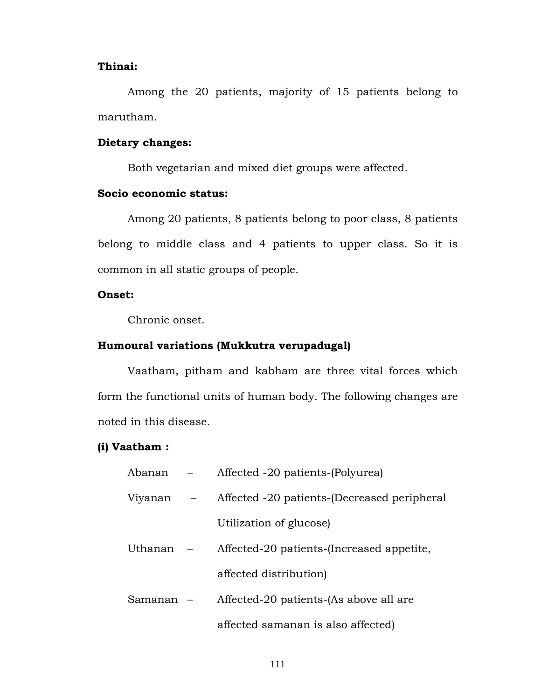#### **Thinai:**

 Among the 20 patients, majority of 15 patients belong to marutham.

### **Dietary changes:**

Both vegetarian and mixed diet groups were affected.

### **Socio economic status:**

 Among 20 patients, 8 patients belong to poor class, 8 patients belong to middle class and 4 patients to upper class. So it is common in all static groups of people.

### **Onset:**

Chronic onset.

### **Humoural variations (Mukkutra verupadugal)**

 Vaatham, pitham and kabham are three vital forces which form the functional units of human body. The following changes are noted in this disease.

### **(i) Vaatham :**

| Abanan    |     | Affected -20 patients-(Polyurea)            |
|-----------|-----|---------------------------------------------|
| Viyanan   | $-$ | Affected -20 patients-(Decreased peripheral |
|           |     | Utilization of glucose)                     |
| Uthanan – |     | Affected-20 patients-(Increased appetite,   |
|           |     | affected distribution)                      |
| Samanan – |     | Affected-20 patients-(As above all are      |
|           |     | affected samanan is also affected)          |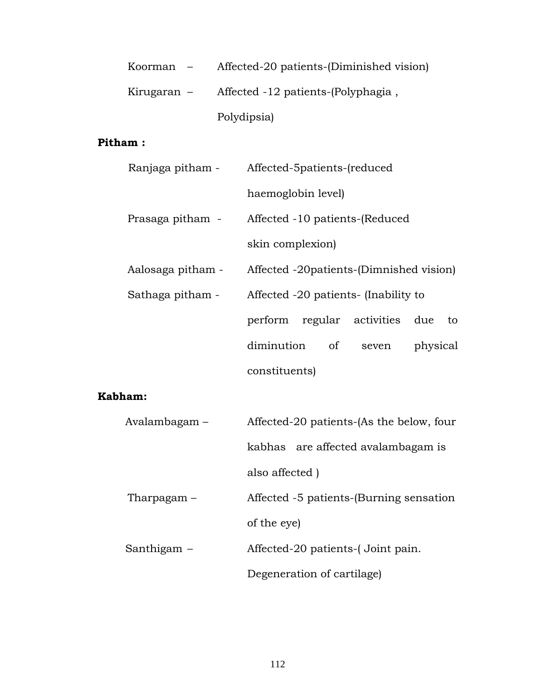| Koorman –   | Affected-20 patients-(Diminished vision) |
|-------------|------------------------------------------|
| Kirugaran – | Affected -12 patients-(Polyphagia,       |
|             | Polydipsia)                              |

### **Pitham :**

| Ranjaga pitham -  | Affected-5patients-(reduced              |  |  |  |  |  |  |  |  |  |
|-------------------|------------------------------------------|--|--|--|--|--|--|--|--|--|
|                   | haemoglobin level)                       |  |  |  |  |  |  |  |  |  |
| Prasaga pitham -  | Affected -10 patients-(Reduced           |  |  |  |  |  |  |  |  |  |
|                   | skin complexion)                         |  |  |  |  |  |  |  |  |  |
| Aalosaga pitham - | Affected -20 patients-(Dimnished vision) |  |  |  |  |  |  |  |  |  |
| Sathaga pitham -  | Affected -20 patients- (Inability to     |  |  |  |  |  |  |  |  |  |
|                   | perform regular activities due<br>to     |  |  |  |  |  |  |  |  |  |
|                   | diminution<br>of<br>physical<br>seven    |  |  |  |  |  |  |  |  |  |
|                   | constituents)                            |  |  |  |  |  |  |  |  |  |

### **Kabham:**

| Avalambagam – | Affected-20 patients-(As the below, four |
|---------------|------------------------------------------|
|               | kabhas are affected avalambagam is       |
|               | also affected)                           |
| Tharpagam –   | Affected -5 patients-(Burning sensation  |
|               | of the eye)                              |
| Santhigam –   | Affected-20 patients-(Joint pain.        |
|               | Degeneration of cartilage)               |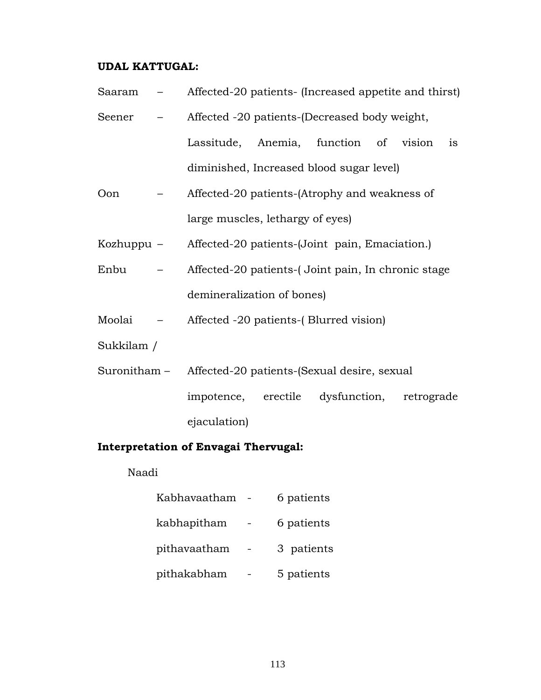### **UDAL KATTUGAL:**

- Saaram Affected-20 patients- (Increased appetite and thirst)
- Seener Affected -20 patients-(Decreased body weight, Lassitude, Anemia, function of vision is diminished, Increased blood sugar level)
- Oon Affected-20 patients-(Atrophy and weakness of large muscles, lethargy of eyes)
- Kozhuppu Affected-20 patients-(Joint pain, Emaciation.)
- Enbu Affected-20 patients-( Joint pain, In chronic stage demineralization of bones)
- Moolai Affected -20 patients-( Blurred vision)
- Sukkilam /
- Suronitham Affected-20 patients-(Sexual desire, sexual impotence, erectile dysfunction, retrograde ejaculation)

### **Interpretation of Envagai Thervugal:**

Naadi

| Kabhavaatham | 6 patients |
|--------------|------------|
| kabhapitham  | 6 patients |
| pithavaatham | 3 patients |
| pithakabham  | 5 patients |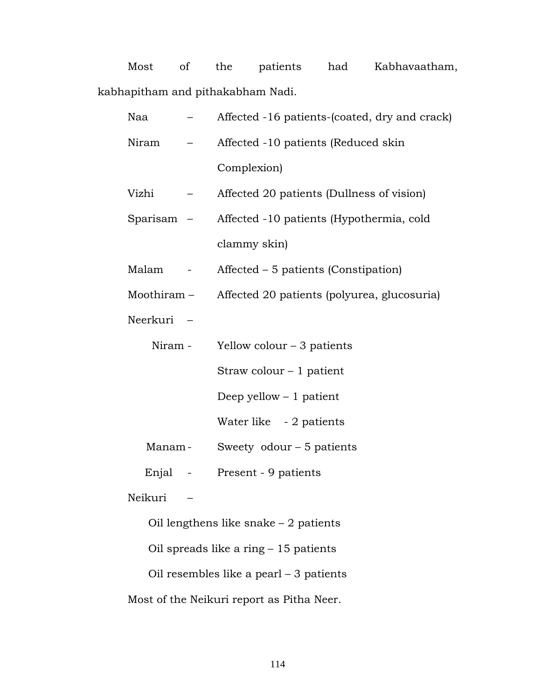Most of the patients had Kabhavaatham, kabhapitham and pithakabham Nadi.

| Naa        |        | Affected -16 patients-(coated, dry and crack) |
|------------|--------|-----------------------------------------------|
| Niram      |        | Affected -10 patients (Reduced skin           |
|            |        | Complexion)                                   |
| Vizhi      |        | Affected 20 patients (Dullness of vision)     |
| Sparisam – |        | Affected -10 patients (Hypothermia, cold      |
|            |        | clammy skin)                                  |
| Malam      | $\sim$ | Affected – 5 patients (Constipation)          |
| Moothiram- |        | Affected 20 patients (polyurea, glucosuria)   |
| Neerkuri - |        |                                               |
| Niram -    |        | Yellow colour $-3$ patients                   |
|            |        | Straw colour $-1$ patient                     |
|            |        | Deep yellow $-1$ patient                      |
|            |        | Water like - 2 patients                       |
| Manam-     |        | Sweety odour $-5$ patients                    |
| Enjal -    |        | Present - 9 patients                          |
| Neikuri    |        |                                               |
|            |        | Oil lengthens like snake $-2$ patients        |
|            |        | Oil spreads like a ring $-15$ patients        |
|            |        | Oil resembles like a pearl $-3$ patients      |
|            |        | Most of the Neikuri report as Pitha Neer.     |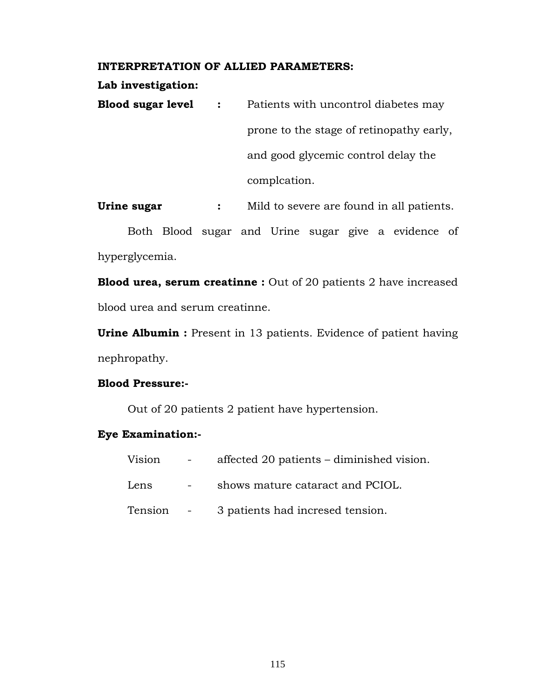#### **INTERPRETATION OF ALLIED PARAMETERS:**

#### **Lab investigation:**

**Blood sugar level :** Patients with uncontrol diabetes may prone to the stage of retinopathy early, and good glycemic control delay the complcation.

**Urine sugar :** Mild to severe are found in all patients.

Both Blood sugar and Urine sugar give a evidence of hyperglycemia.

**Blood urea, serum creatinne :** Out of 20 patients 2 have increased blood urea and serum creatinne.

**Urine Albumin :** Present in 13 patients. Evidence of patient having nephropathy.

#### **Blood Pressure:-**

Out of 20 patients 2 patient have hypertension.

#### **Eye Examination:-**

| Vision    | $\mathcal{L}^{\mathcal{L}}(\mathcal{L}^{\mathcal{L}})$ and $\mathcal{L}^{\mathcal{L}}(\mathcal{L}^{\mathcal{L}})$ | affected 20 patients – diminished vision. |
|-----------|-------------------------------------------------------------------------------------------------------------------|-------------------------------------------|
| Lens      |                                                                                                                   | shows mature cataract and PCIOL.          |
| Tension - |                                                                                                                   | 3 patients had incresed tension.          |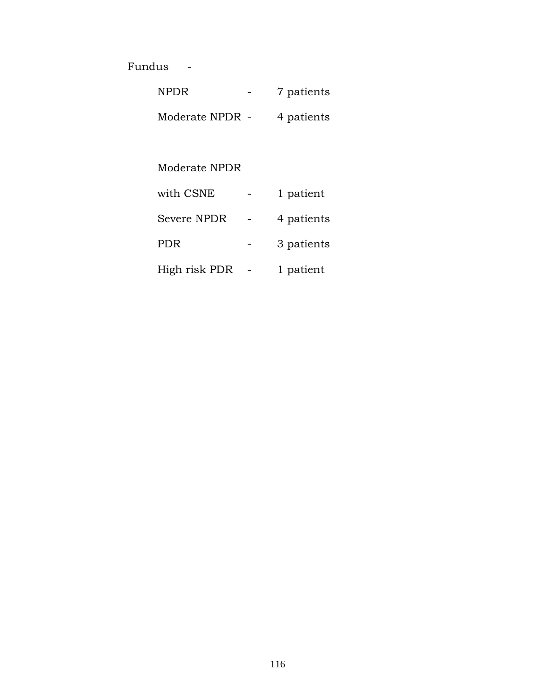Fundus -

| <b>NPDR</b>     | 7 patients |
|-----------------|------------|
| Moderate NPDR - | 4 patients |

Moderate NPDR

| with CSNE     | 1 patient  |
|---------------|------------|
| Severe NPDR   | 4 patients |
| <b>PDR</b>    | 3 patients |
| High risk PDR | 1 patient  |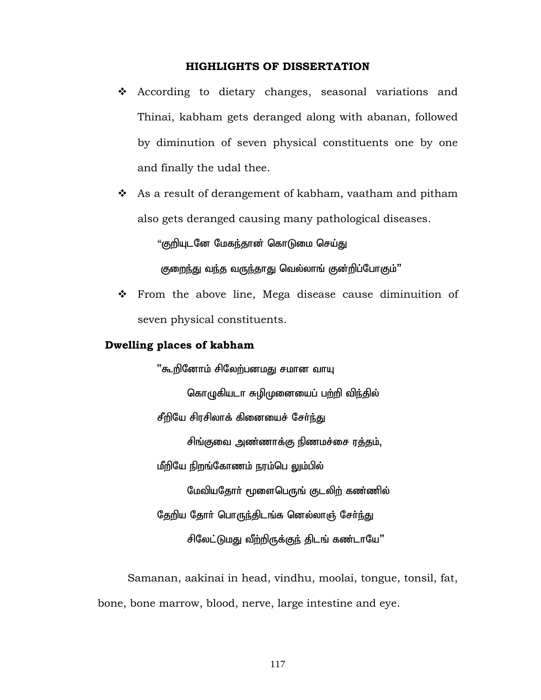#### **HIGHLIGHTS OF DISSERTATION**

- According to dietary changes, seasonal variations and Thinai, kabham gets deranged along with abanan, followed by diminution of seven physical constituents one by one and finally the udal thee.
- ◆ As a result of derangement of kabham, vaatham and pitham also gets deranged causing many pathological diseases.

"குறியுடனே மேகந்தான் கொடுமை செய்து

குறைந்து வந்த வருந்தாது வெல்லாங் குன்றிப்போகும்"

 From the above line, Mega disease cause diminuition of seven physical constituents.

### **Dwelling places of kabham**

''கூறினோம் சிலேற்பனமது சமான வாயு கொழுகியடா சுழிமுனையைப் பற்றி விந்தில் சீறியே சிரசிலாக் கினையைச் சேர்ந்து சிங்குவை அண்ணாக்கு நிணமச்சை ரத்தம், மீறியே நிறங்கோணம் நரம்பெ லும்பில் மேவியதோா் மூளைபெருங் குடலிற் கண்ணில் தேறிய தோர் பொருந்திடங்க னெல்லாஞ் சேர்ந்து சிலேட்டுமது வீற்றிருக்குந் திடங் கண்டாயே"

 Samanan, aakinai in head, vindhu, moolai, tongue, tonsil, fat, bone, bone marrow, blood, nerve, large intestine and eye.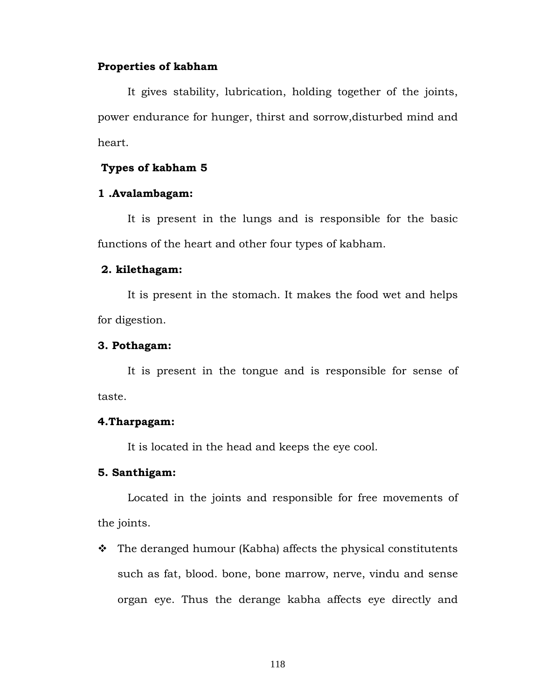#### **Properties of kabham**

 It gives stability, lubrication, holding together of the joints, power endurance for hunger, thirst and sorrow,disturbed mind and heart.

#### **Types of kabham 5**

#### **1 .Avalambagam:**

It is present in the lungs and is responsible for the basic functions of the heart and other four types of kabham.

### **2. kilethagam:**

It is present in the stomach. It makes the food wet and helps for digestion.

#### **3. Pothagam:**

It is present in the tongue and is responsible for sense of taste.

#### **4.Tharpagam:**

It is located in the head and keeps the eye cool.

#### **5. Santhigam:**

Located in the joints and responsible for free movements of the joints.

 $\cdot \cdot$  The deranged humour (Kabha) affects the physical constitutents such as fat, blood. bone, bone marrow, nerve, vindu and sense organ eye. Thus the derange kabha affects eye directly and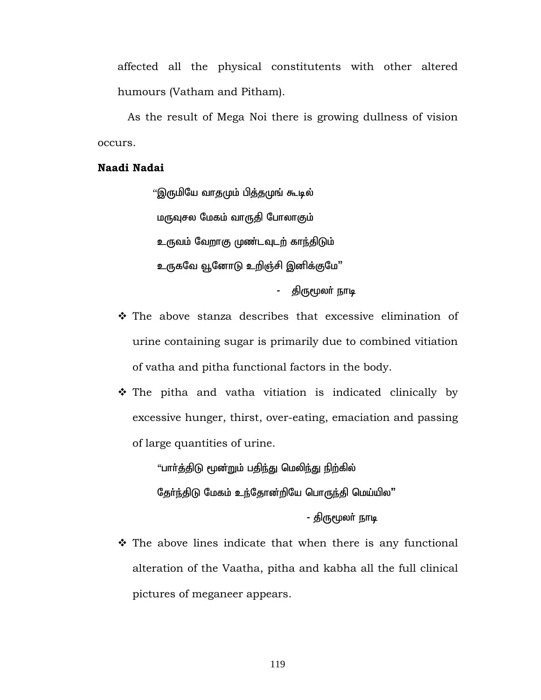affected all the physical constitutents with other altered humours (Vatham and Pitham).

As the result of Mega Noi there is growing dullness of vision occurs.

### **Naadi Nadai**

''இருமியே வாதமும் பித்தமுங் கூடில் மருவுசல மேகம் வாருதி போலாகும் உருவம் வேறாகு முண்டவுடற் காந்திடும் உருகவே வூனோடு உறிஞ்சி இனிக்குமே" - திருமூலா் நாடி

- The above stanza describes that excessive elimination of urine containing sugar is primarily due to combined vitiation of vatha and pitha functional factors in the body.
- The pitha and vatha vitiation is indicated clinically by excessive hunger, thirst, over-eating, emaciation and passing of large quantities of urine.

"பாா்த்திடு மூன்றும் பதிந்து மெலிந்து நிற்கில்

தேர்ந்திடு மேகம் உந்தோன்றியே பொருந்தி மெய்யில"

- திருமூலர் நாடி

 $\hat{\mathbf{v}}$  The above lines indicate that when there is any functional alteration of the Vaatha, pitha and kabha all the full clinical pictures of meganeer appears.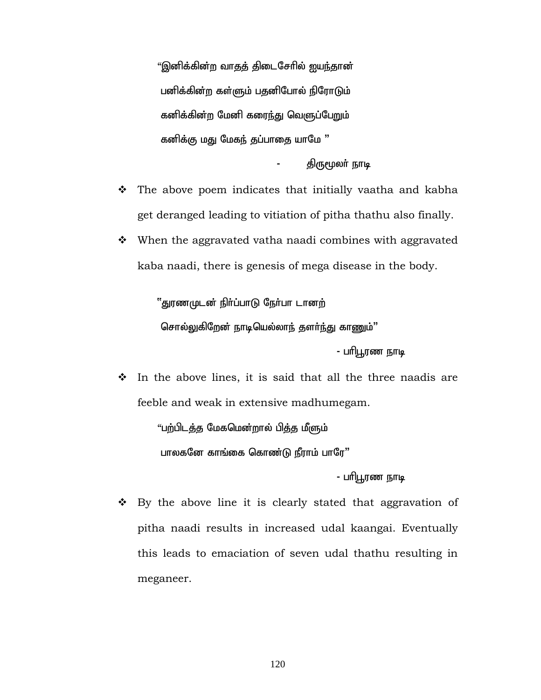"இனிக்கின்ற வாதத் திடைசேரில் ஐயந்தான் பனிக்கின்ற கள்ளும் பதனிபோல் நிரோடும் கனிக்கின்ற மேனி கரை<u>ந்</u>து வெளுப்பேறும் கனிக்கு மது மேகந் தப்பாதை யாமே "

திருமூலர் நாடி

- $\hat{P}$  The above poem indicates that initially vaatha and kabha get deranged leading to vitiation of pitha thathu also finally.
- $\cdot$  When the aggravated vatha naadi combines with aggravated kaba naadi, there is genesis of mega disease in the body.

''துரணமுடன் நிர்ப்பாடு நேர்பா டானற் சொல்லுகிறேன் நாடியெல்லாந் தளா்ந்து காணும்"

- பரிபூரண நாடி

 $\cdot$  In the above lines, it is said that all the three naadis are feeble and weak in extensive madhumegam.

> "பற்பிடத்த மேகமென்றால் பித்த மீளும் பாலகனே காங்கை கொண்டு நீராம் பாரே"

> > - பரிபூரண நாடி

 $\bullet$  By the above line it is clearly stated that aggravation of pitha naadi results in increased udal kaangai. Eventually this leads to emaciation of seven udal thathu resulting in meganeer.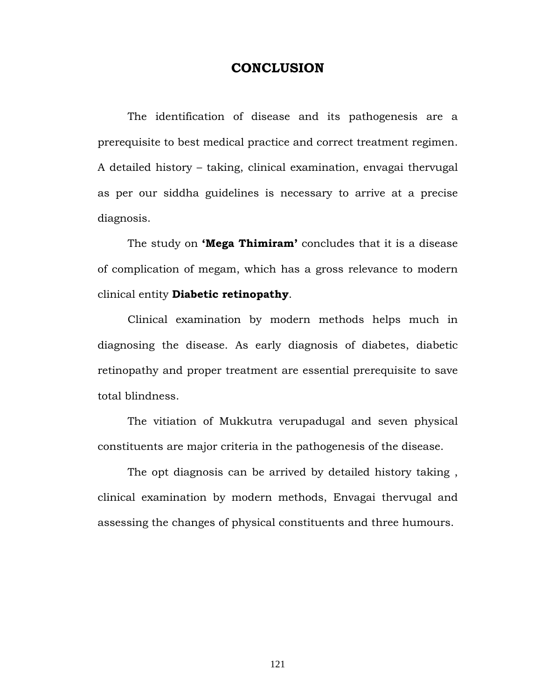### **CONCLUSION**

 The identification of disease and its pathogenesis are a prerequisite to best medical practice and correct treatment regimen. A detailed history – taking, clinical examination, envagai thervugal as per our siddha guidelines is necessary to arrive at a precise diagnosis.

 The study on **'Mega Thimiram'** concludes that it is a disease of complication of megam, which has a gross relevance to modern clinical entity **Diabetic retinopathy**.

 Clinical examination by modern methods helps much in diagnosing the disease. As early diagnosis of diabetes, diabetic retinopathy and proper treatment are essential prerequisite to save total blindness.

 The vitiation of Mukkutra verupadugal and seven physical constituents are major criteria in the pathogenesis of the disease.

 The opt diagnosis can be arrived by detailed history taking , clinical examination by modern methods, Envagai thervugal and assessing the changes of physical constituents and three humours.

121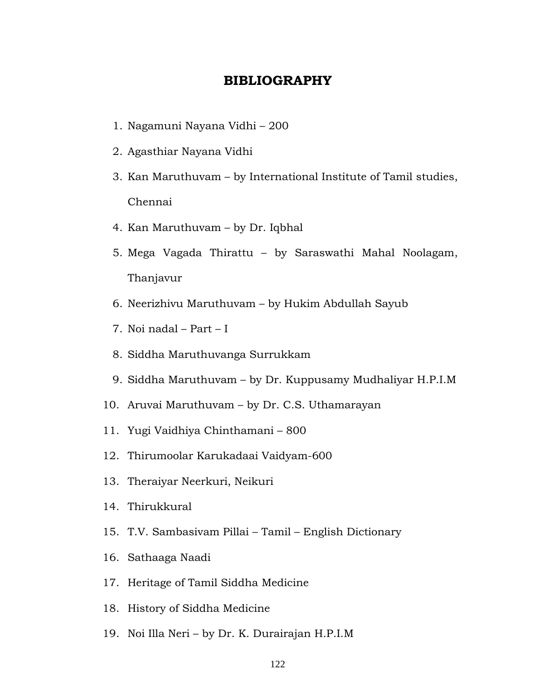### **BIBLIOGRAPHY**

- 1. Nagamuni Nayana Vidhi 200
- 2. Agasthiar Nayana Vidhi
- 3. Kan Maruthuvam by International Institute of Tamil studies, Chennai
- 4. Kan Maruthuvam by Dr. Iqbhal
- 5. Mega Vagada Thirattu by Saraswathi Mahal Noolagam, Thanjavur
- 6. Neerizhivu Maruthuvam by Hukim Abdullah Sayub
- 7. Noi nadal Part I
- 8. Siddha Maruthuvanga Surrukkam
- 9. Siddha Maruthuvam by Dr. Kuppusamy Mudhaliyar H.P.I.M
- 10. Aruvai Maruthuvam by Dr. C.S. Uthamarayan
- 11. Yugi Vaidhiya Chinthamani 800
- 12. Thirumoolar Karukadaai Vaidyam-600
- 13. Theraiyar Neerkuri, Neikuri
- 14. Thirukkural
- 15. T.V. Sambasivam Pillai Tamil English Dictionary
- 16. Sathaaga Naadi
- 17. Heritage of Tamil Siddha Medicine
- 18. History of Siddha Medicine
- 19. Noi Illa Neri by Dr. K. Durairajan H.P.I.M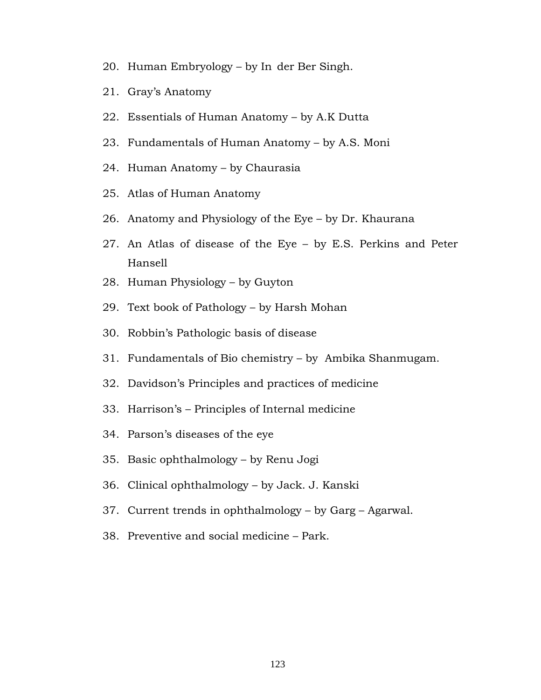- 20. Human Embryology by In der Ber Singh.
- 21. Gray's Anatomy
- 22. Essentials of Human Anatomy by A.K Dutta
- 23. Fundamentals of Human Anatomy by A.S. Moni
- 24. Human Anatomy by Chaurasia
- 25. Atlas of Human Anatomy
- 26. Anatomy and Physiology of the Eye by Dr. Khaurana
- 27. An Atlas of disease of the Eye by E.S. Perkins and Peter Hansell
- 28. Human Physiology by Guyton
- 29. Text book of Pathology by Harsh Mohan
- 30. Robbin's Pathologic basis of disease
- 31. Fundamentals of Bio chemistry by Ambika Shanmugam.
- 32. Davidson's Principles and practices of medicine
- 33. Harrison's Principles of Internal medicine
- 34. Parson's diseases of the eye
- 35. Basic ophthalmology by Renu Jogi
- 36. Clinical ophthalmology by Jack. J. Kanski
- 37. Current trends in ophthalmology by Garg Agarwal.
- 38. Preventive and social medicine Park.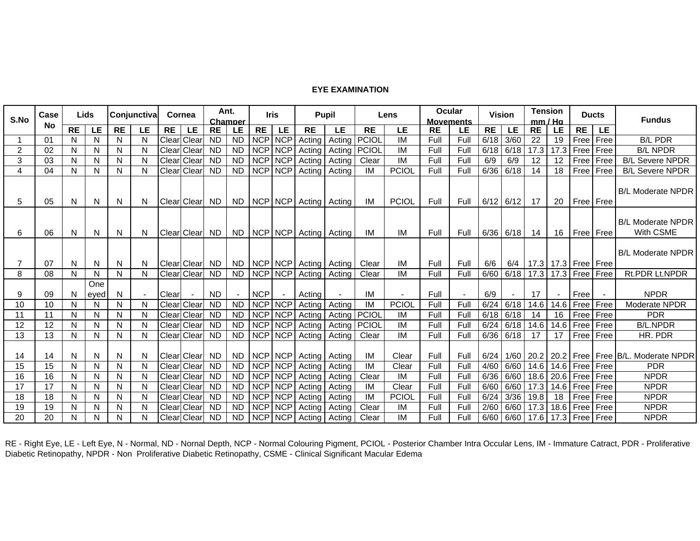#### **EYE EXAMINATION**

| Case<br>S.No   |    | Lids      |             | Conjunctiva |           | Cornea    |                    | Ant.<br>Champer |                | <b>Iris</b>    |                 | Pupil         |                | Lens           |                | Ocular<br><b>Movements</b> |      |           | <b>Vision</b> |           | <b>Tension</b><br>mm / Ha |                    | <b>Ducts</b> | <b>Fundus</b>                           |
|----------------|----|-----------|-------------|-------------|-----------|-----------|--------------------|-----------------|----------------|----------------|-----------------|---------------|----------------|----------------|----------------|----------------------------|------|-----------|---------------|-----------|---------------------------|--------------------|--------------|-----------------------------------------|
|                | No | <b>RE</b> | LE          | <b>RE</b>   | <b>LE</b> | <b>RE</b> | <b>LE</b>          | <b>RE</b>       | LE             | <b>RE</b>      | LE              | <b>RE</b>     | LE             | <b>RE</b>      | LE             | <b>RE</b>                  | LE   | <b>RE</b> | <b>LE</b>     | <b>RE</b> | <b>LE</b>                 | <b>RE</b>          | LE           |                                         |
|                | 01 | N         | N.          | N           | N.        |           | Clear Clear        | <b>ND</b>       | <b>ND</b>      | NCP NCP        |                 | Actina        | Actina         | <b>PCIOL</b>   | IM             | Full                       | Full | 6/18      | 3/60          | 22        | 19                        | Free               | Free         | <b>B/L PDR</b>                          |
| 2              | 02 | N         | N           | N           | N         | Clear     | Clear              | <b>ND</b>       | <b>ND</b>      | <b>NCP</b>     | <b>NCP</b>      | Acting        | Acting   PCIOL |                | IM             | Full                       | Full | 6/18      | 6/18          | 17.3      | 17.3                      | Free               | Free         | <b>B/L NPDR</b>                         |
| 3              | 03 | N         | N           | N           | N         | Clear     | <b>Clear</b>       | <b>ND</b>       | <b>ND</b>      | <b>NCP</b>     | <b>NCP</b>      | Actina        | Actina         | Clear          | IM             | Full                       | Full | 6/9       | 6/9           | 12        | 12                        | Free               | Free         | <b>B/L Severe NPDR</b>                  |
| 4              | 04 | N         | N           | N           | N         | Clear     | Clear              | <b>ND</b>       | <b>ND</b>      | <b>NCP</b>     | <b>NCP</b>      | Actina        | Actina         | IM             | <b>PCIOL</b>   | Full                       | Full | 6/36      | 6/18          | 14        | 18                        | Free               | Free         | <b>B/L Severe NPDR</b>                  |
| 5              | 05 | N         | N.          | N.          | N.        |           | Clear Clear ND     |                 | ND.            |                | NCP NCP         | Acting Acting |                | IM             | <b>PCIOL</b>   | Full                       | Full | 6/12      | 6/12          | 17        | 20                        | Free Free          |              | <b>B/L Moderate NPDR</b>                |
| 6              | 06 | N         | N.          | N           | N.        |           | <b>Clear Clear</b> | <b>ND</b>       | ND.            |                | NCP NCP         |               | Acting Acting  | IM             | IM             | Full                       | Full | 6/36      | 6/18          | 14        |                           | 16   Free   Free   |              | <b>B/L Moderate NPDR</b><br>With CSME   |
| $\overline{7}$ | 07 | N         | N           | N.          | N.        |           | Clearl Clearl      | - ND            | ND.            |                | <b>NCPINCPI</b> | Acting I      | Acting         | Clear          | IM             | Full                       | Full | 6/6       | 6/4           |           | 17.3   17.3   Free   Free |                    |              | <b>B/L Moderate NPDR</b>                |
| 8              | 08 | N         | N           | N           | N         |           | Clear Clear        | <b>ND</b>       | <b>ND</b>      |                | <b>NCP NCP</b>  | Acting        | Acting         | Clear          | IM             | Full                       | Full | 6/60      | 6/18          | 17.3      |                           | 17.3 Free Free     |              | Rt.PDR Lt.NPDR                          |
| 9              | 09 | N         | One<br>eved | N           | $\sim$    | Clear     | $\sim$             | <b>ND</b>       | $\blacksquare$ | <b>NCP</b>     | $\sim$          | Acting        | $\sim$         | IM             | $\blacksquare$ | Full                       |      | 6/9       |               | 17        |                           | Free               |              | <b>NPDR</b>                             |
| 10             | 10 | N         | N.          | N           | N         |           | Clear Clear        | <b>ND</b>       | <b>ND</b>      | <b>NCP NCP</b> |                 | Acting        | Acting         | IM             | <b>PCIOL</b>   | Full                       | Full | 6/24      | 6/18          | 14.6      | 14.6                      | Free Free          |              | Moderate NPDR                           |
| 11             | 11 | N         | N           | N           | N         |           | <b>Clear Clear</b> | <b>ND</b>       | <b>ND</b>      | NCP NCP        |                 | Actina        |                | Acting   PCIOL | IM             | Full                       | Full | 6/18      | 6/18          | 14        | 16                        | Free               | Free         | <b>PDR</b>                              |
| 12             | 12 | N         | N           | N           | N         | Clear     | Clear              | <b>ND</b>       | <b>ND</b>      | <b>NCP</b>     | <b>NCP</b>      | Acting        | Acting         | PCIOL          | IM             | Full                       | Full | 6/24      | 6/18          | 14.6      | 14.6                      | Free               | Free         | <b>B/L.NPDR</b>                         |
| 13             | 13 | N         | N           | N           | N         |           | Clear Clear        | <b>ND</b>       | <b>ND</b>      |                | <b>NCP NCP</b>  | Actina        | Actina         | Clear          | $\overline{M}$ | Full                       | Full | 6/36      | 6/18          | 17        | 17                        | Free               | Free         | HR. PDR                                 |
| 14             | 14 | N         | N           | N           | N         |           | <b>Clear Clear</b> | ND              | <b>ND</b>      |                | NCP NCP         |               | Acting Acting  | IM             | Clear          | Full                       | Full | 6/24      | 1/60          | 20.2      |                           |                    |              | 20.2   Free   Free   B/L. Moderate NPDR |
| 15             | 15 | N         | N.          | N           | N         |           | Clear Clear        | ND.             | <b>ND</b>      | NCP NCP        |                 | Actina        | Actina         | IM             | Clear          | Full                       | Full | 4/60      | 6/60          | 14.6      | 14.6                      | Free               | <b>Free</b>  | <b>PDR</b>                              |
| 16             | 16 | N         | N           | N           | N         | Clear     | Clear              | <b>ND</b>       | <b>ND</b>      | <b>NCP</b>     | <b>NCP</b>      | Actina        | Acting         | Clear          | IM             | Full                       | Full | 6/36      | 6/60          | 18.6      | 20.6                      | Free               | Free         | <b>NPDR</b>                             |
| 17             | 17 | N         | N           | N           | N         | Clear     | Clear              | <b>ND</b>       | <b>ND</b>      | <b>NCP</b>     | <b>NCP</b>      | Actina        | Actina         | IM             | Clear          | Full                       | Full | 6/60      | 6/60          | 17.3      | 14.6                      | Free               | Free         | <b>NPDR</b>                             |
| 18             | 18 | N         | N.          | N           | N         | Clear     | <b>Clear</b>       | <b>ND</b>       | <b>ND</b>      | NCP NCP        |                 | Acting        | Acting         | IM             | <b>PCIOI</b>   | Full                       | Full | 6/24      | 3/36          | 19.8      | 18                        | Free               | Free         | <b>NPDR</b>                             |
| 19             | 19 | N         | N           | N           | N         |           | <b>Clear Clear</b> | -ND             | <b>ND</b>      | <b>NCP</b>     | <b>NCP</b>      | Actina        | Acting         | Clear          | IM             | Full                       | Full | 2/60      | 6/60          | 17.3      |                           | 18.6   Free   Free |              | <b>NPDR</b>                             |
| 20             | 20 | N         | N           | N           | N         |           | Clear Clear        | <b>ND</b>       | <b>ND</b>      |                | NCP NCP         | Acting        | Acting         | Clear          | IM             | Full                       | Full | 6/60      | 6/60          | 17.6      |                           | 17.3 Free Free     |              | <b>NPDR</b>                             |

RE - Right Eye, LE - Left Eye, N - Normal, ND - Nornal Depth, NCP - Normal Colouring Pigment, PCIOL - Posterior Chamber Intra Occular Lens, IM - Immature Catract, PDR - Proliferative Diabetic Retinopathy, NPDR - Non Proliferative Diabetic Retinopathy, CSME - Clinical Significant Macular Edema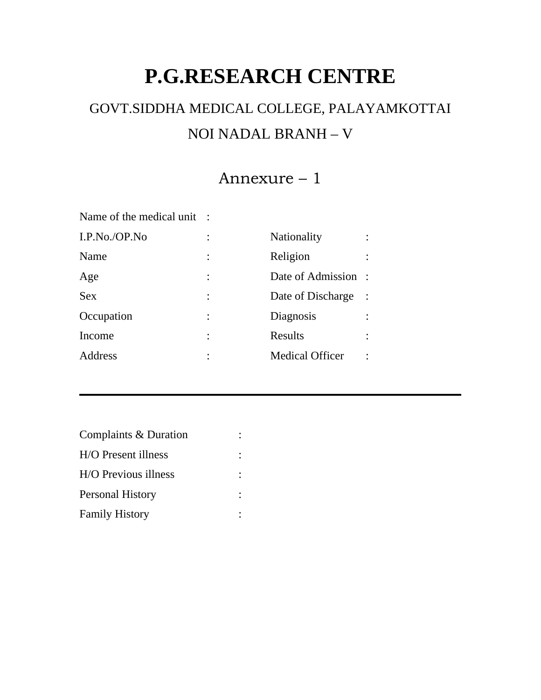# **P.G.RESEARCH CENTRE**

# GOVT.SIDDHA MEDICAL COLLEGE, PALAYAMKOTTAI NOI NADAL BRANH – V

# Annexure – 1

Name of the medical unit :

| Nationality            |  |
|------------------------|--|
| Religion               |  |
| Date of Admission :    |  |
| Date of Discharge      |  |
| Diagnosis              |  |
| Results                |  |
| <b>Medical Officer</b> |  |
|                        |  |

| Complaints & Duration   |  |
|-------------------------|--|
| H/O Present illness     |  |
| H/O Previous illness    |  |
| <b>Personal History</b> |  |
| <b>Family History</b>   |  |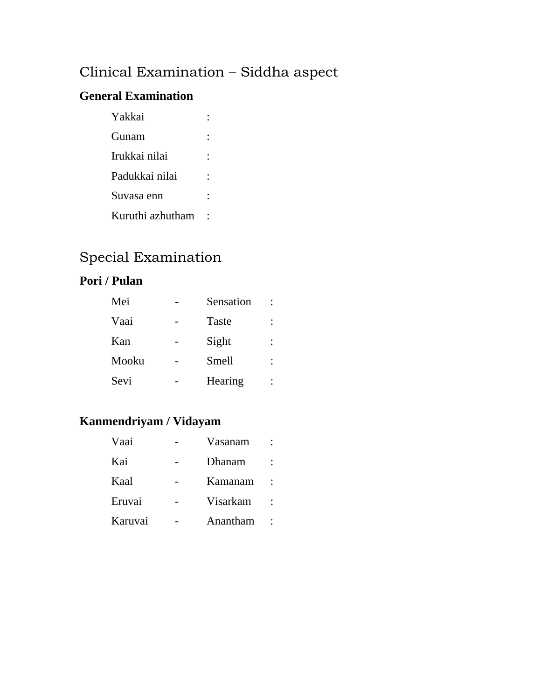# Clinical Examination – Siddha aspect

### **General Examination**

| Yakkai           |  |
|------------------|--|
| Gunam            |  |
| Irukkai nilai    |  |
| Padukkai nilai   |  |
| Suvasa enn       |  |
| Kuruthi azhutham |  |

## Special Examination

### **Pori / Pulan**

| Mei   | Sensation |  |
|-------|-----------|--|
| Vaai  | Taste     |  |
| Kan   | Sight     |  |
| Mooku | Smell     |  |
| Sevi  | Hearing   |  |

## **Kanmendriyam / Vidayam**

| Vaai    | Vasanam  |  |
|---------|----------|--|
| Kai     | Dhanam   |  |
| Kaal    | Kamanam  |  |
| Eruvai  | Visarkam |  |
| Karuvai | Anantham |  |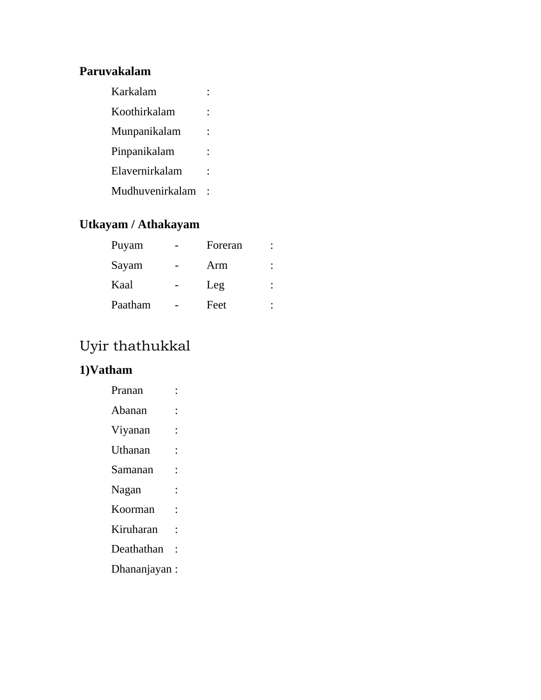### **Paruvakalam**

| Karkalam        |  |
|-----------------|--|
| Koothirkalam    |  |
| Munpanikalam    |  |
| Pinpanikalam    |  |
| Elavernirkalam  |  |
| Mudhuvenirkalam |  |

## **Utkayam / Athakayam**

| Puyam   | Foreran |  |
|---------|---------|--|
| Sayam   | Arm     |  |
| Kaal    | Leg     |  |
| Paatham | Feet    |  |

# Uyir thathukkal

## **1)Vatham**

| Pranan       |   |
|--------------|---|
| Abanan       |   |
| Viyanan      |   |
| Uthanan      |   |
| Samanan      | : |
| Nagan        |   |
| Koorman      | : |
| Kiruharan    |   |
| Deathathan   |   |
| Dhananjayan: |   |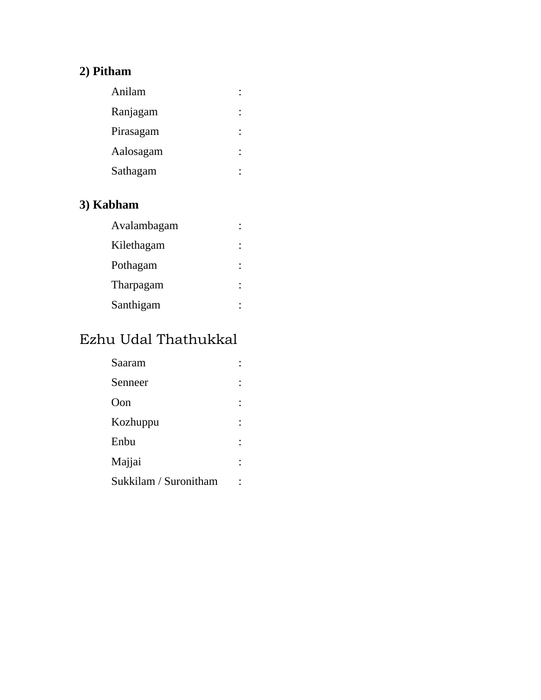## **2) Pitham**

| Anilam    |  |
|-----------|--|
| Ranjagam  |  |
| Pirasagam |  |
| Aalosagam |  |
| Sathagam  |  |
|           |  |

## **3) Kabham**

| Avalambagam |  |
|-------------|--|
| Kilethagam  |  |
| Pothagam    |  |
| Tharpagam   |  |
| Santhigam   |  |

# Ezhu Udal Thathukkal

| Saaram                |  |
|-----------------------|--|
| Senneer               |  |
| O <sub>on</sub>       |  |
| Kozhuppu              |  |
| Enbu                  |  |
| Majjai                |  |
| Sukkilam / Suronitham |  |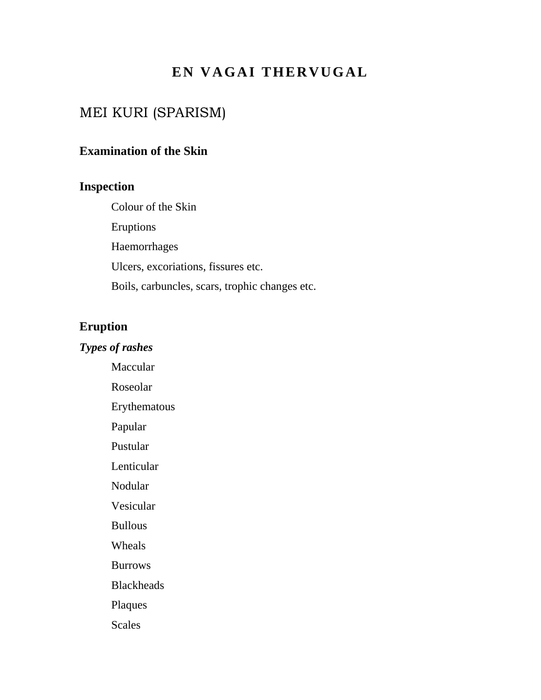## **EN VAGAI THERVUGAL**

## MEI KURI (SPARISM)

### **Examination of the Skin**

### **Inspection**

Colour of the Skin Eruptions Haemorrhages Ulcers, excoriations, fissures etc. Boils, carbuncles, scars, trophic changes etc.

### **Eruption**

### *Types of rashes*

 Maccular Roseolar Erythematous Papular Pustular Lenticular Nodular Vesicular Bullous Wheals Burrows Blackheads Plaques **Scales**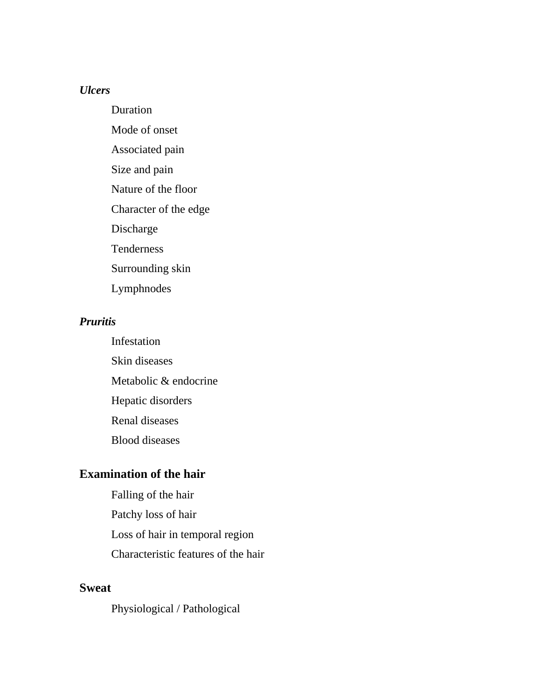### *Ulcers*

Duration Mode of onset Associated pain Size and pain Nature of the floor Character of the edge Discharge Tenderness Surrounding skin Lymphnodes

### *Pruritis*

 Infestation Skin diseases Metabolic & endocrine Hepatic disorders Renal diseases Blood diseases

### **Examination of the hair**

 Falling of the hair Patchy loss of hair Loss of hair in temporal region Characteristic features of the hair

### **Sweat**

Physiological / Pathological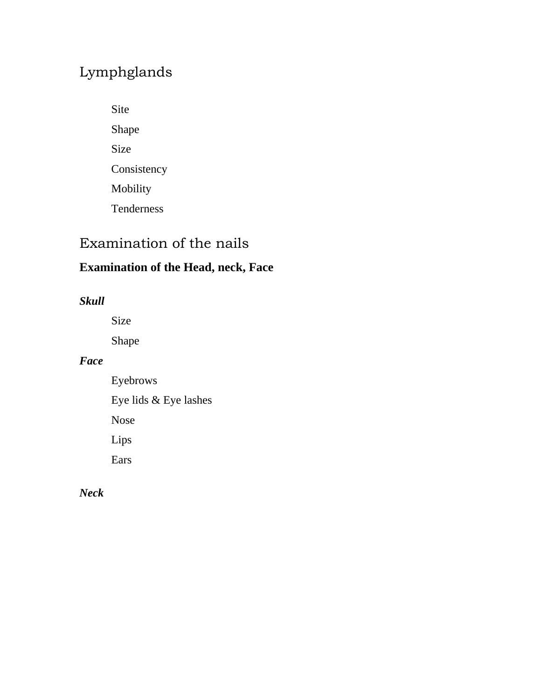## Lymphglands

Site Shape Size Consistency Mobility Tenderness

## Examination of the nails

## **Examination of the Head, neck, Face**

*Skull* 

Size

Shape

### *Face*

Eyebrows Eye lids & Eye lashes Nose Lips

Ears

*Neck*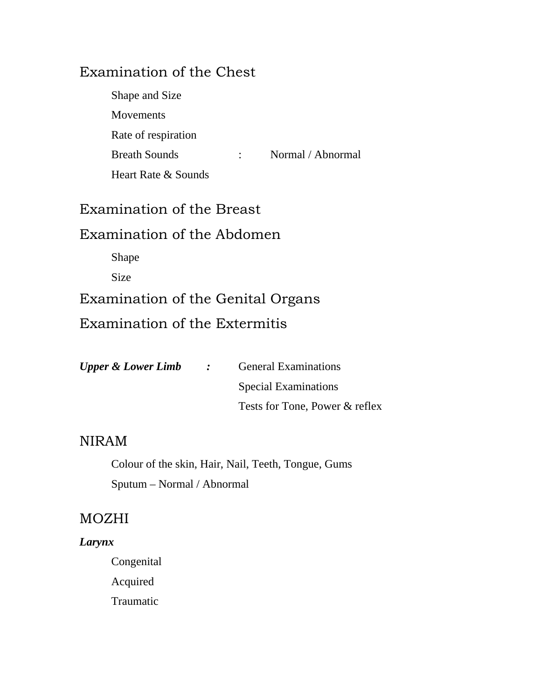## Examination of the Chest

| Shape and Size       |                   |
|----------------------|-------------------|
| <b>Movements</b>     |                   |
| Rate of respiration  |                   |
| <b>Breath Sounds</b> | Normal / Abnormal |
| Heart Rate & Sounds  |                   |

## Examination of the Breast

## Examination of the Abdomen

Shape

Size

Examination of the Genital Organs Examination of the Extermitis

| <b>Upper &amp; Lower Limb</b> | <b><i>Contract Contract</i></b> | <b>General Examinations</b>    |
|-------------------------------|---------------------------------|--------------------------------|
|                               |                                 | <b>Special Examinations</b>    |
|                               |                                 | Tests for Tone, Power & reflex |

### NIRAM

 Colour of the skin, Hair, Nail, Teeth, Tongue, Gums Sputum – Normal / Abnormal

## MOZHI

### *Larynx*

Congenital Acquired Traumatic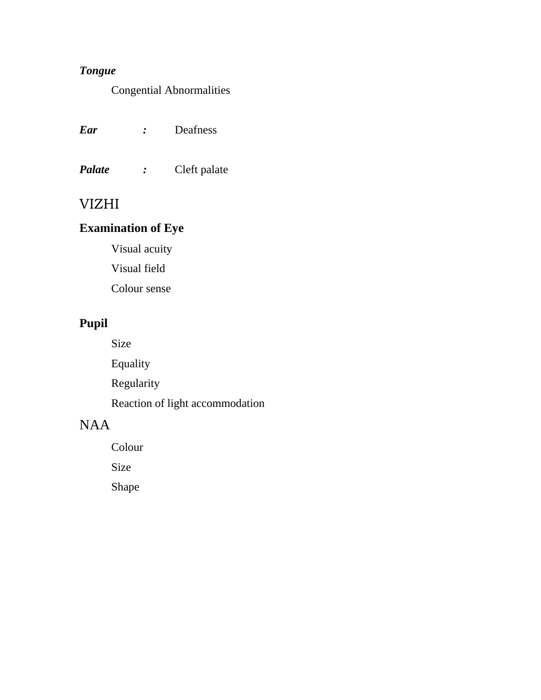## *Tongue*

Congential Abnormalities

| Ear | Deafness |
|-----|----------|
|     |          |

*Palate :* Cleft palate

## VIZHI

### **Examination of Eye**

 Visual acuity Visual field

Colour sense

## **Pupil**

Size

Equality

Regularity

Reaction of light accommodation

## NAA

Colour

Size

Shape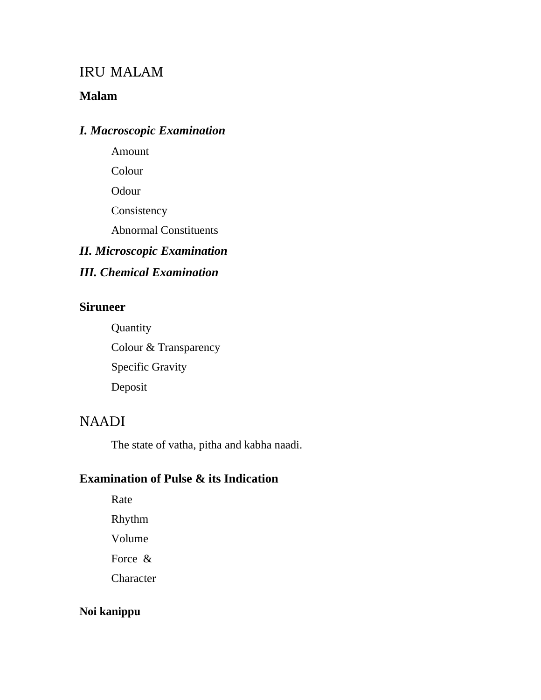### IRU MALAM

### **Malam**

### *I. Macroscopic Examination*

Amount

Colour

Odour

**Consistency** 

Abnormal Constituents

## *II. Microscopic Examination*

## *III. Chemical Examination*

### **Siruneer**

**Quantity**  Colour & Transparency Specific Gravity Deposit

## NAADI

The state of vatha, pitha and kabha naadi.

### **Examination of Pulse & its Indication**

Rate Rhythm Volume Force & **Character** 

### **Noi kanippu**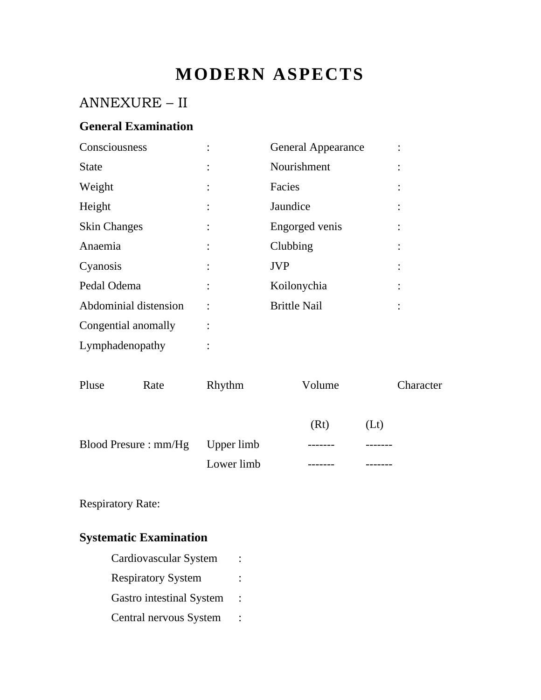# **MODERN ASPECTS**

## ANNEXURE – II

### **General Examination**

| Consciousness         |                | <b>General Appearance</b> |  |
|-----------------------|----------------|---------------------------|--|
| <b>State</b>          | $\ddot{\cdot}$ | Nourishment               |  |
| Weight                | $\ddot{\cdot}$ | Facies                    |  |
| Height                | $\ddot{\cdot}$ | Jaundice                  |  |
| <b>Skin Changes</b>   | $\ddot{\cdot}$ | Engorged venis            |  |
| Anaemia               |                | Clubbing                  |  |
| Cyanosis              |                | <b>JVP</b>                |  |
| Pedal Odema           |                | Koilonychia               |  |
| Abdominial distension |                | <b>Brittle Nail</b>       |  |
| Congential anomally   |                |                           |  |
| Lymphadenopathy       |                |                           |  |

| Pluse | Rate                            | Rhythm     | Volume | Character |
|-------|---------------------------------|------------|--------|-----------|
|       |                                 |            | (Rt)   | (Lt)      |
|       | Blood Presure: mm/Hg Upper limb |            |        |           |
|       |                                 | Lower limb |        |           |

Respiratory Rate:

## **Systematic Examination**

| Cardiovascular System     |  |
|---------------------------|--|
| <b>Respiratory System</b> |  |
| Gastro intestinal System  |  |
| Central nervous System    |  |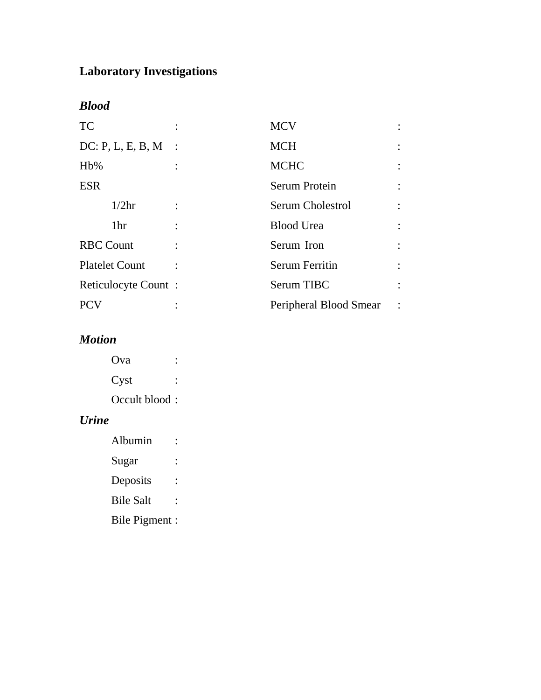## **Laboratory Investigations**

*Blood* 

| <b>TC</b>             |          | <b>MCV</b>             |  |
|-----------------------|----------|------------------------|--|
| DC: P, L, E, B, M     | $\sim$ : | <b>MCH</b>             |  |
| Hb%                   |          | <b>MCHC</b>            |  |
| <b>ESR</b>            |          | Serum Protein          |  |
| 1/2 <sub>hr</sub>     |          | Serum Cholestrol       |  |
| 1 <sup>hr</sup>       |          | <b>Blood Urea</b>      |  |
| <b>RBC Count</b>      |          | Serum Iron             |  |
| <b>Platelet Count</b> |          | <b>Serum Ferritin</b>  |  |
| Reticulocyte Count:   |          | Serum TIBC             |  |
| <b>PCV</b>            |          | Peripheral Blood Smear |  |

## *Motion*

| Ova           |  |
|---------------|--|
| Cyst          |  |
| Occult blood: |  |

### *Urine*

| Albumin          |  |
|------------------|--|
| Sugar            |  |
| Deposits         |  |
| <b>Bile Salt</b> |  |
| Bile Pigment :   |  |